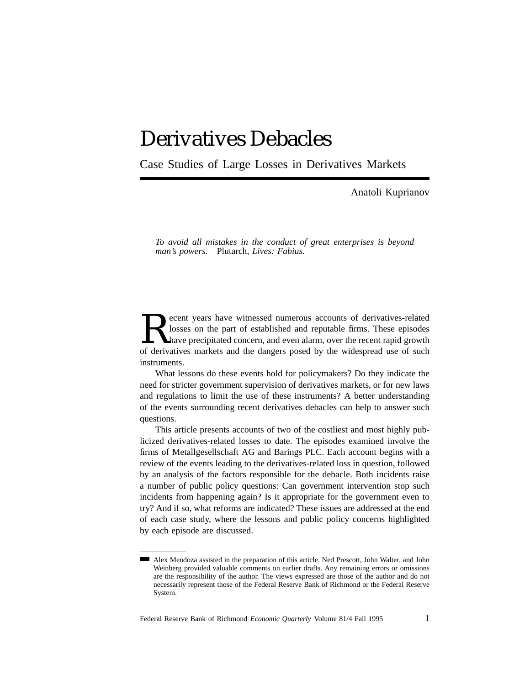# Derivatives Debacles

Case Studies of Large Losses in Derivatives Markets

Anatoli Kuprianov

*To avoid all mistakes in the conduct of great enterprises is beyond man's powers.* Plutarch, *Lives: Fabius.*

Recent years have witnessed numerous accounts of derivatives-related<br>losses on the part of established and reputable firms. These episodes<br>of derivatives markets and the dangers posed by the widespread use of such<br>above. losses on the part of established and reputable firms. These episodes have precipitated concern, and even alarm, over the recent rapid growth of derivatives markets and the dangers posed by the widespread use of such instruments.

What lessons do these events hold for policymakers? Do they indicate the need for stricter government supervision of derivatives markets, or for new laws and regulations to limit the use of these instruments? A better understanding of the events surrounding recent derivatives debacles can help to answer such questions.

This article presents accounts of two of the costliest and most highly publicized derivatives-related losses to date. The episodes examined involve the firms of Metallgesellschaft AG and Barings PLC. Each account begins with a review of the events leading to the derivatives-related loss in question, followed by an analysis of the factors responsible for the debacle. Both incidents raise a number of public policy questions: Can government intervention stop such incidents from happening again? Is it appropriate for the government even to try? And if so, what reforms are indicated? These issues are addressed at the end of each case study, where the lessons and public policy concerns highlighted by each episode are discussed.

Alex Mendoza assisted in the preparation of this article. Ned Prescott, John Walter, and John Weinberg provided valuable comments on earlier drafts. Any remaining errors or omissions are the responsibility of the author. The views expressed are those of the author and do not necessarily represent those of the Federal Reserve Bank of Richmond or the Federal Reserve System.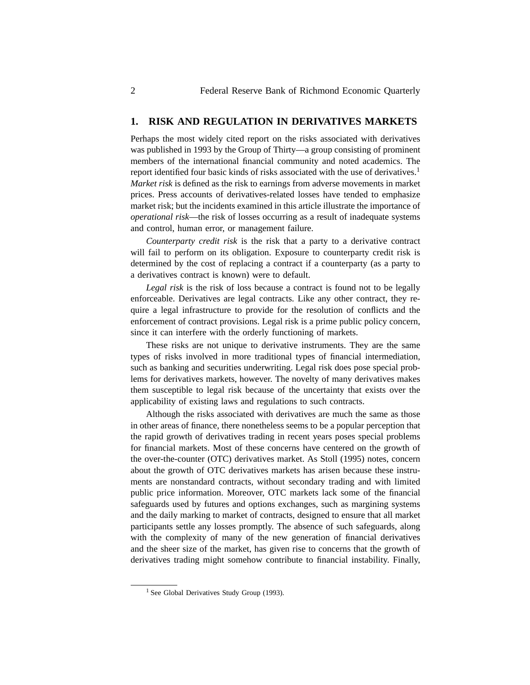# **1. RISK AND REGULATION IN DERIVATIVES MARKETS**

Perhaps the most widely cited report on the risks associated with derivatives was published in 1993 by the Group of Thirty—a group consisting of prominent members of the international financial community and noted academics. The report identified four basic kinds of risks associated with the use of derivatives.<sup>1</sup> *Market risk* is defined as the risk to earnings from adverse movements in market prices. Press accounts of derivatives-related losses have tended to emphasize market risk; but the incidents examined in this article illustrate the importance of *operational risk*—the risk of losses occurring as a result of inadequate systems and control, human error, or management failure.

*Counterparty credit risk* is the risk that a party to a derivative contract will fail to perform on its obligation. Exposure to counterparty credit risk is determined by the cost of replacing a contract if a counterparty (as a party to a derivatives contract is known) were to default.

*Legal risk* is the risk of loss because a contract is found not to be legally enforceable. Derivatives are legal contracts. Like any other contract, they require a legal infrastructure to provide for the resolution of conflicts and the enforcement of contract provisions. Legal risk is a prime public policy concern, since it can interfere with the orderly functioning of markets.

These risks are not unique to derivative instruments. They are the same types of risks involved in more traditional types of financial intermediation, such as banking and securities underwriting. Legal risk does pose special problems for derivatives markets, however. The novelty of many derivatives makes them susceptible to legal risk because of the uncertainty that exists over the applicability of existing laws and regulations to such contracts.

Although the risks associated with derivatives are much the same as those in other areas of finance, there nonetheless seems to be a popular perception that the rapid growth of derivatives trading in recent years poses special problems for financial markets. Most of these concerns have centered on the growth of the over-the-counter (OTC) derivatives market. As Stoll (1995) notes, concern about the growth of OTC derivatives markets has arisen because these instruments are nonstandard contracts, without secondary trading and with limited public price information. Moreover, OTC markets lack some of the financial safeguards used by futures and options exchanges, such as margining systems and the daily marking to market of contracts, designed to ensure that all market participants settle any losses promptly. The absence of such safeguards, along with the complexity of many of the new generation of financial derivatives and the sheer size of the market, has given rise to concerns that the growth of derivatives trading might somehow contribute to financial instability. Finally,

<sup>&</sup>lt;sup>1</sup> See Global Derivatives Study Group (1993).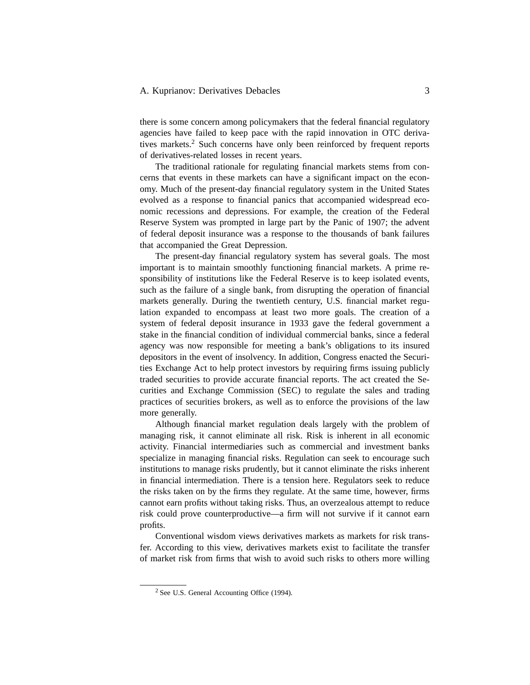there is some concern among policymakers that the federal financial regulatory agencies have failed to keep pace with the rapid innovation in OTC derivatives markets.<sup>2</sup> Such concerns have only been reinforced by frequent reports of derivatives-related losses in recent years.

The traditional rationale for regulating financial markets stems from concerns that events in these markets can have a significant impact on the economy. Much of the present-day financial regulatory system in the United States evolved as a response to financial panics that accompanied widespread economic recessions and depressions. For example, the creation of the Federal Reserve System was prompted in large part by the Panic of 1907; the advent of federal deposit insurance was a response to the thousands of bank failures that accompanied the Great Depression.

The present-day financial regulatory system has several goals. The most important is to maintain smoothly functioning financial markets. A prime responsibility of institutions like the Federal Reserve is to keep isolated events, such as the failure of a single bank, from disrupting the operation of financial markets generally. During the twentieth century, U.S. financial market regulation expanded to encompass at least two more goals. The creation of a system of federal deposit insurance in 1933 gave the federal government a stake in the financial condition of individual commercial banks, since a federal agency was now responsible for meeting a bank's obligations to its insured depositors in the event of insolvency. In addition, Congress enacted the Securities Exchange Act to help protect investors by requiring firms issuing publicly traded securities to provide accurate financial reports. The act created the Securities and Exchange Commission (SEC) to regulate the sales and trading practices of securities brokers, as well as to enforce the provisions of the law more generally.

Although financial market regulation deals largely with the problem of managing risk, it cannot eliminate all risk. Risk is inherent in all economic activity. Financial intermediaries such as commercial and investment banks specialize in managing financial risks. Regulation can seek to encourage such institutions to manage risks prudently, but it cannot eliminate the risks inherent in financial intermediation. There is a tension here. Regulators seek to reduce the risks taken on by the firms they regulate. At the same time, however, firms cannot earn profits without taking risks. Thus, an overzealous attempt to reduce risk could prove counterproductive—a firm will not survive if it cannot earn profits.

Conventional wisdom views derivatives markets as markets for risk transfer. According to this view, derivatives markets exist to facilitate the transfer of market risk from firms that wish to avoid such risks to others more willing

<sup>2</sup> See U.S. General Accounting Office (1994).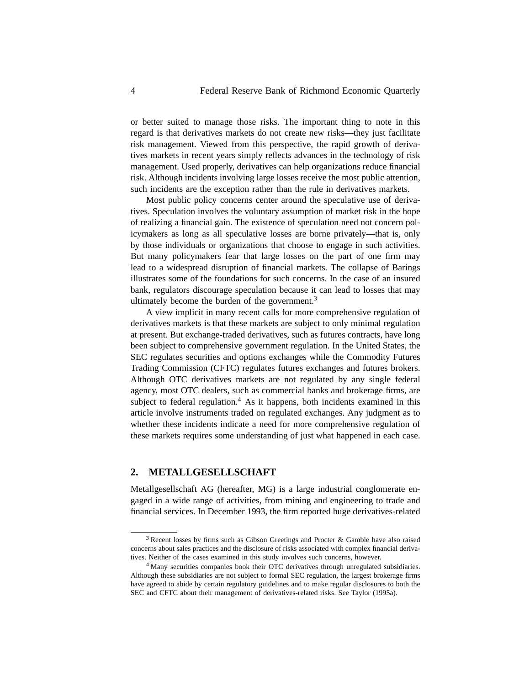or better suited to manage those risks. The important thing to note in this regard is that derivatives markets do not create new risks—they just facilitate risk management. Viewed from this perspective, the rapid growth of derivatives markets in recent years simply reflects advances in the technology of risk management. Used properly, derivatives can help organizations reduce financial risk. Although incidents involving large losses receive the most public attention, such incidents are the exception rather than the rule in derivatives markets.

Most public policy concerns center around the speculative use of derivatives. Speculation involves the voluntary assumption of market risk in the hope of realizing a financial gain. The existence of speculation need not concern policymakers as long as all speculative losses are borne privately—that is, only by those individuals or organizations that choose to engage in such activities. But many policymakers fear that large losses on the part of one firm may lead to a widespread disruption of financial markets. The collapse of Barings illustrates some of the foundations for such concerns. In the case of an insured bank, regulators discourage speculation because it can lead to losses that may ultimately become the burden of the government. $3$ 

A view implicit in many recent calls for more comprehensive regulation of derivatives markets is that these markets are subject to only minimal regulation at present. But exchange-traded derivatives, such as futures contracts, have long been subject to comprehensive government regulation. In the United States, the SEC regulates securities and options exchanges while the Commodity Futures Trading Commission (CFTC) regulates futures exchanges and futures brokers. Although OTC derivatives markets are not regulated by any single federal agency, most OTC dealers, such as commercial banks and brokerage firms, are subject to federal regulation. $4$  As it happens, both incidents examined in this article involve instruments traded on regulated exchanges. Any judgment as to whether these incidents indicate a need for more comprehensive regulation of these markets requires some understanding of just what happened in each case.

# **2. METALLGESELLSCHAFT**

Metallgesellschaft AG (hereafter, MG) is a large industrial conglomerate engaged in a wide range of activities, from mining and engineering to trade and financial services. In December 1993, the firm reported huge derivatives-related

 $3$  Recent losses by firms such as Gibson Greetings and Procter & Gamble have also raised concerns about sales practices and the disclosure of risks associated with complex financial derivatives. Neither of the cases examined in this study involves such concerns, however.

<sup>&</sup>lt;sup>4</sup> Many securities companies book their OTC derivatives through unregulated subsidiaries. Although these subsidiaries are not subject to formal SEC regulation, the largest brokerage firms have agreed to abide by certain regulatory guidelines and to make regular disclosures to both the SEC and CFTC about their management of derivatives-related risks. See Taylor (1995a).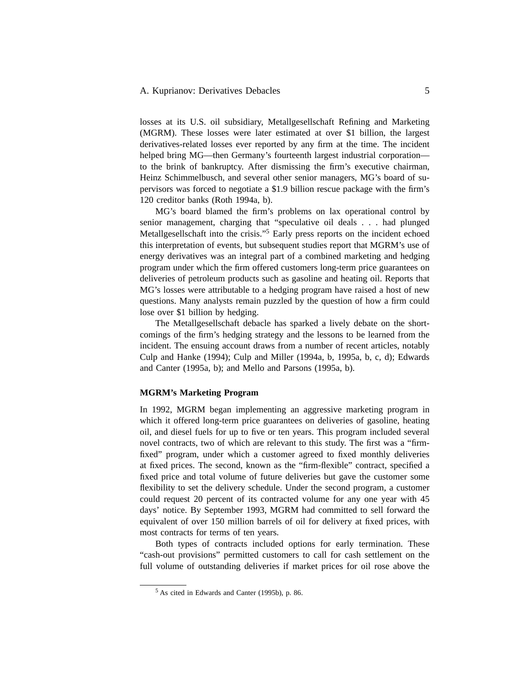losses at its U.S. oil subsidiary, Metallgesellschaft Refining and Marketing (MGRM). These losses were later estimated at over \$1 billion, the largest derivatives-related losses ever reported by any firm at the time. The incident helped bring MG—then Germany's fourteenth largest industrial corporation to the brink of bankruptcy. After dismissing the firm's executive chairman, Heinz Schimmelbusch, and several other senior managers, MG's board of supervisors was forced to negotiate a \$1.9 billion rescue package with the firm's 120 creditor banks (Roth 1994a, b).

MG's board blamed the firm's problems on lax operational control by senior management, charging that "speculative oil deals . . . had plunged Metallgesellschaft into the crisis."5 Early press reports on the incident echoed this interpretation of events, but subsequent studies report that MGRM's use of energy derivatives was an integral part of a combined marketing and hedging program under which the firm offered customers long-term price guarantees on deliveries of petroleum products such as gasoline and heating oil. Reports that MG's losses were attributable to a hedging program have raised a host of new questions. Many analysts remain puzzled by the question of how a firm could lose over \$1 billion by hedging.

The Metallgesellschaft debacle has sparked a lively debate on the shortcomings of the firm's hedging strategy and the lessons to be learned from the incident. The ensuing account draws from a number of recent articles, notably Culp and Hanke (1994); Culp and Miller (1994a, b, 1995a, b, c, d); Edwards and Canter (1995a, b); and Mello and Parsons (1995a, b).

#### **MGRM's Marketing Program**

In 1992, MGRM began implementing an aggressive marketing program in which it offered long-term price guarantees on deliveries of gasoline, heating oil, and diesel fuels for up to five or ten years. This program included several novel contracts, two of which are relevant to this study. The first was a "firmfixed" program, under which a customer agreed to fixed monthly deliveries at fixed prices. The second, known as the "firm-flexible" contract, specified a fixed price and total volume of future deliveries but gave the customer some flexibility to set the delivery schedule. Under the second program, a customer could request 20 percent of its contracted volume for any one year with 45 days' notice. By September 1993, MGRM had committed to sell forward the equivalent of over 150 million barrels of oil for delivery at fixed prices, with most contracts for terms of ten years.

Both types of contracts included options for early termination. These "cash-out provisions" permitted customers to call for cash settlement on the full volume of outstanding deliveries if market prices for oil rose above the

<sup>5</sup> As cited in Edwards and Canter (1995b), p. 86.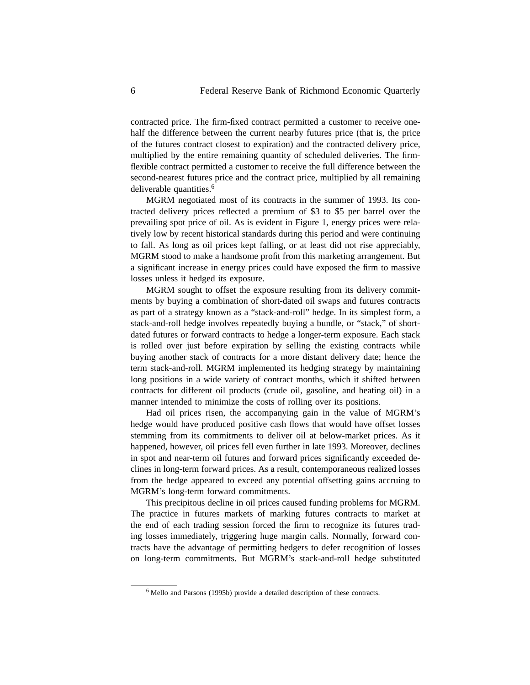contracted price. The firm-fixed contract permitted a customer to receive onehalf the difference between the current nearby futures price (that is, the price of the futures contract closest to expiration) and the contracted delivery price, multiplied by the entire remaining quantity of scheduled deliveries. The firmflexible contract permitted a customer to receive the full difference between the second-nearest futures price and the contract price, multiplied by all remaining deliverable quantities.<sup>6</sup>

MGRM negotiated most of its contracts in the summer of 1993. Its contracted delivery prices reflected a premium of \$3 to \$5 per barrel over the prevailing spot price of oil. As is evident in Figure 1, energy prices were relatively low by recent historical standards during this period and were continuing to fall. As long as oil prices kept falling, or at least did not rise appreciably, MGRM stood to make a handsome profit from this marketing arrangement. But a significant increase in energy prices could have exposed the firm to massive losses unless it hedged its exposure.

MGRM sought to offset the exposure resulting from its delivery commitments by buying a combination of short-dated oil swaps and futures contracts as part of a strategy known as a "stack-and-roll" hedge. In its simplest form, a stack-and-roll hedge involves repeatedly buying a bundle, or "stack," of shortdated futures or forward contracts to hedge a longer-term exposure. Each stack is rolled over just before expiration by selling the existing contracts while buying another stack of contracts for a more distant delivery date; hence the term stack-and-roll. MGRM implemented its hedging strategy by maintaining long positions in a wide variety of contract months, which it shifted between contracts for different oil products (crude oil, gasoline, and heating oil) in a manner intended to minimize the costs of rolling over its positions.

Had oil prices risen, the accompanying gain in the value of MGRM's hedge would have produced positive cash flows that would have offset losses stemming from its commitments to deliver oil at below-market prices. As it happened, however, oil prices fell even further in late 1993. Moreover, declines in spot and near-term oil futures and forward prices significantly exceeded declines in long-term forward prices. As a result, contemporaneous realized losses from the hedge appeared to exceed any potential offsetting gains accruing to MGRM's long-term forward commitments.

This precipitous decline in oil prices caused funding problems for MGRM. The practice in futures markets of marking futures contracts to market at the end of each trading session forced the firm to recognize its futures trading losses immediately, triggering huge margin calls. Normally, forward contracts have the advantage of permitting hedgers to defer recognition of losses on long-term commitments. But MGRM's stack-and-roll hedge substituted

<sup>6</sup> Mello and Parsons (1995b) provide a detailed description of these contracts.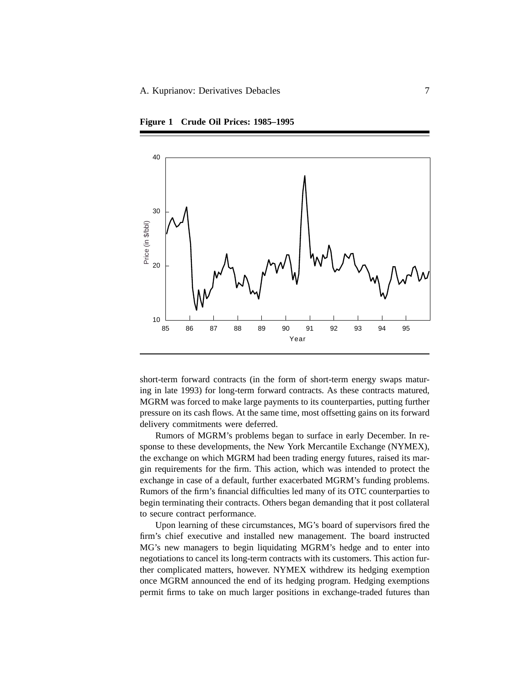



short-term forward contracts (in the form of short-term energy swaps maturing in late 1993) for long-term forward contracts. As these contracts matured, MGRM was forced to make large payments to its counterparties, putting further pressure on its cash flows. At the same time, most offsetting gains on its forward delivery commitments were deferred.

Rumors of MGRM's problems began to surface in early December. In response to these developments, the New York Mercantile Exchange (NYMEX), the exchange on which MGRM had been trading energy futures, raised its margin requirements for the firm. This action, which was intended to protect the exchange in case of a default, further exacerbated MGRM's funding problems. Rumors of the firm's financial difficulties led many of its OTC counterparties to begin terminating their contracts. Others began demanding that it post collateral to secure contract performance.

Upon learning of these circumstances, MG's board of supervisors fired the firm's chief executive and installed new management. The board instructed MG's new managers to begin liquidating MGRM's hedge and to enter into negotiations to cancel its long-term contracts with its customers. This action further complicated matters, however. NYMEX withdrew its hedging exemption once MGRM announced the end of its hedging program. Hedging exemptions permit firms to take on much larger positions in exchange-traded futures than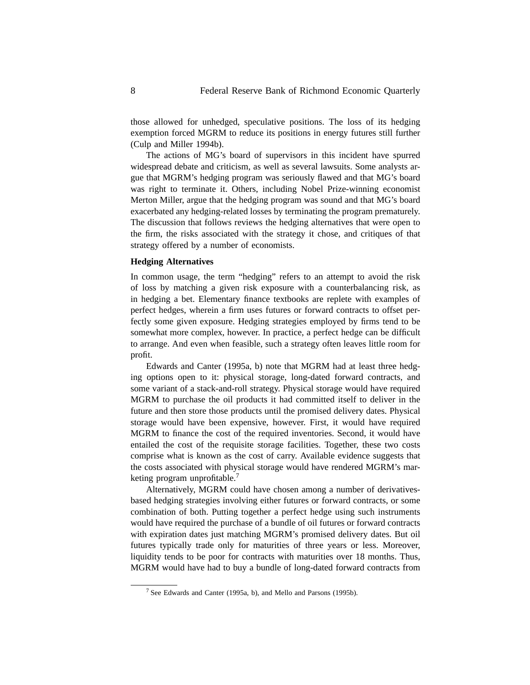those allowed for unhedged, speculative positions. The loss of its hedging exemption forced MGRM to reduce its positions in energy futures still further (Culp and Miller 1994b).

The actions of MG's board of supervisors in this incident have spurred widespread debate and criticism, as well as several lawsuits. Some analysts argue that MGRM's hedging program was seriously flawed and that MG's board was right to terminate it. Others, including Nobel Prize-winning economist Merton Miller, argue that the hedging program was sound and that MG's board exacerbated any hedging-related losses by terminating the program prematurely. The discussion that follows reviews the hedging alternatives that were open to the firm, the risks associated with the strategy it chose, and critiques of that strategy offered by a number of economists.

# **Hedging Alternatives**

In common usage, the term "hedging" refers to an attempt to avoid the risk of loss by matching a given risk exposure with a counterbalancing risk, as in hedging a bet. Elementary finance textbooks are replete with examples of perfect hedges, wherein a firm uses futures or forward contracts to offset perfectly some given exposure. Hedging strategies employed by firms tend to be somewhat more complex, however. In practice, a perfect hedge can be difficult to arrange. And even when feasible, such a strategy often leaves little room for profit.

Edwards and Canter (1995a, b) note that MGRM had at least three hedging options open to it: physical storage, long-dated forward contracts, and some variant of a stack-and-roll strategy. Physical storage would have required MGRM to purchase the oil products it had committed itself to deliver in the future and then store those products until the promised delivery dates. Physical storage would have been expensive, however. First, it would have required MGRM to finance the cost of the required inventories. Second, it would have entailed the cost of the requisite storage facilities. Together, these two costs comprise what is known as the cost of carry. Available evidence suggests that the costs associated with physical storage would have rendered MGRM's marketing program unprofitable.<sup>7</sup>

Alternatively, MGRM could have chosen among a number of derivativesbased hedging strategies involving either futures or forward contracts, or some combination of both. Putting together a perfect hedge using such instruments would have required the purchase of a bundle of oil futures or forward contracts with expiration dates just matching MGRM's promised delivery dates. But oil futures typically trade only for maturities of three years or less. Moreover, liquidity tends to be poor for contracts with maturities over 18 months. Thus, MGRM would have had to buy a bundle of long-dated forward contracts from

 $7$  See Edwards and Canter (1995a, b), and Mello and Parsons (1995b).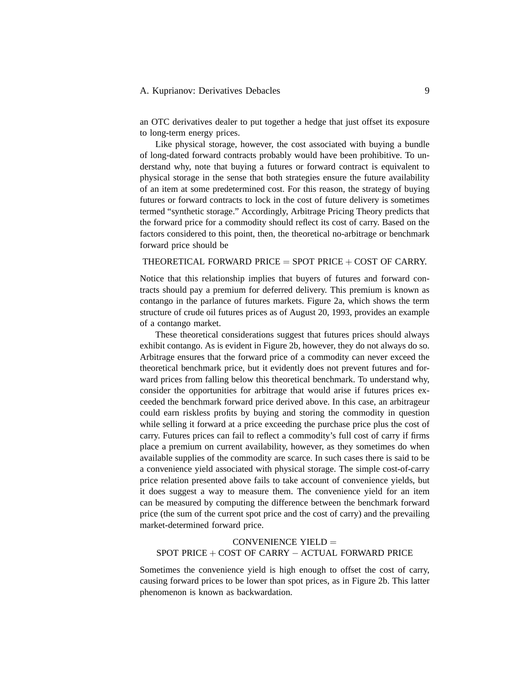an OTC derivatives dealer to put together a hedge that just offset its exposure to long-term energy prices.

Like physical storage, however, the cost associated with buying a bundle of long-dated forward contracts probably would have been prohibitive. To understand why, note that buying a futures or forward contract is equivalent to physical storage in the sense that both strategies ensure the future availability of an item at some predetermined cost. For this reason, the strategy of buying futures or forward contracts to lock in the cost of future delivery is sometimes termed "synthetic storage." Accordingly, Arbitrage Pricing Theory predicts that the forward price for a commodity should reflect its cost of carry. Based on the factors considered to this point, then, the theoretical no-arbitrage or benchmark forward price should be

## THEORETICAL FORWARD PRICE  $=$  SPOT PRICE  $+$  COST OF CARRY.

Notice that this relationship implies that buyers of futures and forward contracts should pay a premium for deferred delivery. This premium is known as contango in the parlance of futures markets. Figure 2a, which shows the term structure of crude oil futures prices as of August 20, 1993, provides an example of a contango market.

These theoretical considerations suggest that futures prices should always exhibit contango. As is evident in Figure 2b, however, they do not always do so. Arbitrage ensures that the forward price of a commodity can never exceed the theoretical benchmark price, but it evidently does not prevent futures and forward prices from falling below this theoretical benchmark. To understand why, consider the opportunities for arbitrage that would arise if futures prices exceeded the benchmark forward price derived above. In this case, an arbitrageur could earn riskless profits by buying and storing the commodity in question while selling it forward at a price exceeding the purchase price plus the cost of carry. Futures prices can fail to reflect a commodity's full cost of carry if firms place a premium on current availability, however, as they sometimes do when available supplies of the commodity are scarce. In such cases there is said to be a convenience yield associated with physical storage. The simple cost-of-carry price relation presented above fails to take account of convenience yields, but it does suggest a way to measure them. The convenience yield for an item can be measured by computing the difference between the benchmark forward price (the sum of the current spot price and the cost of carry) and the prevailing market-determined forward price.

# $CONVENIENCE YIELD =$ SPOT PRICE + COST OF CARRY − ACTUAL FORWARD PRICE

Sometimes the convenience yield is high enough to offset the cost of carry, causing forward prices to be lower than spot prices, as in Figure 2b. This latter phenomenon is known as backwardation.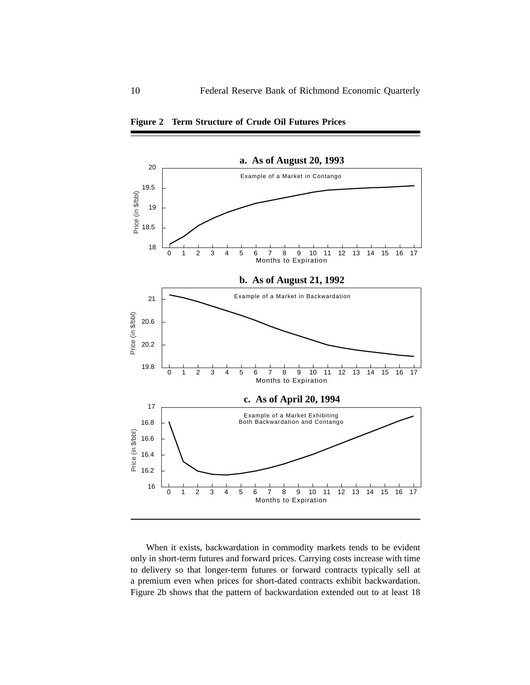

**Figure 2 Term Structure of Crude Oil Futures Prices**

When it exists, backwardation in commodity markets tends to be evident only in short-term futures and forward prices. Carrying costs increase with time to delivery so that longer-term futures or forward contracts typically sell at a premium even when prices for short-dated contracts exhibit backwardation. Figure 2b shows that the pattern of backwardation extended out to at least 18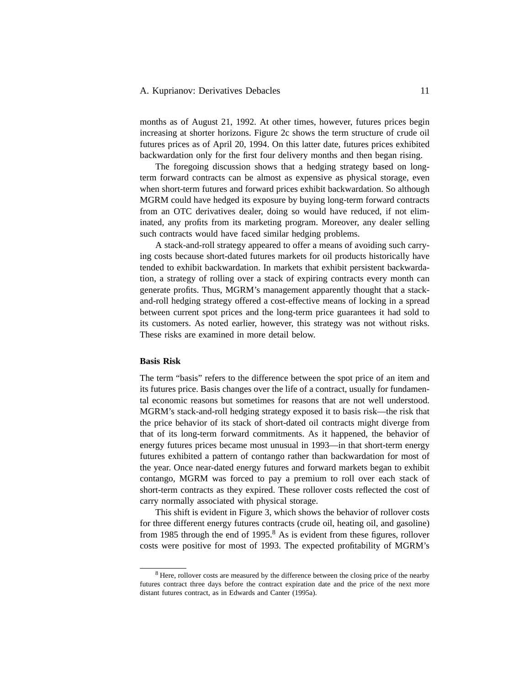months as of August 21, 1992. At other times, however, futures prices begin increasing at shorter horizons. Figure 2c shows the term structure of crude oil futures prices as of April 20, 1994. On this latter date, futures prices exhibited backwardation only for the first four delivery months and then began rising.

The foregoing discussion shows that a hedging strategy based on longterm forward contracts can be almost as expensive as physical storage, even when short-term futures and forward prices exhibit backwardation. So although MGRM could have hedged its exposure by buying long-term forward contracts from an OTC derivatives dealer, doing so would have reduced, if not eliminated, any profits from its marketing program. Moreover, any dealer selling such contracts would have faced similar hedging problems.

A stack-and-roll strategy appeared to offer a means of avoiding such carrying costs because short-dated futures markets for oil products historically have tended to exhibit backwardation. In markets that exhibit persistent backwardation, a strategy of rolling over a stack of expiring contracts every month can generate profits. Thus, MGRM's management apparently thought that a stackand-roll hedging strategy offered a cost-effective means of locking in a spread between current spot prices and the long-term price guarantees it had sold to its customers. As noted earlier, however, this strategy was not without risks. These risks are examined in more detail below.

#### **Basis Risk**

The term "basis" refers to the difference between the spot price of an item and its futures price. Basis changes over the life of a contract, usually for fundamental economic reasons but sometimes for reasons that are not well understood. MGRM's stack-and-roll hedging strategy exposed it to basis risk—the risk that the price behavior of its stack of short-dated oil contracts might diverge from that of its long-term forward commitments. As it happened, the behavior of energy futures prices became most unusual in 1993—in that short-term energy futures exhibited a pattern of contango rather than backwardation for most of the year. Once near-dated energy futures and forward markets began to exhibit contango, MGRM was forced to pay a premium to roll over each stack of short-term contracts as they expired. These rollover costs reflected the cost of carry normally associated with physical storage.

This shift is evident in Figure 3, which shows the behavior of rollover costs for three different energy futures contracts (crude oil, heating oil, and gasoline) from 1985 through the end of 1995. $8$  As is evident from these figures, rollover costs were positive for most of 1993. The expected profitability of MGRM's

<sup>&</sup>lt;sup>8</sup> Here, rollover costs are measured by the difference between the closing price of the nearby futures contract three days before the contract expiration date and the price of the next more distant futures contract, as in Edwards and Canter (1995a).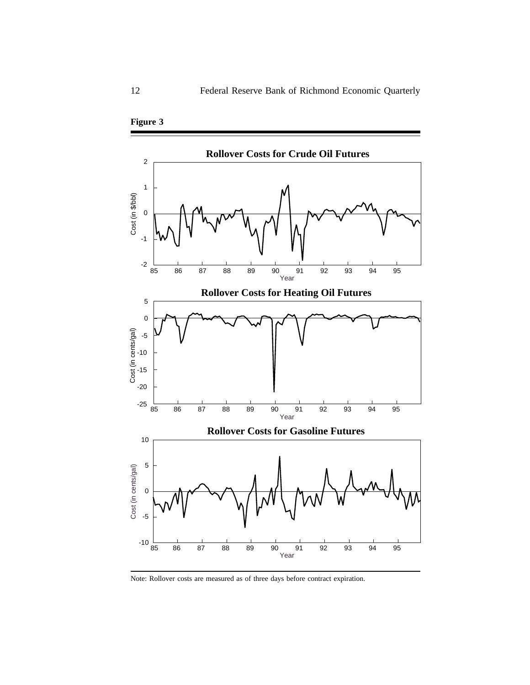



Note: Rollover costs are measured as of three days before contract expiration.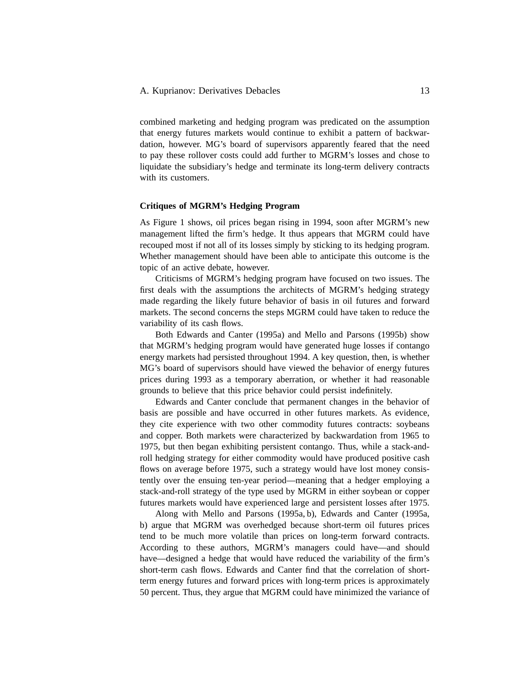combined marketing and hedging program was predicated on the assumption that energy futures markets would continue to exhibit a pattern of backwardation, however. MG's board of supervisors apparently feared that the need to pay these rollover costs could add further to MGRM's losses and chose to liquidate the subsidiary's hedge and terminate its long-term delivery contracts with its customers.

#### **Critiques of MGRM's Hedging Program**

As Figure 1 shows, oil prices began rising in 1994, soon after MGRM's new management lifted the firm's hedge. It thus appears that MGRM could have recouped most if not all of its losses simply by sticking to its hedging program. Whether management should have been able to anticipate this outcome is the topic of an active debate, however.

Criticisms of MGRM's hedging program have focused on two issues. The first deals with the assumptions the architects of MGRM's hedging strategy made regarding the likely future behavior of basis in oil futures and forward markets. The second concerns the steps MGRM could have taken to reduce the variability of its cash flows.

Both Edwards and Canter (1995a) and Mello and Parsons (1995b) show that MGRM's hedging program would have generated huge losses if contango energy markets had persisted throughout 1994. A key question, then, is whether MG's board of supervisors should have viewed the behavior of energy futures prices during 1993 as a temporary aberration, or whether it had reasonable grounds to believe that this price behavior could persist indefinitely.

Edwards and Canter conclude that permanent changes in the behavior of basis are possible and have occurred in other futures markets. As evidence, they cite experience with two other commodity futures contracts: soybeans and copper. Both markets were characterized by backwardation from 1965 to 1975, but then began exhibiting persistent contango. Thus, while a stack-androll hedging strategy for either commodity would have produced positive cash flows on average before 1975, such a strategy would have lost money consistently over the ensuing ten-year period—meaning that a hedger employing a stack-and-roll strategy of the type used by MGRM in either soybean or copper futures markets would have experienced large and persistent losses after 1975.

Along with Mello and Parsons (1995a, b), Edwards and Canter (1995a, b) argue that MGRM was overhedged because short-term oil futures prices tend to be much more volatile than prices on long-term forward contracts. According to these authors, MGRM's managers could have—and should have—designed a hedge that would have reduced the variability of the firm's short-term cash flows. Edwards and Canter find that the correlation of shortterm energy futures and forward prices with long-term prices is approximately 50 percent. Thus, they argue that MGRM could have minimized the variance of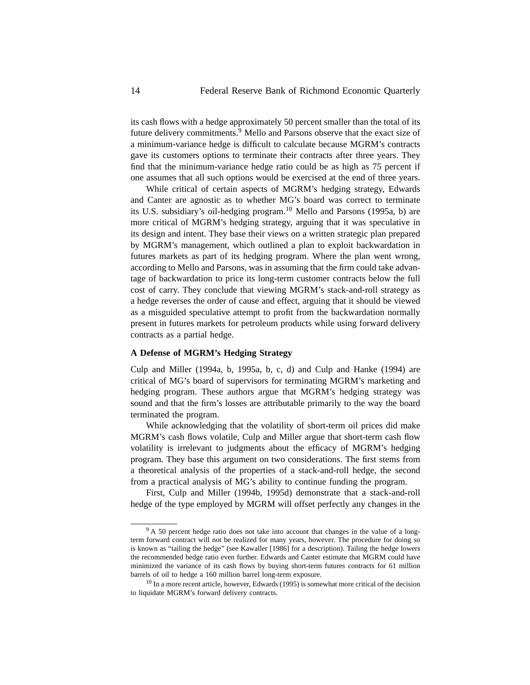its cash flows with a hedge approximately 50 percent smaller than the total of its future delivery commitments.<sup>9</sup> Mello and Parsons observe that the exact size of a minimum-variance hedge is difficult to calculate because MGRM's contracts gave its customers options to terminate their contracts after three years. They find that the minimum-variance hedge ratio could be as high as 75 percent if one assumes that all such options would be exercised at the end of three years.

While critical of certain aspects of MGRM's hedging strategy, Edwards and Canter are agnostic as to whether MG's board was correct to terminate its U.S. subsidiary's oil-hedging program.<sup>10</sup> Mello and Parsons (1995a, b) are more critical of MGRM's hedging strategy, arguing that it was speculative in its design and intent. They base their views on a written strategic plan prepared by MGRM's management, which outlined a plan to exploit backwardation in futures markets as part of its hedging program. Where the plan went wrong, according to Mello and Parsons, was in assuming that the firm could take advantage of backwardation to price its long-term customer contracts below the full cost of carry. They conclude that viewing MGRM's stack-and-roll strategy as a hedge reverses the order of cause and effect, arguing that it should be viewed as a misguided speculative attempt to profit from the backwardation normally present in futures markets for petroleum products while using forward delivery contracts as a partial hedge.

#### **A Defense of MGRM's Hedging Strategy**

Culp and Miller (1994a, b, 1995a, b, c, d) and Culp and Hanke (1994) are critical of MG's board of supervisors for terminating MGRM's marketing and hedging program. These authors argue that MGRM's hedging strategy was sound and that the firm's losses are attributable primarily to the way the board terminated the program.

While acknowledging that the volatility of short-term oil prices did make MGRM's cash flows volatile, Culp and Miller argue that short-term cash flow volatility is irrelevant to judgments about the efficacy of MGRM's hedging program. They base this argument on two considerations. The first stems from a theoretical analysis of the properties of a stack-and-roll hedge, the second from a practical analysis of MG's ability to continue funding the program.

First, Culp and Miller (1994b, 1995d) demonstrate that a stack-and-roll hedge of the type employed by MGRM will offset perfectly any changes in the

<sup>&</sup>lt;sup>9</sup> A 50 percent hedge ratio does not take into account that changes in the value of a longterm forward contract will not be realized for many years, however. The procedure for doing so is known as "tailing the hedge" (see Kawaller [1986] for a description). Tailing the hedge lowers the recommended hedge ratio even further. Edwards and Canter estimate that MGRM could have minimized the variance of its cash flows by buying short-term futures contracts for 61 million barrels of oil to hedge a 160 million barrel long-term exposure.

<sup>&</sup>lt;sup>10</sup> In a more recent article, however, Edwards (1995) is somewhat more critical of the decision to liquidate MGRM's forward delivery contracts.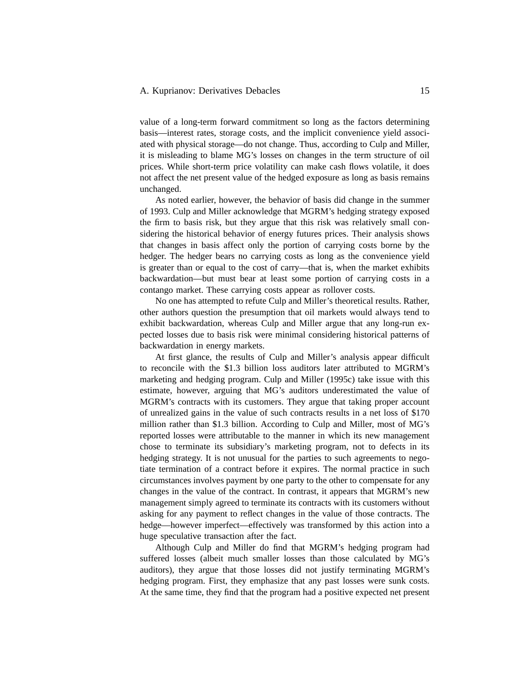value of a long-term forward commitment so long as the factors determining basis—interest rates, storage costs, and the implicit convenience yield associated with physical storage—do not change. Thus, according to Culp and Miller, it is misleading to blame MG's losses on changes in the term structure of oil prices. While short-term price volatility can make cash flows volatile, it does not affect the net present value of the hedged exposure as long as basis remains unchanged.

As noted earlier, however, the behavior of basis did change in the summer of 1993. Culp and Miller acknowledge that MGRM's hedging strategy exposed the firm to basis risk, but they argue that this risk was relatively small considering the historical behavior of energy futures prices. Their analysis shows that changes in basis affect only the portion of carrying costs borne by the hedger. The hedger bears no carrying costs as long as the convenience yield is greater than or equal to the cost of carry—that is, when the market exhibits backwardation—but must bear at least some portion of carrying costs in a contango market. These carrying costs appear as rollover costs.

No one has attempted to refute Culp and Miller's theoretical results. Rather, other authors question the presumption that oil markets would always tend to exhibit backwardation, whereas Culp and Miller argue that any long-run expected losses due to basis risk were minimal considering historical patterns of backwardation in energy markets.

At first glance, the results of Culp and Miller's analysis appear difficult to reconcile with the \$1.3 billion loss auditors later attributed to MGRM's marketing and hedging program. Culp and Miller (1995c) take issue with this estimate, however, arguing that MG's auditors underestimated the value of MGRM's contracts with its customers. They argue that taking proper account of unrealized gains in the value of such contracts results in a net loss of \$170 million rather than \$1.3 billion. According to Culp and Miller, most of MG's reported losses were attributable to the manner in which its new management chose to terminate its subsidiary's marketing program, not to defects in its hedging strategy. It is not unusual for the parties to such agreements to negotiate termination of a contract before it expires. The normal practice in such circumstances involves payment by one party to the other to compensate for any changes in the value of the contract. In contrast, it appears that MGRM's new management simply agreed to terminate its contracts with its customers without asking for any payment to reflect changes in the value of those contracts. The hedge—however imperfect—effectively was transformed by this action into a huge speculative transaction after the fact.

Although Culp and Miller do find that MGRM's hedging program had suffered losses (albeit much smaller losses than those calculated by MG's auditors), they argue that those losses did not justify terminating MGRM's hedging program. First, they emphasize that any past losses were sunk costs. At the same time, they find that the program had a positive expected net present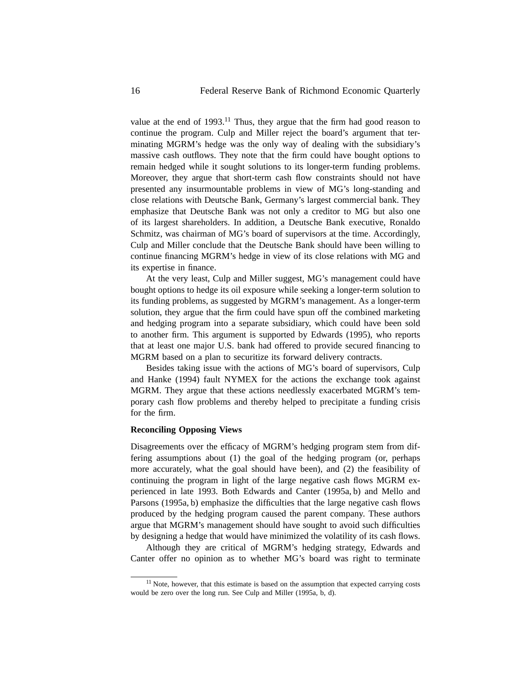value at the end of  $1993$ <sup>11</sup>. Thus, they argue that the firm had good reason to continue the program. Culp and Miller reject the board's argument that terminating MGRM's hedge was the only way of dealing with the subsidiary's massive cash outflows. They note that the firm could have bought options to remain hedged while it sought solutions to its longer-term funding problems. Moreover, they argue that short-term cash flow constraints should not have presented any insurmountable problems in view of MG's long-standing and close relations with Deutsche Bank, Germany's largest commercial bank. They emphasize that Deutsche Bank was not only a creditor to MG but also one of its largest shareholders. In addition, a Deutsche Bank executive, Ronaldo Schmitz, was chairman of MG's board of supervisors at the time. Accordingly, Culp and Miller conclude that the Deutsche Bank should have been willing to continue financing MGRM's hedge in view of its close relations with MG and its expertise in finance.

At the very least, Culp and Miller suggest, MG's management could have bought options to hedge its oil exposure while seeking a longer-term solution to its funding problems, as suggested by MGRM's management. As a longer-term solution, they argue that the firm could have spun off the combined marketing and hedging program into a separate subsidiary, which could have been sold to another firm. This argument is supported by Edwards (1995), who reports that at least one major U.S. bank had offered to provide secured financing to MGRM based on a plan to securitize its forward delivery contracts.

Besides taking issue with the actions of MG's board of supervisors, Culp and Hanke (1994) fault NYMEX for the actions the exchange took against MGRM. They argue that these actions needlessly exacerbated MGRM's temporary cash flow problems and thereby helped to precipitate a funding crisis for the firm.

## **Reconciling Opposing Views**

Disagreements over the efficacy of MGRM's hedging program stem from differing assumptions about (1) the goal of the hedging program (or, perhaps more accurately, what the goal should have been), and (2) the feasibility of continuing the program in light of the large negative cash flows MGRM experienced in late 1993. Both Edwards and Canter (1995a, b) and Mello and Parsons (1995a, b) emphasize the difficulties that the large negative cash flows produced by the hedging program caused the parent company. These authors argue that MGRM's management should have sought to avoid such difficulties by designing a hedge that would have minimized the volatility of its cash flows.

Although they are critical of MGRM's hedging strategy, Edwards and Canter offer no opinion as to whether MG's board was right to terminate

<sup>&</sup>lt;sup>11</sup> Note, however, that this estimate is based on the assumption that expected carrying costs would be zero over the long run. See Culp and Miller (1995a, b, d).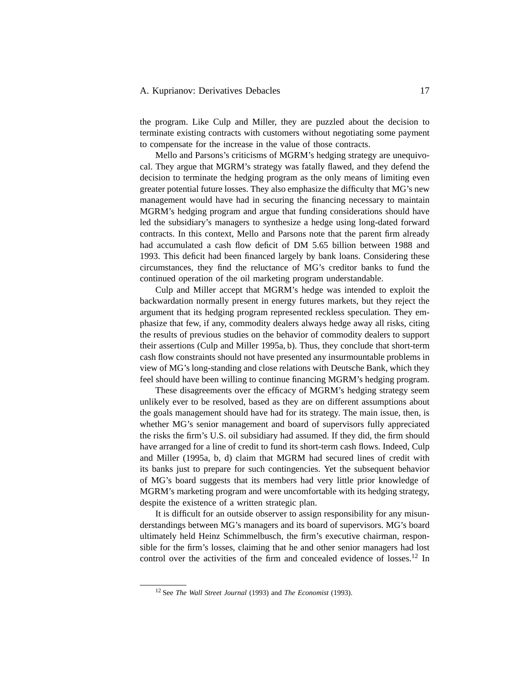the program. Like Culp and Miller, they are puzzled about the decision to terminate existing contracts with customers without negotiating some payment to compensate for the increase in the value of those contracts.

Mello and Parsons's criticisms of MGRM's hedging strategy are unequivocal. They argue that MGRM's strategy was fatally flawed, and they defend the decision to terminate the hedging program as the only means of limiting even greater potential future losses. They also emphasize the difficulty that MG's new management would have had in securing the financing necessary to maintain MGRM's hedging program and argue that funding considerations should have led the subsidiary's managers to synthesize a hedge using long-dated forward contracts. In this context, Mello and Parsons note that the parent firm already had accumulated a cash flow deficit of DM 5.65 billion between 1988 and 1993. This deficit had been financed largely by bank loans. Considering these circumstances, they find the reluctance of MG's creditor banks to fund the continued operation of the oil marketing program understandable.

Culp and Miller accept that MGRM's hedge was intended to exploit the backwardation normally present in energy futures markets, but they reject the argument that its hedging program represented reckless speculation. They emphasize that few, if any, commodity dealers always hedge away all risks, citing the results of previous studies on the behavior of commodity dealers to support their assertions (Culp and Miller 1995a, b). Thus, they conclude that short-term cash flow constraints should not have presented any insurmountable problems in view of MG's long-standing and close relations with Deutsche Bank, which they feel should have been willing to continue financing MGRM's hedging program.

These disagreements over the efficacy of MGRM's hedging strategy seem unlikely ever to be resolved, based as they are on different assumptions about the goals management should have had for its strategy. The main issue, then, is whether MG's senior management and board of supervisors fully appreciated the risks the firm's U.S. oil subsidiary had assumed. If they did, the firm should have arranged for a line of credit to fund its short-term cash flows. Indeed, Culp and Miller (1995a, b, d) claim that MGRM had secured lines of credit with its banks just to prepare for such contingencies. Yet the subsequent behavior of MG's board suggests that its members had very little prior knowledge of MGRM's marketing program and were uncomfortable with its hedging strategy, despite the existence of a written strategic plan.

It is difficult for an outside observer to assign responsibility for any misunderstandings between MG's managers and its board of supervisors. MG's board ultimately held Heinz Schimmelbusch, the firm's executive chairman, responsible for the firm's losses, claiming that he and other senior managers had lost control over the activities of the firm and concealed evidence of losses.12 In

<sup>12</sup> See *The Wall Street Journal* (1993) and *The Economist* (1993).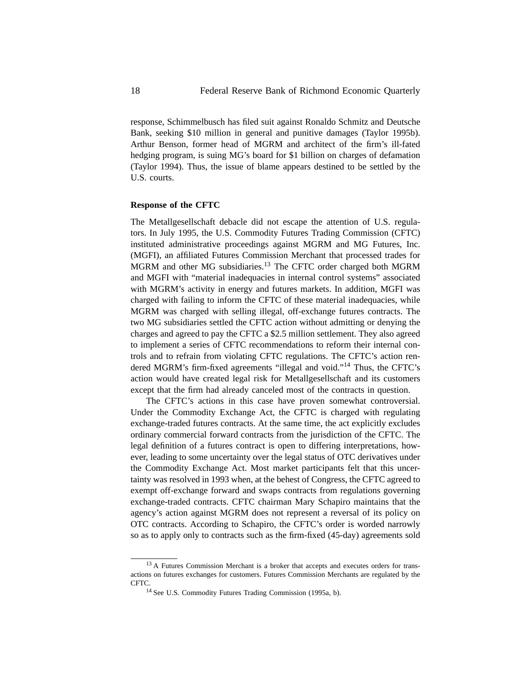response, Schimmelbusch has filed suit against Ronaldo Schmitz and Deutsche Bank, seeking \$10 million in general and punitive damages (Taylor 1995b). Arthur Benson, former head of MGRM and architect of the firm's ill-fated hedging program, is suing MG's board for \$1 billion on charges of defamation (Taylor 1994). Thus, the issue of blame appears destined to be settled by the U.S. courts.

#### **Response of the CFTC**

The Metallgesellschaft debacle did not escape the attention of U.S. regulators. In July 1995, the U.S. Commodity Futures Trading Commission (CFTC) instituted administrative proceedings against MGRM and MG Futures, Inc. (MGFI), an affiliated Futures Commission Merchant that processed trades for MGRM and other MG subsidiaries.13 The CFTC order charged both MGRM and MGFI with "material inadequacies in internal control systems" associated with MGRM's activity in energy and futures markets. In addition, MGFI was charged with failing to inform the CFTC of these material inadequacies, while MGRM was charged with selling illegal, off-exchange futures contracts. The two MG subsidiaries settled the CFTC action without admitting or denying the charges and agreed to pay the CFTC a \$2.5 million settlement. They also agreed to implement a series of CFTC recommendations to reform their internal controls and to refrain from violating CFTC regulations. The CFTC's action rendered MGRM's firm-fixed agreements "illegal and void."<sup>14</sup> Thus, the CFTC's action would have created legal risk for Metallgesellschaft and its customers except that the firm had already canceled most of the contracts in question.

The CFTC's actions in this case have proven somewhat controversial. Under the Commodity Exchange Act, the CFTC is charged with regulating exchange-traded futures contracts. At the same time, the act explicitly excludes ordinary commercial forward contracts from the jurisdiction of the CFTC. The legal definition of a futures contract is open to differing interpretations, however, leading to some uncertainty over the legal status of OTC derivatives under the Commodity Exchange Act. Most market participants felt that this uncertainty was resolved in 1993 when, at the behest of Congress, the CFTC agreed to exempt off-exchange forward and swaps contracts from regulations governing exchange-traded contracts. CFTC chairman Mary Schapiro maintains that the agency's action against MGRM does not represent a reversal of its policy on OTC contracts. According to Schapiro, the CFTC's order is worded narrowly so as to apply only to contracts such as the firm-fixed (45-day) agreements sold

<sup>&</sup>lt;sup>13</sup> A Futures Commission Merchant is a broker that accepts and executes orders for transactions on futures exchanges for customers. Futures Commission Merchants are regulated by the CFTC.

<sup>&</sup>lt;sup>14</sup> See U.S. Commodity Futures Trading Commission (1995a, b).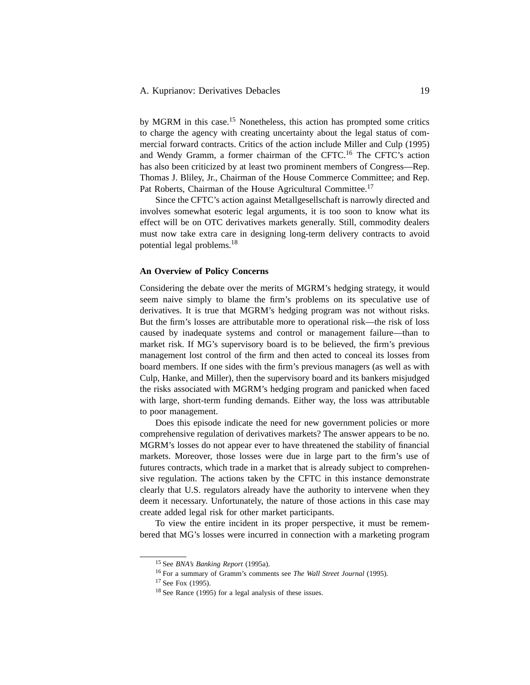by MGRM in this case.<sup>15</sup> Nonetheless, this action has prompted some critics to charge the agency with creating uncertainty about the legal status of commercial forward contracts. Critics of the action include Miller and Culp (1995) and Wendy Gramm, a former chairman of the CFTC.<sup>16</sup> The CFTC's action has also been criticized by at least two prominent members of Congress—Rep. Thomas J. Bliley, Jr., Chairman of the House Commerce Committee; and Rep. Pat Roberts, Chairman of the House Agricultural Committee.<sup>17</sup>

Since the CFTC's action against Metallgesellschaft is narrowly directed and involves somewhat esoteric legal arguments, it is too soon to know what its effect will be on OTC derivatives markets generally. Still, commodity dealers must now take extra care in designing long-term delivery contracts to avoid potential legal problems.<sup>18</sup>

#### **An Overview of Policy Concerns**

Considering the debate over the merits of MGRM's hedging strategy, it would seem naive simply to blame the firm's problems on its speculative use of derivatives. It is true that MGRM's hedging program was not without risks. But the firm's losses are attributable more to operational risk—the risk of loss caused by inadequate systems and control or management failure—than to market risk. If MG's supervisory board is to be believed, the firm's previous management lost control of the firm and then acted to conceal its losses from board members. If one sides with the firm's previous managers (as well as with Culp, Hanke, and Miller), then the supervisory board and its bankers misjudged the risks associated with MGRM's hedging program and panicked when faced with large, short-term funding demands. Either way, the loss was attributable to poor management.

Does this episode indicate the need for new government policies or more comprehensive regulation of derivatives markets? The answer appears to be no. MGRM's losses do not appear ever to have threatened the stability of financial markets. Moreover, those losses were due in large part to the firm's use of futures contracts, which trade in a market that is already subject to comprehensive regulation. The actions taken by the CFTC in this instance demonstrate clearly that U.S. regulators already have the authority to intervene when they deem it necessary. Unfortunately, the nature of those actions in this case may create added legal risk for other market participants.

To view the entire incident in its proper perspective, it must be remembered that MG's losses were incurred in connection with a marketing program

<sup>15</sup> See *BNA's Banking Report* (1995a).

<sup>16</sup> For a summary of Gramm's comments see *The Wall Street Journal* (1995).

<sup>17</sup> See Fox (1995).

<sup>18</sup> See Rance (1995) for a legal analysis of these issues.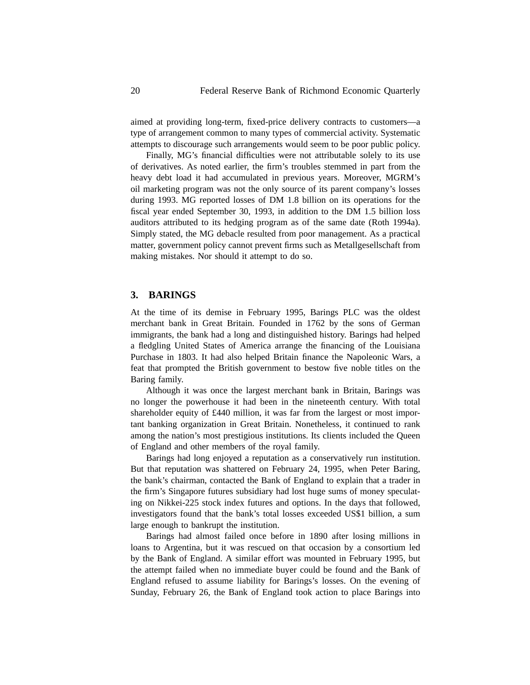aimed at providing long-term, fixed-price delivery contracts to customers—a type of arrangement common to many types of commercial activity. Systematic attempts to discourage such arrangements would seem to be poor public policy.

Finally, MG's financial difficulties were not attributable solely to its use of derivatives. As noted earlier, the firm's troubles stemmed in part from the heavy debt load it had accumulated in previous years. Moreover, MGRM's oil marketing program was not the only source of its parent company's losses during 1993. MG reported losses of DM 1.8 billion on its operations for the fiscal year ended September 30, 1993, in addition to the DM 1.5 billion loss auditors attributed to its hedging program as of the same date (Roth 1994a). Simply stated, the MG debacle resulted from poor management. As a practical matter, government policy cannot prevent firms such as Metallgesellschaft from making mistakes. Nor should it attempt to do so.

# **3. BARINGS**

At the time of its demise in February 1995, Barings PLC was the oldest merchant bank in Great Britain. Founded in 1762 by the sons of German immigrants, the bank had a long and distinguished history. Barings had helped a fledgling United States of America arrange the financing of the Louisiana Purchase in 1803. It had also helped Britain finance the Napoleonic Wars, a feat that prompted the British government to bestow five noble titles on the Baring family.

Although it was once the largest merchant bank in Britain, Barings was no longer the powerhouse it had been in the nineteenth century. With total shareholder equity of £440 million, it was far from the largest or most important banking organization in Great Britain. Nonetheless, it continued to rank among the nation's most prestigious institutions. Its clients included the Queen of England and other members of the royal family.

Barings had long enjoyed a reputation as a conservatively run institution. But that reputation was shattered on February 24, 1995, when Peter Baring, the bank's chairman, contacted the Bank of England to explain that a trader in the firm's Singapore futures subsidiary had lost huge sums of money speculating on Nikkei-225 stock index futures and options. In the days that followed, investigators found that the bank's total losses exceeded US\$1 billion, a sum large enough to bankrupt the institution.

Barings had almost failed once before in 1890 after losing millions in loans to Argentina, but it was rescued on that occasion by a consortium led by the Bank of England. A similar effort was mounted in February 1995, but the attempt failed when no immediate buyer could be found and the Bank of England refused to assume liability for Barings's losses. On the evening of Sunday, February 26, the Bank of England took action to place Barings into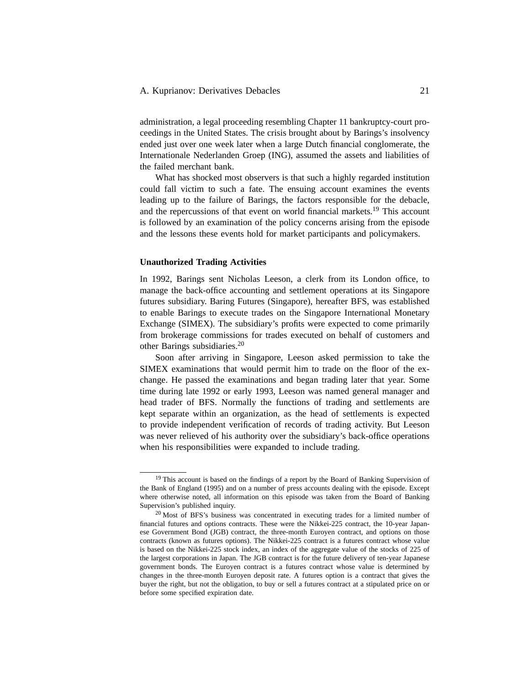administration, a legal proceeding resembling Chapter 11 bankruptcy-court proceedings in the United States. The crisis brought about by Barings's insolvency ended just over one week later when a large Dutch financial conglomerate, the Internationale Nederlanden Groep (ING), assumed the assets and liabilities of the failed merchant bank.

What has shocked most observers is that such a highly regarded institution could fall victim to such a fate. The ensuing account examines the events leading up to the failure of Barings, the factors responsible for the debacle, and the repercussions of that event on world financial markets.19 This account is followed by an examination of the policy concerns arising from the episode and the lessons these events hold for market participants and policymakers.

#### **Unauthorized Trading Activities**

In 1992, Barings sent Nicholas Leeson, a clerk from its London office, to manage the back-office accounting and settlement operations at its Singapore futures subsidiary. Baring Futures (Singapore), hereafter BFS, was established to enable Barings to execute trades on the Singapore International Monetary Exchange (SIMEX). The subsidiary's profits were expected to come primarily from brokerage commissions for trades executed on behalf of customers and other Barings subsidiaries.20

Soon after arriving in Singapore, Leeson asked permission to take the SIMEX examinations that would permit him to trade on the floor of the exchange. He passed the examinations and began trading later that year. Some time during late 1992 or early 1993, Leeson was named general manager and head trader of BFS. Normally the functions of trading and settlements are kept separate within an organization, as the head of settlements is expected to provide independent verification of records of trading activity. But Leeson was never relieved of his authority over the subsidiary's back-office operations when his responsibilities were expanded to include trading.

<sup>&</sup>lt;sup>19</sup> This account is based on the findings of a report by the Board of Banking Supervision of the Bank of England (1995) and on a number of press accounts dealing with the episode. Except where otherwise noted, all information on this episode was taken from the Board of Banking Supervision's published inquiry.

<sup>20</sup> Most of BFS's business was concentrated in executing trades for a limited number of financial futures and options contracts. These were the Nikkei-225 contract, the 10-year Japanese Government Bond (JGB) contract, the three-month Euroyen contract, and options on those contracts (known as futures options). The Nikkei-225 contract is a futures contract whose value is based on the Nikkei-225 stock index, an index of the aggregate value of the stocks of 225 of the largest corporations in Japan. The JGB contract is for the future delivery of ten-year Japanese government bonds. The Euroyen contract is a futures contract whose value is determined by changes in the three-month Euroyen deposit rate. A futures option is a contract that gives the buyer the right, but not the obligation, to buy or sell a futures contract at a stipulated price on or before some specified expiration date.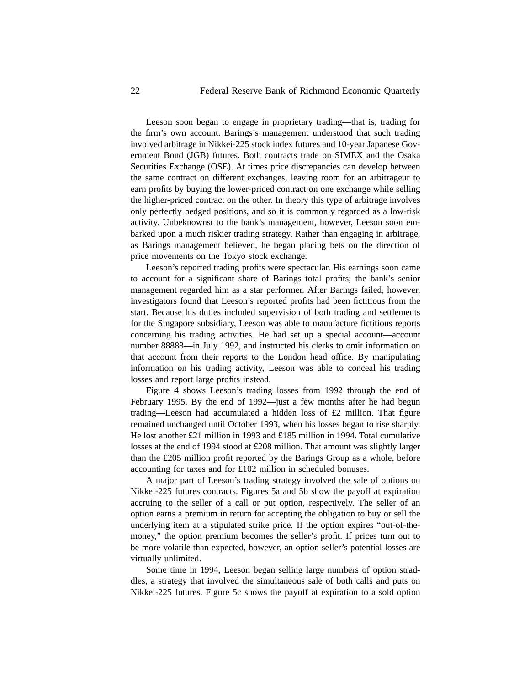Leeson soon began to engage in proprietary trading—that is, trading for the firm's own account. Barings's management understood that such trading involved arbitrage in Nikkei-225 stock index futures and 10-year Japanese Government Bond (JGB) futures. Both contracts trade on SIMEX and the Osaka Securities Exchange (OSE). At times price discrepancies can develop between the same contract on different exchanges, leaving room for an arbitrageur to earn profits by buying the lower-priced contract on one exchange while selling the higher-priced contract on the other. In theory this type of arbitrage involves only perfectly hedged positions, and so it is commonly regarded as a low-risk activity. Unbeknownst to the bank's management, however, Leeson soon embarked upon a much riskier trading strategy. Rather than engaging in arbitrage, as Barings management believed, he began placing bets on the direction of price movements on the Tokyo stock exchange.

Leeson's reported trading profits were spectacular. His earnings soon came to account for a significant share of Barings total profits; the bank's senior management regarded him as a star performer. After Barings failed, however, investigators found that Leeson's reported profits had been fictitious from the start. Because his duties included supervision of both trading and settlements for the Singapore subsidiary, Leeson was able to manufacture fictitious reports concerning his trading activities. He had set up a special account—account number 88888—in July 1992, and instructed his clerks to omit information on that account from their reports to the London head office. By manipulating information on his trading activity, Leeson was able to conceal his trading losses and report large profits instead.

Figure 4 shows Leeson's trading losses from 1992 through the end of February 1995. By the end of 1992—just a few months after he had begun trading—Leeson had accumulated a hidden loss of £2 million. That figure remained unchanged until October 1993, when his losses began to rise sharply. He lost another £21 million in 1993 and £185 million in 1994. Total cumulative losses at the end of 1994 stood at £208 million. That amount was slightly larger than the £205 million profit reported by the Barings Group as a whole, before accounting for taxes and for £102 million in scheduled bonuses.

A major part of Leeson's trading strategy involved the sale of options on Nikkei-225 futures contracts. Figures 5a and 5b show the payoff at expiration accruing to the seller of a call or put option, respectively. The seller of an option earns a premium in return for accepting the obligation to buy or sell the underlying item at a stipulated strike price. If the option expires "out-of-themoney," the option premium becomes the seller's profit. If prices turn out to be more volatile than expected, however, an option seller's potential losses are virtually unlimited.

Some time in 1994, Leeson began selling large numbers of option straddles, a strategy that involved the simultaneous sale of both calls and puts on Nikkei-225 futures. Figure 5c shows the payoff at expiration to a sold option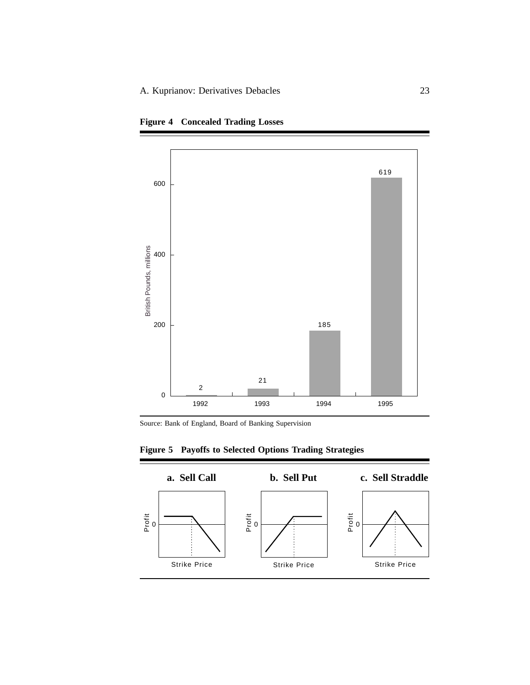

**Figure 4 Concealed Trading Losses**

Source: Bank of England, Board of Banking Supervision

**Figure 5 Payoffs to Selected Options Trading Strategies**

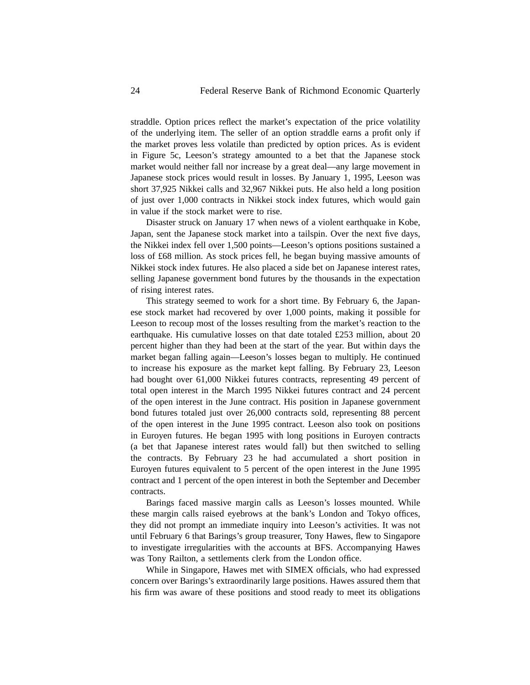straddle. Option prices reflect the market's expectation of the price volatility of the underlying item. The seller of an option straddle earns a profit only if the market proves less volatile than predicted by option prices. As is evident in Figure 5c, Leeson's strategy amounted to a bet that the Japanese stock market would neither fall nor increase by a great deal—any large movement in Japanese stock prices would result in losses. By January 1, 1995, Leeson was short 37,925 Nikkei calls and 32,967 Nikkei puts. He also held a long position of just over 1,000 contracts in Nikkei stock index futures, which would gain in value if the stock market were to rise.

Disaster struck on January 17 when news of a violent earthquake in Kobe, Japan, sent the Japanese stock market into a tailspin. Over the next five days, the Nikkei index fell over 1,500 points—Leeson's options positions sustained a loss of £68 million. As stock prices fell, he began buying massive amounts of Nikkei stock index futures. He also placed a side bet on Japanese interest rates, selling Japanese government bond futures by the thousands in the expectation of rising interest rates.

This strategy seemed to work for a short time. By February 6, the Japanese stock market had recovered by over 1,000 points, making it possible for Leeson to recoup most of the losses resulting from the market's reaction to the earthquake. His cumulative losses on that date totaled £253 million, about 20 percent higher than they had been at the start of the year. But within days the market began falling again—Leeson's losses began to multiply. He continued to increase his exposure as the market kept falling. By February 23, Leeson had bought over 61,000 Nikkei futures contracts, representing 49 percent of total open interest in the March 1995 Nikkei futures contract and 24 percent of the open interest in the June contract. His position in Japanese government bond futures totaled just over 26,000 contracts sold, representing 88 percent of the open interest in the June 1995 contract. Leeson also took on positions in Euroyen futures. He began 1995 with long positions in Euroyen contracts (a bet that Japanese interest rates would fall) but then switched to selling the contracts. By February 23 he had accumulated a short position in Euroyen futures equivalent to 5 percent of the open interest in the June 1995 contract and 1 percent of the open interest in both the September and December contracts.

Barings faced massive margin calls as Leeson's losses mounted. While these margin calls raised eyebrows at the bank's London and Tokyo offices, they did not prompt an immediate inquiry into Leeson's activities. It was not until February 6 that Barings's group treasurer, Tony Hawes, flew to Singapore to investigate irregularities with the accounts at BFS. Accompanying Hawes was Tony Railton, a settlements clerk from the London office.

While in Singapore, Hawes met with SIMEX officials, who had expressed concern over Barings's extraordinarily large positions. Hawes assured them that his firm was aware of these positions and stood ready to meet its obligations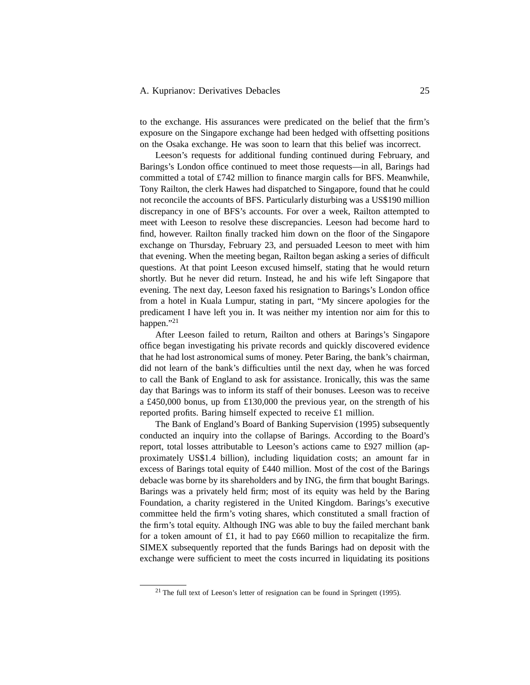to the exchange. His assurances were predicated on the belief that the firm's exposure on the Singapore exchange had been hedged with offsetting positions on the Osaka exchange. He was soon to learn that this belief was incorrect.

Leeson's requests for additional funding continued during February, and Barings's London office continued to meet those requests—in all, Barings had committed a total of £742 million to finance margin calls for BFS. Meanwhile, Tony Railton, the clerk Hawes had dispatched to Singapore, found that he could not reconcile the accounts of BFS. Particularly disturbing was a US\$190 million discrepancy in one of BFS's accounts. For over a week, Railton attempted to meet with Leeson to resolve these discrepancies. Leeson had become hard to find, however. Railton finally tracked him down on the floor of the Singapore exchange on Thursday, February 23, and persuaded Leeson to meet with him that evening. When the meeting began, Railton began asking a series of difficult questions. At that point Leeson excused himself, stating that he would return shortly. But he never did return. Instead, he and his wife left Singapore that evening. The next day, Leeson faxed his resignation to Barings's London office from a hotel in Kuala Lumpur, stating in part, "My sincere apologies for the predicament I have left you in. It was neither my intention nor aim for this to happen."21

After Leeson failed to return, Railton and others at Barings's Singapore office began investigating his private records and quickly discovered evidence that he had lost astronomical sums of money. Peter Baring, the bank's chairman, did not learn of the bank's difficulties until the next day, when he was forced to call the Bank of England to ask for assistance. Ironically, this was the same day that Barings was to inform its staff of their bonuses. Leeson was to receive a £450,000 bonus, up from £130,000 the previous year, on the strength of his reported profits. Baring himself expected to receive £1 million.

The Bank of England's Board of Banking Supervision (1995) subsequently conducted an inquiry into the collapse of Barings. According to the Board's report, total losses attributable to Leeson's actions came to £927 million (approximately US\$1.4 billion), including liquidation costs; an amount far in excess of Barings total equity of £440 million. Most of the cost of the Barings debacle was borne by its shareholders and by ING, the firm that bought Barings. Barings was a privately held firm; most of its equity was held by the Baring Foundation, a charity registered in the United Kingdom. Barings's executive committee held the firm's voting shares, which constituted a small fraction of the firm's total equity. Although ING was able to buy the failed merchant bank for a token amount of £1, it had to pay £660 million to recapitalize the firm. SIMEX subsequently reported that the funds Barings had on deposit with the exchange were sufficient to meet the costs incurred in liquidating its positions

<sup>21</sup> The full text of Leeson's letter of resignation can be found in Springett (1995).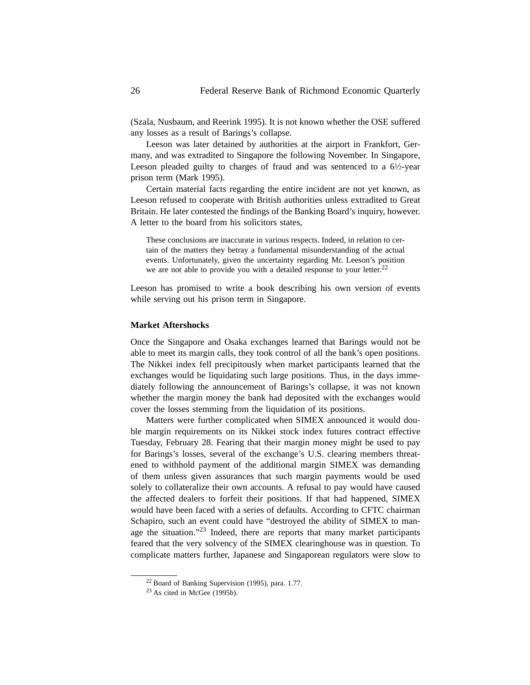(Szala, Nusbaum, and Reerink 1995). It is not known whether the OSE suffered any losses as a result of Barings's collapse.

Leeson was later detained by authorities at the airport in Frankfort, Germany, and was extradited to Singapore the following November. In Singapore, Leeson pleaded guilty to charges of fraud and was sentenced to a  $6\frac{1}{2}$ -year prison term (Mark 1995).

Certain material facts regarding the entire incident are not yet known, as Leeson refused to cooperate with British authorities unless extradited to Great Britain. He later contested the findings of the Banking Board's inquiry, however. A letter to the board from his solicitors states,

These conclusions are inaccurate in various respects. Indeed, in relation to certain of the matters they betray a fundamental misunderstanding of the actual events. Unfortunately, given the uncertainty regarding Mr. Leeson's position we are not able to provide you with a detailed response to your letter.<sup>22</sup>

Leeson has promised to write a book describing his own version of events while serving out his prison term in Singapore.

## **Market Aftershocks**

Once the Singapore and Osaka exchanges learned that Barings would not be able to meet its margin calls, they took control of all the bank's open positions. The Nikkei index fell precipitously when market participants learned that the exchanges would be liquidating such large positions. Thus, in the days immediately following the announcement of Barings's collapse, it was not known whether the margin money the bank had deposited with the exchanges would cover the losses stemming from the liquidation of its positions.

Matters were further complicated when SIMEX announced it would double margin requirements on its Nikkei stock index futures contract effective Tuesday, February 28. Fearing that their margin money might be used to pay for Barings's losses, several of the exchange's U.S. clearing members threatened to withhold payment of the additional margin SIMEX was demanding of them unless given assurances that such margin payments would be used solely to collateralize their own accounts. A refusal to pay would have caused the affected dealers to forfeit their positions. If that had happened, SIMEX would have been faced with a series of defaults. According to CFTC chairman Schapiro, such an event could have "destroyed the ability of SIMEX to manage the situation."<sup>23</sup> Indeed, there are reports that many market participants feared that the very solvency of the SIMEX clearinghouse was in question. To complicate matters further, Japanese and Singaporean regulators were slow to

<sup>22</sup> Board of Banking Supervision (1995), para. 1.77.

<sup>23</sup> As cited in McGee (1995b).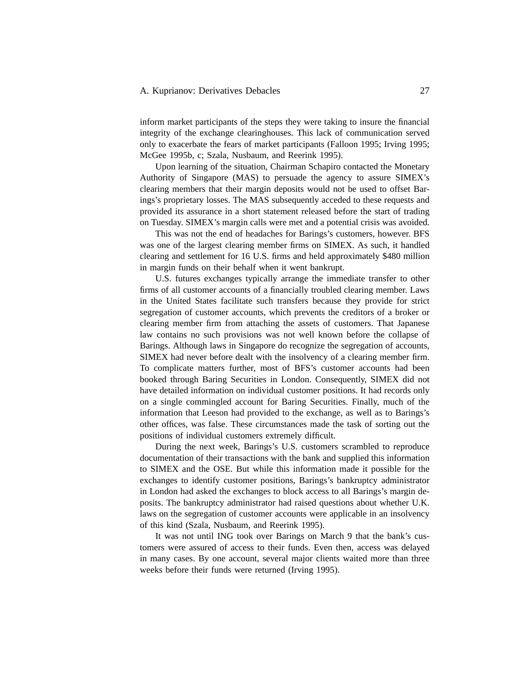inform market participants of the steps they were taking to insure the financial integrity of the exchange clearinghouses. This lack of communication served only to exacerbate the fears of market participants (Falloon 1995; Irving 1995; McGee 1995b, c; Szala, Nusbaum, and Reerink 1995).

Upon learning of the situation, Chairman Schapiro contacted the Monetary Authority of Singapore (MAS) to persuade the agency to assure SIMEX's clearing members that their margin deposits would not be used to offset Barings's proprietary losses. The MAS subsequently acceded to these requests and provided its assurance in a short statement released before the start of trading on Tuesday. SIMEX's margin calls were met and a potential crisis was avoided.

This was not the end of headaches for Barings's customers, however. BFS was one of the largest clearing member firms on SIMEX. As such, it handled clearing and settlement for 16 U.S. firms and held approximately \$480 million in margin funds on their behalf when it went bankrupt.

U.S. futures exchanges typically arrange the immediate transfer to other firms of all customer accounts of a financially troubled clearing member. Laws in the United States facilitate such transfers because they provide for strict segregation of customer accounts, which prevents the creditors of a broker or clearing member firm from attaching the assets of customers. That Japanese law contains no such provisions was not well known before the collapse of Barings. Although laws in Singapore do recognize the segregation of accounts, SIMEX had never before dealt with the insolvency of a clearing member firm. To complicate matters further, most of BFS's customer accounts had been booked through Baring Securities in London. Consequently, SIMEX did not have detailed information on individual customer positions. It had records only on a single commingled account for Baring Securities. Finally, much of the information that Leeson had provided to the exchange, as well as to Barings's other offices, was false. These circumstances made the task of sorting out the positions of individual customers extremely difficult.

During the next week, Barings's U.S. customers scrambled to reproduce documentation of their transactions with the bank and supplied this information to SIMEX and the OSE. But while this information made it possible for the exchanges to identify customer positions, Barings's bankruptcy administrator in London had asked the exchanges to block access to all Barings's margin deposits. The bankruptcy administrator had raised questions about whether U.K. laws on the segregation of customer accounts were applicable in an insolvency of this kind (Szala, Nusbaum, and Reerink 1995).

It was not until ING took over Barings on March 9 that the bank's customers were assured of access to their funds. Even then, access was delayed in many cases. By one account, several major clients waited more than three weeks before their funds were returned (Irving 1995).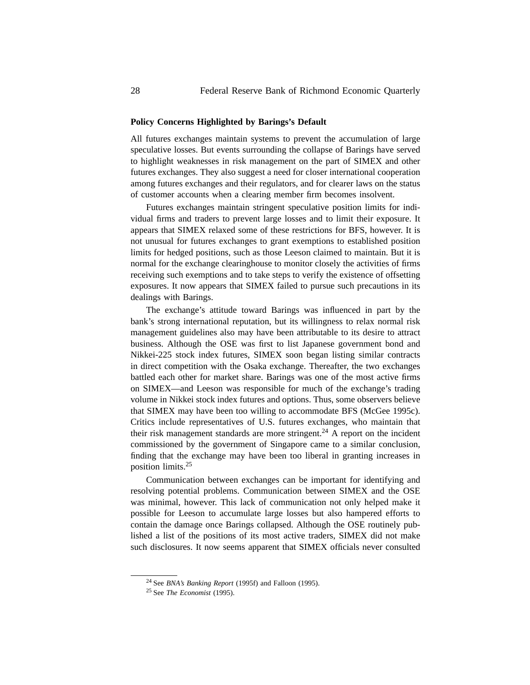## **Policy Concerns Highlighted by Barings's Default**

All futures exchanges maintain systems to prevent the accumulation of large speculative losses. But events surrounding the collapse of Barings have served to highlight weaknesses in risk management on the part of SIMEX and other futures exchanges. They also suggest a need for closer international cooperation among futures exchanges and their regulators, and for clearer laws on the status of customer accounts when a clearing member firm becomes insolvent.

Futures exchanges maintain stringent speculative position limits for individual firms and traders to prevent large losses and to limit their exposure. It appears that SIMEX relaxed some of these restrictions for BFS, however. It is not unusual for futures exchanges to grant exemptions to established position limits for hedged positions, such as those Leeson claimed to maintain. But it is normal for the exchange clearinghouse to monitor closely the activities of firms receiving such exemptions and to take steps to verify the existence of offsetting exposures. It now appears that SIMEX failed to pursue such precautions in its dealings with Barings.

The exchange's attitude toward Barings was influenced in part by the bank's strong international reputation, but its willingness to relax normal risk management guidelines also may have been attributable to its desire to attract business. Although the OSE was first to list Japanese government bond and Nikkei-225 stock index futures, SIMEX soon began listing similar contracts in direct competition with the Osaka exchange. Thereafter, the two exchanges battled each other for market share. Barings was one of the most active firms on SIMEX—and Leeson was responsible for much of the exchange's trading volume in Nikkei stock index futures and options. Thus, some observers believe that SIMEX may have been too willing to accommodate BFS (McGee 1995c). Critics include representatives of U.S. futures exchanges, who maintain that their risk management standards are more stringent.<sup>24</sup> A report on the incident commissioned by the government of Singapore came to a similar conclusion, finding that the exchange may have been too liberal in granting increases in position limits.<sup>25</sup>

Communication between exchanges can be important for identifying and resolving potential problems. Communication between SIMEX and the OSE was minimal, however. This lack of communication not only helped make it possible for Leeson to accumulate large losses but also hampered efforts to contain the damage once Barings collapsed. Although the OSE routinely published a list of the positions of its most active traders, SIMEX did not make such disclosures. It now seems apparent that SIMEX officials never consulted

<sup>24</sup> See *BNA's Banking Report* (1995f) and Falloon (1995).

<sup>25</sup> See *The Economist* (1995).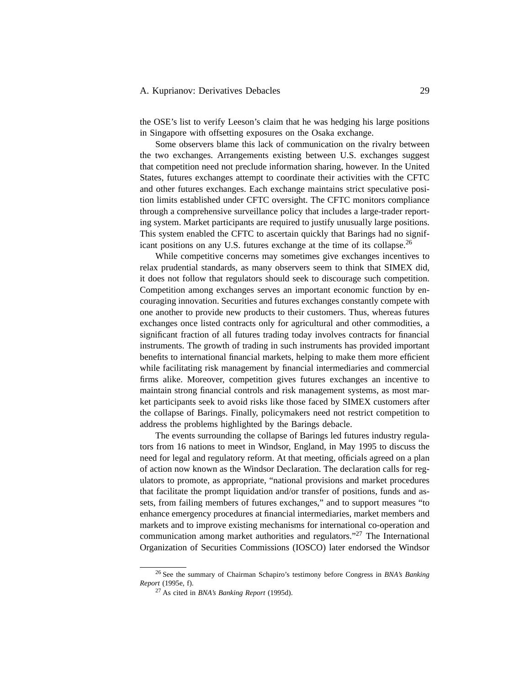the OSE's list to verify Leeson's claim that he was hedging his large positions in Singapore with offsetting exposures on the Osaka exchange.

Some observers blame this lack of communication on the rivalry between the two exchanges. Arrangements existing between U.S. exchanges suggest that competition need not preclude information sharing, however. In the United States, futures exchanges attempt to coordinate their activities with the CFTC and other futures exchanges. Each exchange maintains strict speculative position limits established under CFTC oversight. The CFTC monitors compliance through a comprehensive surveillance policy that includes a large-trader reporting system. Market participants are required to justify unusually large positions. This system enabled the CFTC to ascertain quickly that Barings had no significant positions on any U.S. futures exchange at the time of its collapse.<sup>26</sup>

While competitive concerns may sometimes give exchanges incentives to relax prudential standards, as many observers seem to think that SIMEX did, it does not follow that regulators should seek to discourage such competition. Competition among exchanges serves an important economic function by encouraging innovation. Securities and futures exchanges constantly compete with one another to provide new products to their customers. Thus, whereas futures exchanges once listed contracts only for agricultural and other commodities, a significant fraction of all futures trading today involves contracts for financial instruments. The growth of trading in such instruments has provided important benefits to international financial markets, helping to make them more efficient while facilitating risk management by financial intermediaries and commercial firms alike. Moreover, competition gives futures exchanges an incentive to maintain strong financial controls and risk management systems, as most market participants seek to avoid risks like those faced by SIMEX customers after the collapse of Barings. Finally, policymakers need not restrict competition to address the problems highlighted by the Barings debacle.

The events surrounding the collapse of Barings led futures industry regulators from 16 nations to meet in Windsor, England, in May 1995 to discuss the need for legal and regulatory reform. At that meeting, officials agreed on a plan of action now known as the Windsor Declaration. The declaration calls for regulators to promote, as appropriate, "national provisions and market procedures that facilitate the prompt liquidation and/or transfer of positions, funds and assets, from failing members of futures exchanges," and to support measures "to enhance emergency procedures at financial intermediaries, market members and markets and to improve existing mechanisms for international co-operation and communication among market authorities and regulators."<sup>27</sup> The International Organization of Securities Commissions (IOSCO) later endorsed the Windsor

<sup>26</sup> See the summary of Chairman Schapiro's testimony before Congress in *BNA's Banking Report* (1995e, f).

<sup>27</sup> As cited in *BNA's Banking Report* (1995d).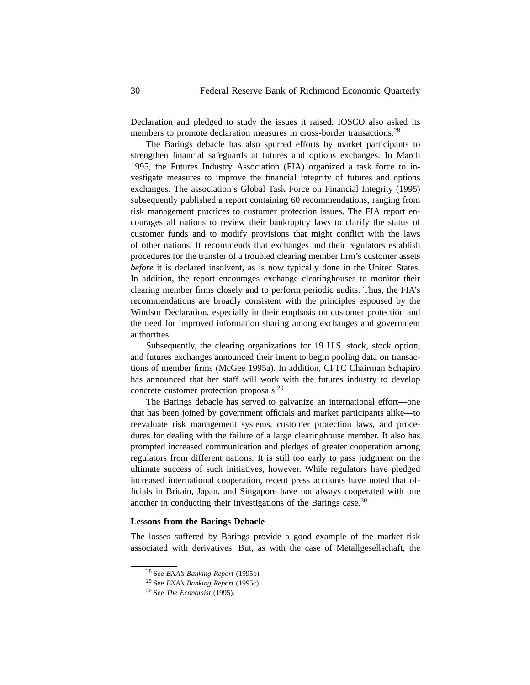Declaration and pledged to study the issues it raised. IOSCO also asked its members to promote declaration measures in cross-border transactions.<sup>28</sup>

The Barings debacle has also spurred efforts by market participants to strengthen financial safeguards at futures and options exchanges. In March 1995, the Futures Industry Association (FIA) organized a task force to investigate measures to improve the financial integrity of futures and options exchanges. The association's Global Task Force on Financial Integrity (1995) subsequently published a report containing 60 recommendations, ranging from risk management practices to customer protection issues. The FIA report encourages all nations to review their bankruptcy laws to clarify the status of customer funds and to modify provisions that might conflict with the laws of other nations. It recommends that exchanges and their regulators establish procedures for the transfer of a troubled clearing member firm's customer assets *before* it is declared insolvent, as is now typically done in the United States. In addition, the report encourages exchange clearinghouses to monitor their clearing member firms closely and to perform periodic audits. Thus, the FIA's recommendations are broadly consistent with the principles espoused by the Windsor Declaration, especially in their emphasis on customer protection and the need for improved information sharing among exchanges and government authorities.

Subsequently, the clearing organizations for 19 U.S. stock, stock option, and futures exchanges announced their intent to begin pooling data on transactions of member firms (McGee 1995a). In addition, CFTC Chairman Schapiro has announced that her staff will work with the futures industry to develop concrete customer protection proposals.29

The Barings debacle has served to galvanize an international effort—one that has been joined by government officials and market participants alike—to reevaluate risk management systems, customer protection laws, and procedures for dealing with the failure of a large clearinghouse member. It also has prompted increased communication and pledges of greater cooperation among regulators from different nations. It is still too early to pass judgment on the ultimate success of such initiatives, however. While regulators have pledged increased international cooperation, recent press accounts have noted that officials in Britain, Japan, and Singapore have not always cooperated with one another in conducting their investigations of the Barings case.<sup>30</sup>

#### **Lessons from the Barings Debacle**

The losses suffered by Barings provide a good example of the market risk associated with derivatives. But, as with the case of Metallgesellschaft, the

<sup>28</sup> See *BNA's Banking Report* (1995b).

<sup>29</sup> See *BNA's Banking Report* (1995c).

<sup>30</sup> See *The Economist* (1995).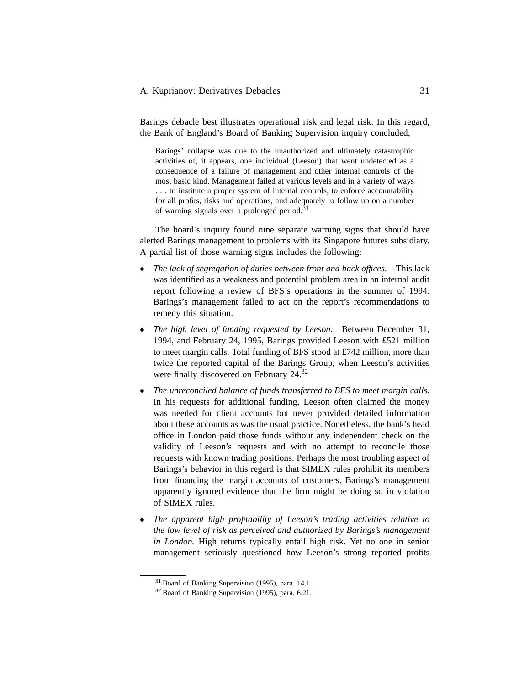Barings debacle best illustrates operational risk and legal risk. In this regard, the Bank of England's Board of Banking Supervision inquiry concluded,

Barings' collapse was due to the unauthorized and ultimately catastrophic activities of, it appears, one individual (Leeson) that went undetected as a consequence of a failure of management and other internal controls of the most basic kind. Management failed at various levels and in a variety of ways . . . to institute a proper system of internal controls, to enforce accountability for all profits, risks and operations, and adequately to follow up on a number of warning signals over a prolonged period.<sup>31</sup>

The board's inquiry found nine separate warning signs that should have alerted Barings management to problems with its Singapore futures subsidiary. A partial list of those warning signs includes the following:

- *The lack of segregation of duties between front and back offices*. This lack was identified as a weakness and potential problem area in an internal audit report following a review of BFS's operations in the summer of 1994. Barings's management failed to act on the report's recommendations to remedy this situation.
- *The high level of funding requested by Leeson.* Between December 31, 1994, and February 24, 1995, Barings provided Leeson with £521 million to meet margin calls. Total funding of BFS stood at £742 million, more than twice the reported capital of the Barings Group, when Leeson's activities were finally discovered on February 24.<sup>32</sup>
- *The unreconciled balance of funds transferred to BFS to meet margin calls.* In his requests for additional funding, Leeson often claimed the money was needed for client accounts but never provided detailed information about these accounts as was the usual practice. Nonetheless, the bank's head office in London paid those funds without any independent check on the validity of Leeson's requests and with no attempt to reconcile those requests with known trading positions. Perhaps the most troubling aspect of Barings's behavior in this regard is that SIMEX rules prohibit its members from financing the margin accounts of customers. Barings's management apparently ignored evidence that the firm might be doing so in violation of SIMEX rules.
- *The apparent high profitability of Leeson's trading activities relative to the low level of risk as perceived and authorized by Barings's management in London.* High returns typically entail high risk. Yet no one in senior management seriously questioned how Leeson's strong reported profits

<sup>31</sup> Board of Banking Supervision (1995), para. 14.1.

<sup>32</sup> Board of Banking Supervision (1995), para. 6.21.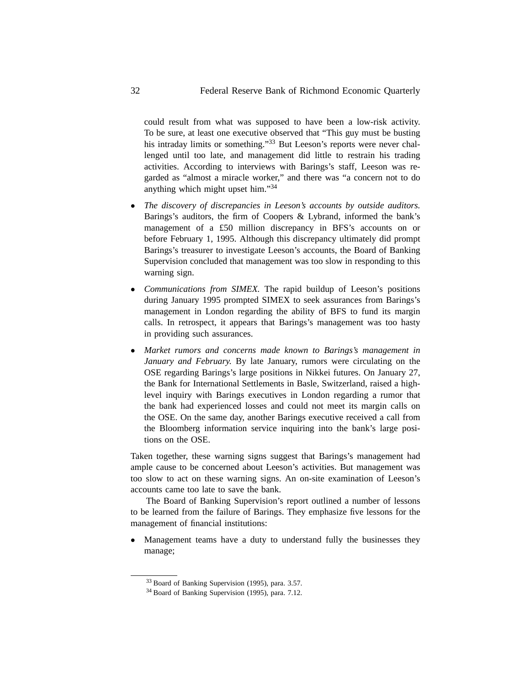could result from what was supposed to have been a low-risk activity. To be sure, at least one executive observed that "This guy must be busting his intraday limits or something."<sup>33</sup> But Leeson's reports were never challenged until too late, and management did little to restrain his trading activities. According to interviews with Barings's staff, Leeson was regarded as "almost a miracle worker," and there was "a concern not to do anything which might upset him."<sup>34</sup>

- *The discovery of discrepancies in Leeson's accounts by outside auditors.* Barings's auditors, the firm of Coopers & Lybrand, informed the bank's management of a £50 million discrepancy in BFS's accounts on or before February 1, 1995. Although this discrepancy ultimately did prompt Barings's treasurer to investigate Leeson's accounts, the Board of Banking Supervision concluded that management was too slow in responding to this warning sign.
- *Communications from SIMEX.* The rapid buildup of Leeson's positions during January 1995 prompted SIMEX to seek assurances from Barings's management in London regarding the ability of BFS to fund its margin calls. In retrospect, it appears that Barings's management was too hasty in providing such assurances.
- *Market rumors and concerns made known to Barings's management in January and February.* By late January, rumors were circulating on the OSE regarding Barings's large positions in Nikkei futures. On January 27, the Bank for International Settlements in Basle, Switzerland, raised a highlevel inquiry with Barings executives in London regarding a rumor that the bank had experienced losses and could not meet its margin calls on the OSE. On the same day, another Barings executive received a call from the Bloomberg information service inquiring into the bank's large positions on the OSE.

Taken together, these warning signs suggest that Barings's management had ample cause to be concerned about Leeson's activities. But management was too slow to act on these warning signs. An on-site examination of Leeson's accounts came too late to save the bank.

The Board of Banking Supervision's report outlined a number of lessons to be learned from the failure of Barings. They emphasize five lessons for the management of financial institutions:

• Management teams have a duty to understand fully the businesses they manage;

<sup>33</sup> Board of Banking Supervision (1995), para. 3.57.

<sup>34</sup> Board of Banking Supervision (1995), para. 7.12.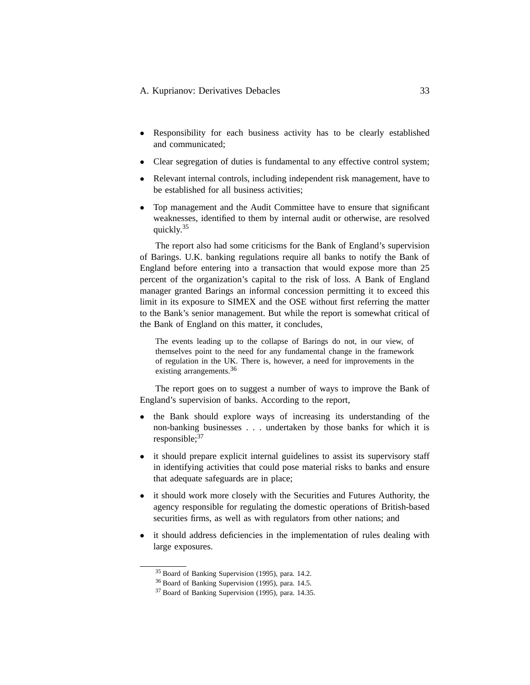- Responsibility for each business activity has to be clearly established and communicated;
- Clear segregation of duties is fundamental to any effective control system;
- Relevant internal controls, including independent risk management, have to be established for all business activities;
- Top management and the Audit Committee have to ensure that significant weaknesses, identified to them by internal audit or otherwise, are resolved quickly.<sup>35</sup>

The report also had some criticisms for the Bank of England's supervision of Barings. U.K. banking regulations require all banks to notify the Bank of England before entering into a transaction that would expose more than 25 percent of the organization's capital to the risk of loss. A Bank of England manager granted Barings an informal concession permitting it to exceed this limit in its exposure to SIMEX and the OSE without first referring the matter to the Bank's senior management. But while the report is somewhat critical of the Bank of England on this matter, it concludes,

The events leading up to the collapse of Barings do not, in our view, of themselves point to the need for any fundamental change in the framework of regulation in the UK. There is, however, a need for improvements in the existing arrangements.<sup>36</sup>

The report goes on to suggest a number of ways to improve the Bank of England's supervision of banks. According to the report,

- the Bank should explore ways of increasing its understanding of the non-banking businesses... undertaken by those banks for which it is  $responsible;^{37}$
- it should prepare explicit internal guidelines to assist its supervisory staff in identifying activities that could pose material risks to banks and ensure that adequate safeguards are in place;
- it should work more closely with the Securities and Futures Authority, the agency responsible for regulating the domestic operations of British-based securities firms, as well as with regulators from other nations; and
- it should address deficiencies in the implementation of rules dealing with large exposures.

<sup>35</sup> Board of Banking Supervision (1995), para. 14.2.

<sup>36</sup> Board of Banking Supervision (1995), para. 14.5.

<sup>37</sup> Board of Banking Supervision (1995), para. 14.35.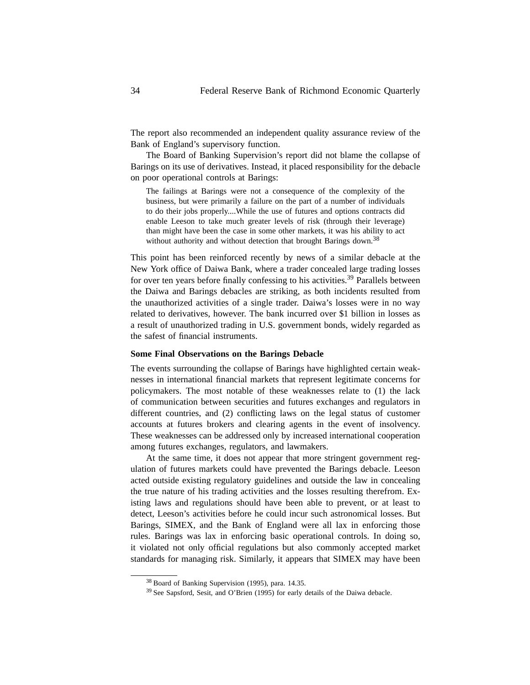The report also recommended an independent quality assurance review of the Bank of England's supervisory function.

The Board of Banking Supervision's report did not blame the collapse of Barings on its use of derivatives. Instead, it placed responsibility for the debacle on poor operational controls at Barings:

The failings at Barings were not a consequence of the complexity of the business, but were primarily a failure on the part of a number of individuals to do their jobs properly....While the use of futures and options contracts did enable Leeson to take much greater levels of risk (through their leverage) than might have been the case in some other markets, it was his ability to act without authority and without detection that brought Barings down.<sup>38</sup>

This point has been reinforced recently by news of a similar debacle at the New York office of Daiwa Bank, where a trader concealed large trading losses for over ten years before finally confessing to his activities.<sup>39</sup> Parallels between the Daiwa and Barings debacles are striking, as both incidents resulted from the unauthorized activities of a single trader. Daiwa's losses were in no way related to derivatives, however. The bank incurred over \$1 billion in losses as a result of unauthorized trading in U.S. government bonds, widely regarded as the safest of financial instruments.

#### **Some Final Observations on the Barings Debacle**

The events surrounding the collapse of Barings have highlighted certain weaknesses in international financial markets that represent legitimate concerns for policymakers. The most notable of these weaknesses relate to (1) the lack of communication between securities and futures exchanges and regulators in different countries, and (2) conflicting laws on the legal status of customer accounts at futures brokers and clearing agents in the event of insolvency. These weaknesses can be addressed only by increased international cooperation among futures exchanges, regulators, and lawmakers.

At the same time, it does not appear that more stringent government regulation of futures markets could have prevented the Barings debacle. Leeson acted outside existing regulatory guidelines and outside the law in concealing the true nature of his trading activities and the losses resulting therefrom. Existing laws and regulations should have been able to prevent, or at least to detect, Leeson's activities before he could incur such astronomical losses. But Barings, SIMEX, and the Bank of England were all lax in enforcing those rules. Barings was lax in enforcing basic operational controls. In doing so, it violated not only official regulations but also commonly accepted market standards for managing risk. Similarly, it appears that SIMEX may have been

<sup>38</sup> Board of Banking Supervision (1995), para. 14.35.

<sup>&</sup>lt;sup>39</sup> See Sapsford, Sesit, and O'Brien (1995) for early details of the Daiwa debacle.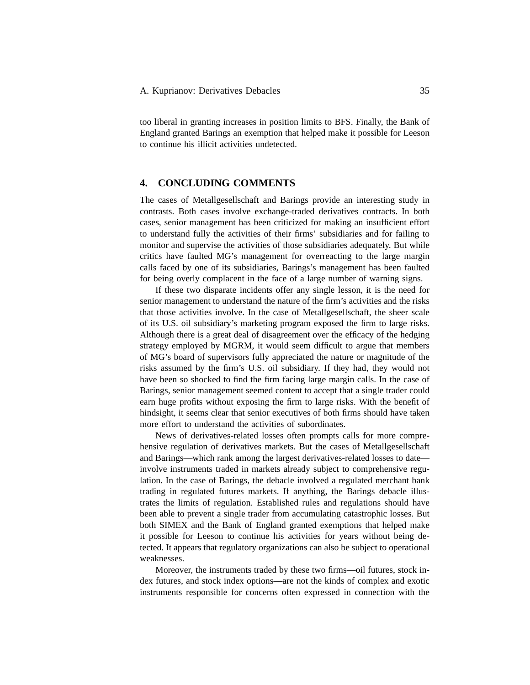too liberal in granting increases in position limits to BFS. Finally, the Bank of England granted Barings an exemption that helped make it possible for Leeson to continue his illicit activities undetected.

## **4. CONCLUDING COMMENTS**

The cases of Metallgesellschaft and Barings provide an interesting study in contrasts. Both cases involve exchange-traded derivatives contracts. In both cases, senior management has been criticized for making an insufficient effort to understand fully the activities of their firms' subsidiaries and for failing to monitor and supervise the activities of those subsidiaries adequately. But while critics have faulted MG's management for overreacting to the large margin calls faced by one of its subsidiaries, Barings's management has been faulted for being overly complacent in the face of a large number of warning signs.

If these two disparate incidents offer any single lesson, it is the need for senior management to understand the nature of the firm's activities and the risks that those activities involve. In the case of Metallgesellschaft, the sheer scale of its U.S. oil subsidiary's marketing program exposed the firm to large risks. Although there is a great deal of disagreement over the efficacy of the hedging strategy employed by MGRM, it would seem difficult to argue that members of MG's board of supervisors fully appreciated the nature or magnitude of the risks assumed by the firm's U.S. oil subsidiary. If they had, they would not have been so shocked to find the firm facing large margin calls. In the case of Barings, senior management seemed content to accept that a single trader could earn huge profits without exposing the firm to large risks. With the benefit of hindsight, it seems clear that senior executives of both firms should have taken more effort to understand the activities of subordinates.

News of derivatives-related losses often prompts calls for more comprehensive regulation of derivatives markets. But the cases of Metallgesellschaft and Barings—which rank among the largest derivatives-related losses to date involve instruments traded in markets already subject to comprehensive regulation. In the case of Barings, the debacle involved a regulated merchant bank trading in regulated futures markets. If anything, the Barings debacle illustrates the limits of regulation. Established rules and regulations should have been able to prevent a single trader from accumulating catastrophic losses. But both SIMEX and the Bank of England granted exemptions that helped make it possible for Leeson to continue his activities for years without being detected. It appears that regulatory organizations can also be subject to operational weaknesses.

Moreover, the instruments traded by these two firms—oil futures, stock index futures, and stock index options—are not the kinds of complex and exotic instruments responsible for concerns often expressed in connection with the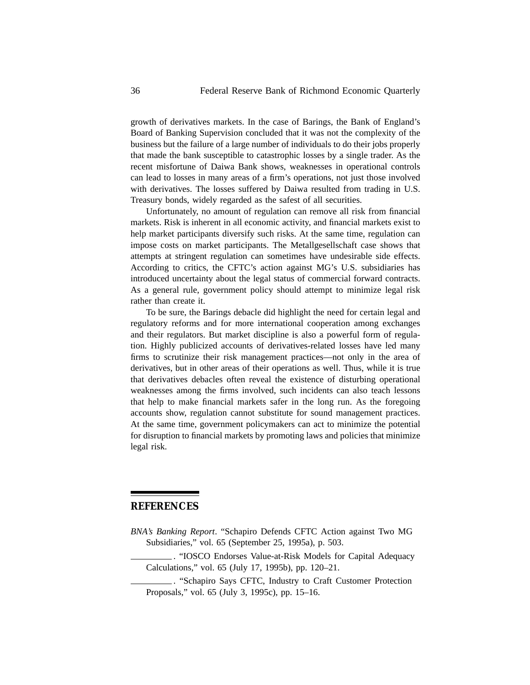growth of derivatives markets. In the case of Barings, the Bank of England's Board of Banking Supervision concluded that it was not the complexity of the business but the failure of a large number of individuals to do their jobs properly that made the bank susceptible to catastrophic losses by a single trader. As the recent misfortune of Daiwa Bank shows, weaknesses in operational controls can lead to losses in many areas of a firm's operations, not just those involved with derivatives. The losses suffered by Daiwa resulted from trading in U.S. Treasury bonds, widely regarded as the safest of all securities.

Unfortunately, no amount of regulation can remove all risk from financial markets. Risk is inherent in all economic activity, and financial markets exist to help market participants diversify such risks. At the same time, regulation can impose costs on market participants. The Metallgesellschaft case shows that attempts at stringent regulation can sometimes have undesirable side effects. According to critics, the CFTC's action against MG's U.S. subsidiaries has introduced uncertainty about the legal status of commercial forward contracts. As a general rule, government policy should attempt to minimize legal risk rather than create it.

To be sure, the Barings debacle did highlight the need for certain legal and regulatory reforms and for more international cooperation among exchanges and their regulators. But market discipline is also a powerful form of regulation. Highly publicized accounts of derivatives-related losses have led many firms to scrutinize their risk management practices—not only in the area of derivatives, but in other areas of their operations as well. Thus, while it is true that derivatives debacles often reveal the existence of disturbing operational weaknesses among the firms involved, such incidents can also teach lessons that help to make financial markets safer in the long run. As the foregoing accounts show, regulation cannot substitute for sound management practices. At the same time, government policymakers can act to minimize the potential for disruption to financial markets by promoting laws and policies that minimize legal risk.

# **REFERENCES**

- *BNA's Banking Report*. "Schapiro Defends CFTC Action against Two MG Subsidiaries," vol. 65 (September 25, 1995a), p. 503.
	- . "IOSCO Endorses Value-at-Risk Models for Capital Adequacy Calculations," vol. 65 (July 17, 1995b), pp. 120–21.

. "Schapiro Says CFTC, Industry to Craft Customer Protection Proposals," vol. 65 (July 3, 1995c), pp. 15–16.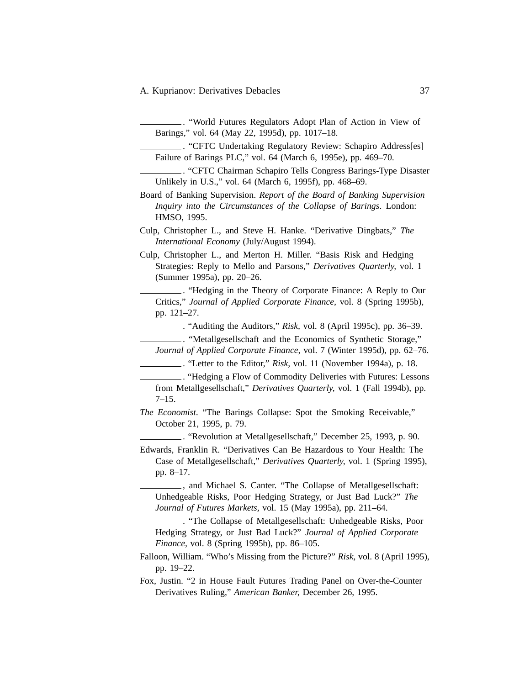A. Kuprianov: Derivatives Debacles 37

. "World Futures Regulators Adopt Plan of Action in View of Barings," vol. 64 (May 22, 1995d), pp. 1017–18.

. "CFTC Undertaking Regulatory Review: Schapiro Address[es] Failure of Barings PLC," vol. 64 (March 6, 1995e), pp. 469–70.

. "CFTC Chairman Schapiro Tells Congress Barings-Type Disaster Unlikely in U.S.," vol. 64 (March 6, 1995f), pp. 468–69.

Board of Banking Supervision. *Report of the Board of Banking Supervision Inquiry into the Circumstances of the Collapse of Barings*. London: HMSO, 1995.

Culp, Christopher L., and Steve H. Hanke. "Derivative Dingbats," *The International Economy* (July/August 1994).

Culp, Christopher L., and Merton H. Miller. "Basis Risk and Hedging Strategies: Reply to Mello and Parsons," *Derivatives Quarterly,* vol. 1 (Summer 1995a), pp. 20–26.

. "Hedging in the Theory of Corporate Finance: A Reply to Our Critics," *Journal of Applied Corporate Finance,* vol. 8 (Spring 1995b), pp. 121–27.

. "Auditing the Auditors," *Risk,* vol. 8 (April 1995c), pp. 36–39.

. "Metallgesellschaft and the Economics of Synthetic Storage,"

*Journal of Applied Corporate Finance,* vol. 7 (Winter 1995d), pp. 62–76.

. "Letter to the Editor," *Risk,* vol. 11 (November 1994a), p. 18.

. "Hedging a Flow of Commodity Deliveries with Futures: Lessons from Metallgesellschaft," *Derivatives Quarterly,* vol. 1 (Fall 1994b), pp. 7–15.

*The Economist*. "The Barings Collapse: Spot the Smoking Receivable," October 21, 1995, p. 79.

. "Revolution at Metallgesellschaft," December 25, 1993, p. 90.

Edwards, Franklin R. "Derivatives Can Be Hazardous to Your Health: The Case of Metallgesellschaft," *Derivatives Quarterly,* vol. 1 (Spring 1995), pp. 8–17.

, and Michael S. Canter. "The Collapse of Metallgesellschaft: Unhedgeable Risks, Poor Hedging Strategy, or Just Bad Luck?" *The Journal of Futures Markets,* vol. 15 (May 1995a), pp. 211–64.

. "The Collapse of Metallgesellschaft: Unhedgeable Risks, Poor Hedging Strategy, or Just Bad Luck?" *Journal of Applied Corporate Finance,* vol. 8 (Spring 1995b), pp. 86–105.

Falloon, William. "Who's Missing from the Picture?" *Risk,* vol. 8 (April 1995), pp. 19–22.

Fox, Justin. "2 in House Fault Futures Trading Panel on Over-the-Counter Derivatives Ruling," *American Banker,* December 26, 1995.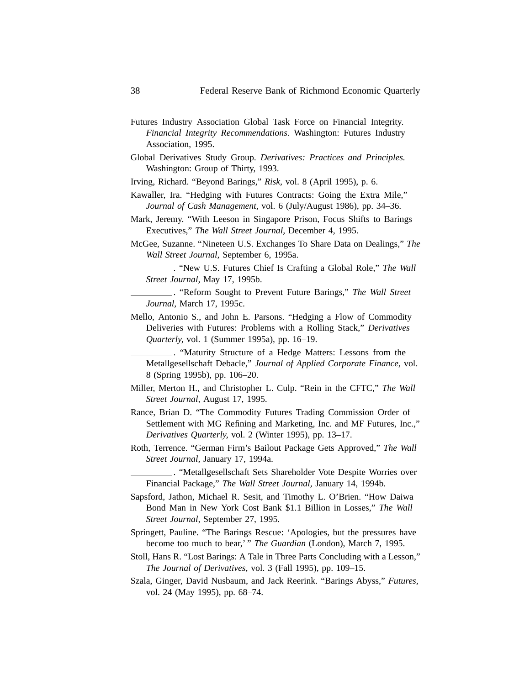- Futures Industry Association Global Task Force on Financial Integrity. *Financial Integrity Recommendations*. Washington: Futures Industry Association, 1995.
- Global Derivatives Study Group. *Derivatives: Practices and Principles.* Washington: Group of Thirty, 1993.
- Irving, Richard. "Beyond Barings," *Risk,* vol. 8 (April 1995), p. 6.
- Kawaller, Ira. "Hedging with Futures Contracts: Going the Extra Mile," *Journal of Cash Management,* vol. 6 (July/August 1986), pp. 34–36.
- Mark, Jeremy. "With Leeson in Singapore Prison, Focus Shifts to Barings Executives," *The Wall Street Journal,* December 4, 1995.
- McGee, Suzanne. "Nineteen U.S. Exchanges To Share Data on Dealings," *The Wall Street Journal,* September 6, 1995a.
	- . "New U.S. Futures Chief Is Crafting a Global Role," *The Wall Street Journal,* May 17, 1995b.
	- . "Reform Sought to Prevent Future Barings," *The Wall Street Journal,* March 17, 1995c.
- Mello, Antonio S., and John E. Parsons. "Hedging a Flow of Commodity Deliveries with Futures: Problems with a Rolling Stack," *Derivatives Quarterly,* vol. 1 (Summer 1995a), pp. 16–19.

. "Maturity Structure of a Hedge Matters: Lessons from the Metallgesellschaft Debacle," *Journal of Applied Corporate Finance,* vol. 8 (Spring 1995b), pp. 106–20.

- Miller, Merton H., and Christopher L. Culp. "Rein in the CFTC," *The Wall Street Journal,* August 17, 1995.
- Rance, Brian D. "The Commodity Futures Trading Commission Order of Settlement with MG Refining and Marketing, Inc. and MF Futures, Inc.," *Derivatives Quarterly,* vol. 2 (Winter 1995), pp. 13–17.
- Roth, Terrence. "German Firm's Bailout Package Gets Approved," *The Wall Street Journal,* January 17, 1994a.
	- . "Metallgesellschaft Sets Shareholder Vote Despite Worries over Financial Package," *The Wall Street Journal,* January 14, 1994b.
- Sapsford, Jathon, Michael R. Sesit, and Timothy L. O'Brien. "How Daiwa Bond Man in New York Cost Bank \$1.1 Billion in Losses," *The Wall Street Journal,* September 27, 1995.
- Springett, Pauline. "The Barings Rescue: 'Apologies, but the pressures have become too much to bear,' " *The Guardian* (London), March 7, 1995.
- Stoll, Hans R. "Lost Barings: A Tale in Three Parts Concluding with a Lesson," *The Journal of Derivatives,* vol. 3 (Fall 1995), pp. 109–15.
- Szala, Ginger, David Nusbaum, and Jack Reerink. "Barings Abyss," *Futures,* vol. 24 (May 1995), pp. 68–74.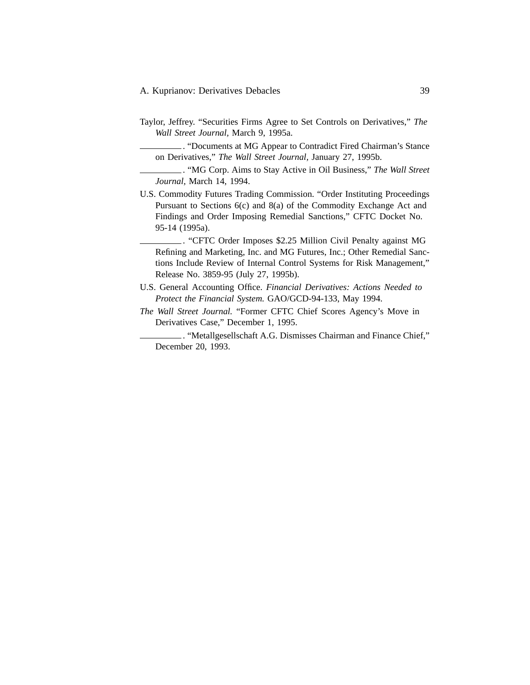## A. Kuprianov: Derivatives Debacles 39

- Taylor, Jeffrey. "Securities Firms Agree to Set Controls on Derivatives," *The Wall Street Journal,* March 9, 1995a.
	- . "Documents at MG Appear to Contradict Fired Chairman's Stance on Derivatives," *The Wall Street Journal,* January 27, 1995b.
	- . "MG Corp. Aims to Stay Active in Oil Business," *The Wall Street Journal,* March 14, 1994.
- U.S. Commodity Futures Trading Commission. "Order Instituting Proceedings Pursuant to Sections 6(c) and 8(a) of the Commodity Exchange Act and Findings and Order Imposing Remedial Sanctions," CFTC Docket No. 95-14 (1995a).

. "CFTC Order Imposes \$2.25 Million Civil Penalty against MG Refining and Marketing, Inc. and MG Futures, Inc.; Other Remedial Sanctions Include Review of Internal Control Systems for Risk Management," Release No. 3859-95 (July 27, 1995b).

- U.S. General Accounting Office. *Financial Derivatives: Actions Needed to Protect the Financial System.* GAO/GCD-94-133, May 1994.
- *The Wall Street Journal.* "Former CFTC Chief Scores Agency's Move in Derivatives Case," December 1, 1995.

. "Metallgesellschaft A.G. Dismisses Chairman and Finance Chief," December 20, 1993.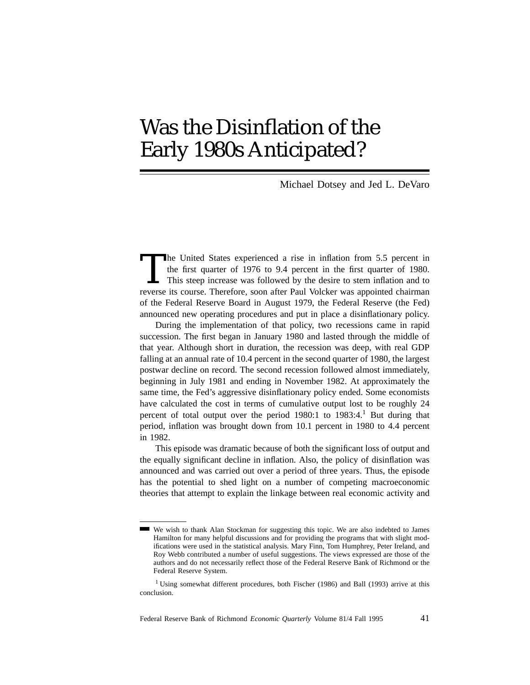# Was the Disinflation of the Early 1980s Anticipated?

Michael Dotsey and Jed L. DeVaro

The United States experienced a rise in inflation from 5.5 percent in the first quarter of 1976 to 9.4 percent in the first quarter of 1980.<br>This steep increase was followed by the desire to stem inflation and to reverse i the first quarter of 1976 to 9.4 percent in the first quarter of 1980. This steep increase was followed by the desire to stem inflation and to reverse its course. Therefore, soon after Paul Volcker was appointed chairman of the Federal Reserve Board in August 1979, the Federal Reserve (the Fed) announced new operating procedures and put in place a disinflationary policy.

During the implementation of that policy, two recessions came in rapid succession. The first began in January 1980 and lasted through the middle of that year. Although short in duration, the recession was deep, with real GDP falling at an annual rate of 10.4 percent in the second quarter of 1980, the largest postwar decline on record. The second recession followed almost immediately, beginning in July 1981 and ending in November 1982. At approximately the same time, the Fed's aggressive disinflationary policy ended. Some economists have calculated the cost in terms of cumulative output lost to be roughly 24 percent of total output over the period  $1980:1$  to  $1983:4<sup>1</sup>$ . But during that period, inflation was brought down from 10.1 percent in 1980 to 4.4 percent in 1982.

This episode was dramatic because of both the significant loss of output and the equally significant decline in inflation. Also, the policy of disinflation was announced and was carried out over a period of three years. Thus, the episode has the potential to shed light on a number of competing macroeconomic theories that attempt to explain the linkage between real economic activity and

We wish to thank Alan Stockman for suggesting this topic. We are also indebted to James Hamilton for many helpful discussions and for providing the programs that with slight modifications were used in the statistical analysis. Mary Finn, Tom Humphrey, Peter Ireland, and Roy Webb contributed a number of useful suggestions. The views expressed are those of the authors and do not necessarily reflect those of the Federal Reserve Bank of Richmond or the Federal Reserve System.

<sup>&</sup>lt;sup>1</sup> Using somewhat different procedures, both Fischer (1986) and Ball (1993) arrive at this conclusion.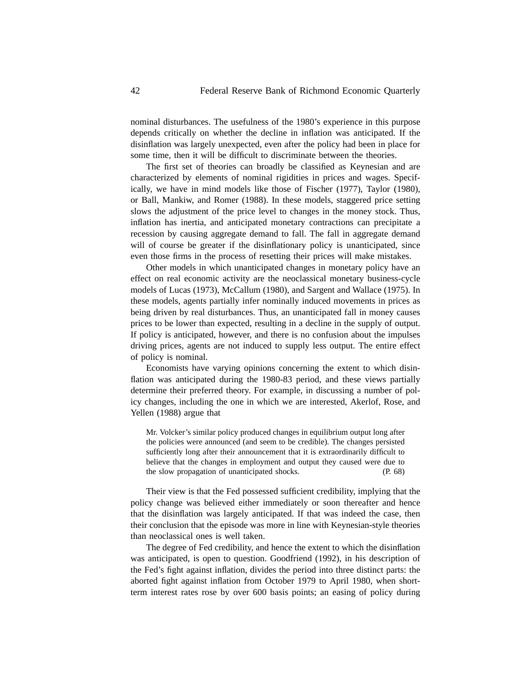nominal disturbances. The usefulness of the 1980's experience in this purpose depends critically on whether the decline in inflation was anticipated. If the disinflation was largely unexpected, even after the policy had been in place for some time, then it will be difficult to discriminate between the theories.

The first set of theories can broadly be classified as Keynesian and are characterized by elements of nominal rigidities in prices and wages. Specifically, we have in mind models like those of Fischer (1977), Taylor (1980), or Ball, Mankiw, and Romer (1988). In these models, staggered price setting slows the adjustment of the price level to changes in the money stock. Thus, inflation has inertia, and anticipated monetary contractions can precipitate a recession by causing aggregate demand to fall. The fall in aggregate demand will of course be greater if the disinflationary policy is unanticipated, since even those firms in the process of resetting their prices will make mistakes.

Other models in which unanticipated changes in monetary policy have an effect on real economic activity are the neoclassical monetary business-cycle models of Lucas (1973), McCallum (1980), and Sargent and Wallace (1975). In these models, agents partially infer nominally induced movements in prices as being driven by real disturbances. Thus, an unanticipated fall in money causes prices to be lower than expected, resulting in a decline in the supply of output. If policy is anticipated, however, and there is no confusion about the impulses driving prices, agents are not induced to supply less output. The entire effect of policy is nominal.

Economists have varying opinions concerning the extent to which disinflation was anticipated during the 1980-83 period, and these views partially determine their preferred theory. For example, in discussing a number of policy changes, including the one in which we are interested, Akerlof, Rose, and Yellen (1988) argue that

Mr. Volcker's similar policy produced changes in equilibrium output long after the policies were announced (and seem to be credible). The changes persisted sufficiently long after their announcement that it is extraordinarily difficult to believe that the changes in employment and output they caused were due to the slow propagation of unanticipated shocks. (P. 68)

Their view is that the Fed possessed sufficient credibility, implying that the policy change was believed either immediately or soon thereafter and hence that the disinflation was largely anticipated. If that was indeed the case, then their conclusion that the episode was more in line with Keynesian-style theories than neoclassical ones is well taken.

The degree of Fed credibility, and hence the extent to which the disinflation was anticipated, is open to question. Goodfriend (1992), in his description of the Fed's fight against inflation, divides the period into three distinct parts: the aborted fight against inflation from October 1979 to April 1980, when shortterm interest rates rose by over 600 basis points; an easing of policy during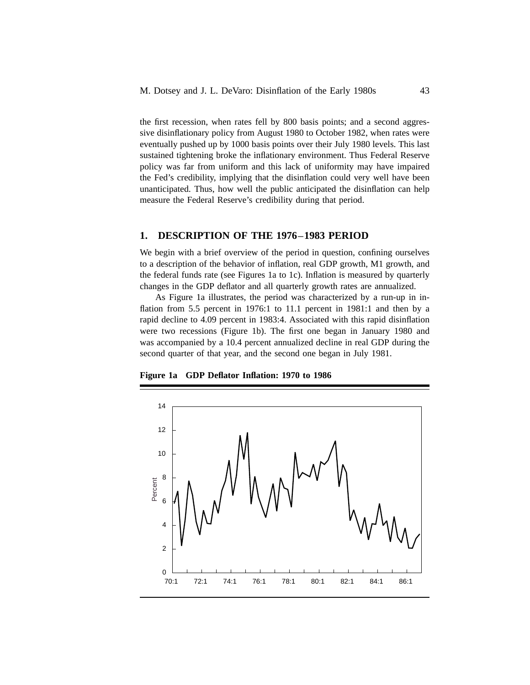the first recession, when rates fell by 800 basis points; and a second aggressive disinflationary policy from August 1980 to October 1982, when rates were eventually pushed up by 1000 basis points over their July 1980 levels. This last sustained tightening broke the inflationary environment. Thus Federal Reserve policy was far from uniform and this lack of uniformity may have impaired the Fed's credibility, implying that the disinflation could very well have been unanticipated. Thus, how well the public anticipated the disinflation can help measure the Federal Reserve's credibility during that period.

# **1. DESCRIPTION OF THE 1976**−**1983 PERIOD**

We begin with a brief overview of the period in question, confining ourselves to a description of the behavior of inflation, real GDP growth, M1 growth, and the federal funds rate (see Figures 1a to 1c). Inflation is measured by quarterly changes in the GDP deflator and all quarterly growth rates are annualized.

As Figure 1a illustrates, the period was characterized by a run-up in inflation from 5.5 percent in 1976:1 to 11.1 percent in 1981:1 and then by a rapid decline to 4.09 percent in 1983:4. Associated with this rapid disinflation were two recessions (Figure 1b). The first one began in January 1980 and was accompanied by a 10.4 percent annualized decline in real GDP during the second quarter of that year, and the second one began in July 1981.

**Figure 1a GDP Deflator Inflation: 1970 to 1986**

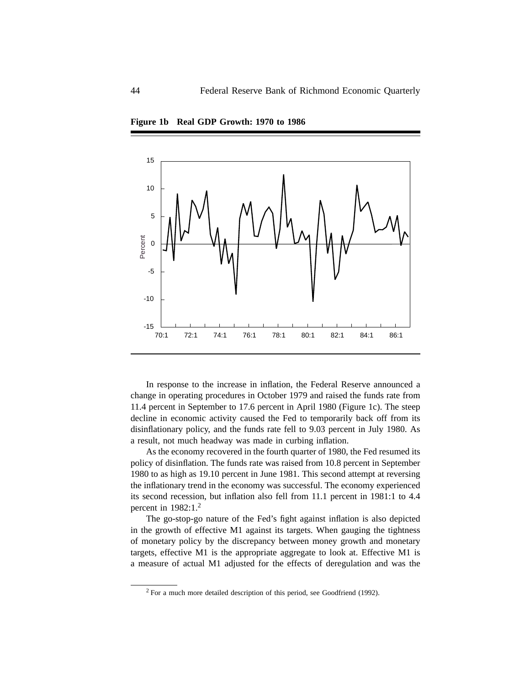

**Figure 1b Real GDP Growth: 1970 to 1986**

In response to the increase in inflation, the Federal Reserve announced a change in operating procedures in October 1979 and raised the funds rate from 11.4 percent in September to 17.6 percent in April 1980 (Figure 1c). The steep decline in economic activity caused the Fed to temporarily back off from its disinflationary policy, and the funds rate fell to 9.03 percent in July 1980. As a result, not much headway was made in curbing inflation.

As the economy recovered in the fourth quarter of 1980, the Fed resumed its policy of disinflation. The funds rate was raised from 10.8 percent in September 1980 to as high as 19.10 percent in June 1981. This second attempt at reversing the inflationary trend in the economy was successful. The economy experienced its second recession, but inflation also fell from 11.1 percent in 1981:1 to 4.4 percent in  $1982:1.^2$ 

The go-stop-go nature of the Fed's fight against inflation is also depicted in the growth of effective M1 against its targets. When gauging the tightness of monetary policy by the discrepancy between money growth and monetary targets, effective M1 is the appropriate aggregate to look at. Effective M1 is a measure of actual M1 adjusted for the effects of deregulation and was the

<sup>&</sup>lt;sup>2</sup> For a much more detailed description of this period, see Goodfriend (1992).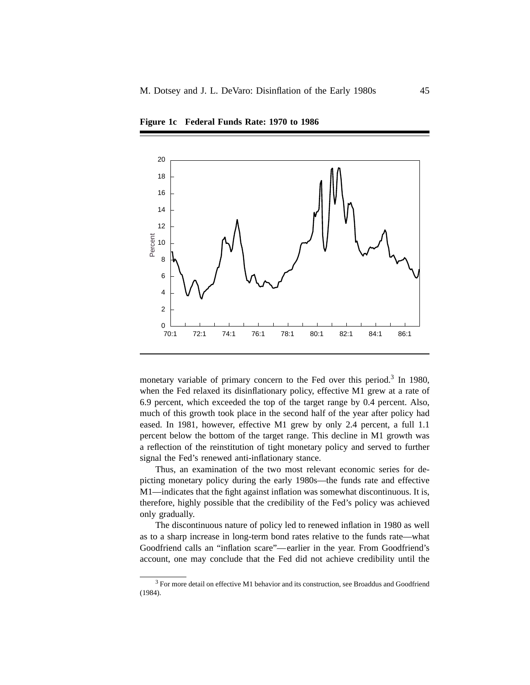

**Figure 1c Federal Funds Rate: 1970 to 1986**

monetary variable of primary concern to the Fed over this period.<sup>3</sup> In 1980, when the Fed relaxed its disinflationary policy, effective M1 grew at a rate of 6.9 percent, which exceeded the top of the target range by 0.4 percent. Also, much of this growth took place in the second half of the year after policy had eased. In 1981, however, effective M1 grew by only 2.4 percent, a full 1.1 percent below the bottom of the target range. This decline in M1 growth was a reflection of the reinstitution of tight monetary policy and served to further signal the Fed's renewed anti-inflationary stance.

Thus, an examination of the two most relevant economic series for depicting monetary policy during the early 1980s—the funds rate and effective M1—indicates that the fight against inflation was somewhat discontinuous. It is, therefore, highly possible that the credibility of the Fed's policy was achieved only gradually.

The discontinuous nature of policy led to renewed inflation in 1980 as well as to a sharp increase in long-term bond rates relative to the funds rate—what Goodfriend calls an "inflation scare"—earlier in the year. From Goodfriend's account, one may conclude that the Fed did not achieve credibility until the

<sup>&</sup>lt;sup>3</sup> For more detail on effective M1 behavior and its construction, see Broaddus and Goodfriend (1984).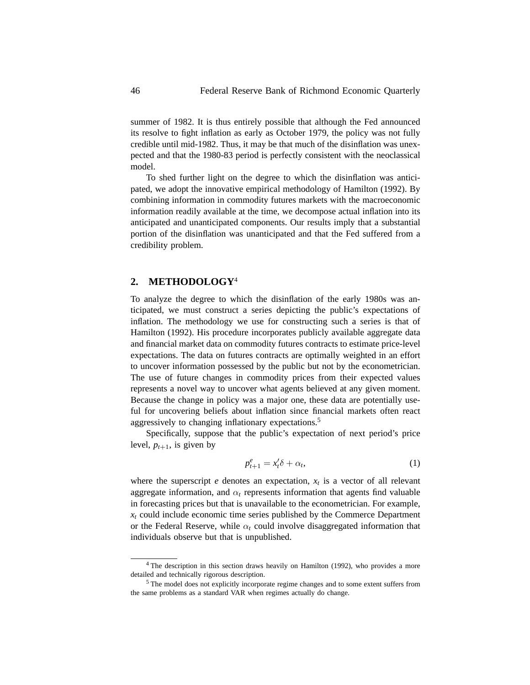summer of 1982. It is thus entirely possible that although the Fed announced its resolve to fight inflation as early as October 1979, the policy was not fully credible until mid-1982. Thus, it may be that much of the disinflation was unexpected and that the 1980-83 period is perfectly consistent with the neoclassical model.

To shed further light on the degree to which the disinflation was anticipated, we adopt the innovative empirical methodology of Hamilton (1992). By combining information in commodity futures markets with the macroeconomic information readily available at the time, we decompose actual inflation into its anticipated and unanticipated components. Our results imply that a substantial portion of the disinflation was unanticipated and that the Fed suffered from a credibility problem.

## **2. METHODOLOGY**<sup>4</sup>

To analyze the degree to which the disinflation of the early 1980s was anticipated, we must construct a series depicting the public's expectations of inflation. The methodology we use for constructing such a series is that of Hamilton (1992). His procedure incorporates publicly available aggregate data and financial market data on commodity futures contracts to estimate price-level expectations. The data on futures contracts are optimally weighted in an effort to uncover information possessed by the public but not by the econometrician. The use of future changes in commodity prices from their expected values represents a novel way to uncover what agents believed at any given moment. Because the change in policy was a major one, these data are potentially useful for uncovering beliefs about inflation since financial markets often react aggressively to changing inflationary expectations.<sup>5</sup>

Specifically, suppose that the public's expectation of next period's price level,  $p_{t+1}$ , is given by

$$
p_{t+1}^e = x_t' \delta + \alpha_t,\tag{1}
$$

where the superscript  $e$  denotes an expectation,  $x_t$  is a vector of all relevant aggregate information, and  $\alpha_t$  represents information that agents find valuable in forecasting prices but that is unavailable to the econometrician. For example,  $x_t$  could include economic time series published by the Commerce Department or the Federal Reserve, while  $\alpha_t$  could involve disaggregated information that individuals observe but that is unpublished.

<sup>&</sup>lt;sup>4</sup> The description in this section draws heavily on Hamilton (1992), who provides a more detailed and technically rigorous description.

<sup>5</sup> The model does not explicitly incorporate regime changes and to some extent suffers from the same problems as a standard VAR when regimes actually do change.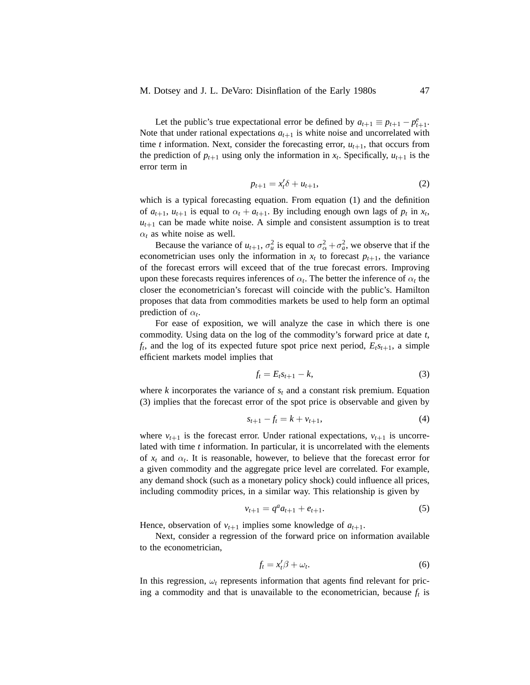#### M. Dotsey and J. L. DeVaro: Disinflation of the Early 1980s 47

Let the public's true expectational error be defined by  $a_{t+1} \equiv p_{t+1} - p_{t+1}^e$ . Note that under rational expectations  $a_{t+1}$  is white noise and uncorrelated with time *t* information. Next, consider the forecasting error,  $u_{t+1}$ , that occurs from the prediction of  $p_{t+1}$  using only the information in  $x_t$ . Specifically,  $u_{t+1}$  is the error term in

$$
p_{t+1} = x_t' \delta + u_{t+1},
$$
 (2)

which is a typical forecasting equation. From equation (1) and the definition of  $a_{t+1}$ ,  $u_{t+1}$  is equal to  $\alpha_t + a_{t+1}$ . By including enough own lags of  $p_t$  in  $x_t$ ,  $u_{t+1}$  can be made white noise. A simple and consistent assumption is to treat  $\alpha_t$  as white noise as well.

Because the variance of  $u_{t+1}$ ,  $\sigma_u^2$  is equal to  $\sigma_\alpha^2 + \sigma_a^2$ , we observe that if the econometrician uses only the information in  $x_t$  to forecast  $p_{t+1}$ , the variance of the forecast errors will exceed that of the true forecast errors. Improving upon these forecasts requires inferences of  $\alpha_t$ . The better the inference of  $\alpha_t$  the closer the econometrician's forecast will coincide with the public's. Hamilton proposes that data from commodities markets be used to help form an optimal prediction of  $\alpha_t$ .

For ease of exposition, we will analyze the case in which there is one commodity. Using data on the log of the commodity's forward price at date *t*,  $f_t$ , and the log of its expected future spot price next period,  $E_t s_{t+1}$ , a simple efficient markets model implies that

$$
f_t = E_t s_{t+1} - k,\tag{3}
$$

where  $k$  incorporates the variance of  $s_t$  and a constant risk premium. Equation (3) implies that the forecast error of the spot price is observable and given by

$$
s_{t+1} - f_t = k + v_{t+1}, \tag{4}
$$

where  $v_{t+1}$  is the forecast error. Under rational expectations,  $v_{t+1}$  is uncorrelated with time *t* information. In particular, it is uncorrelated with the elements of  $x_t$  and  $\alpha_t$ . It is reasonable, however, to believe that the forecast error for a given commodity and the aggregate price level are correlated. For example, any demand shock (such as a monetary policy shock) could influence all prices, including commodity prices, in a similar way. This relationship is given by

$$
v_{t+1} = q^a a_{t+1} + e_{t+1}.
$$
 (5)

Hence, observation of  $v_{t+1}$  implies some knowledge of  $a_{t+1}$ .

Next, consider a regression of the forward price on information available to the econometrician,

$$
f_t = x_t' \beta + \omega_t. \tag{6}
$$

In this regression,  $\omega_t$  represents information that agents find relevant for pricing a commodity and that is unavailable to the econometrician, because  $f_t$  is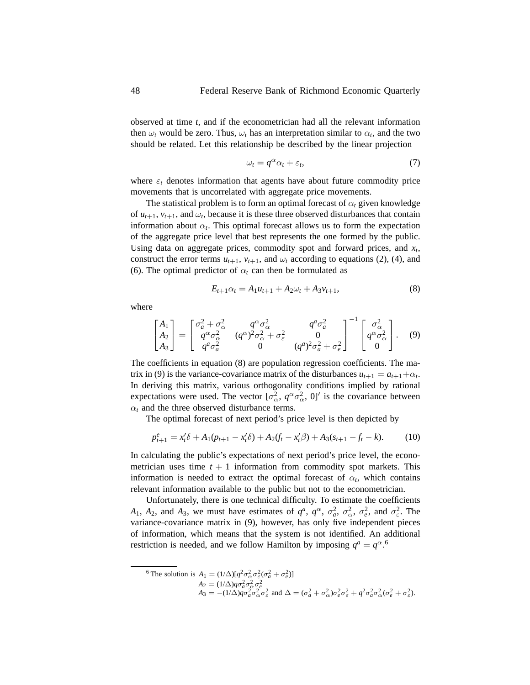observed at time *t*, and if the econometrician had all the relevant information then  $\omega_t$  would be zero. Thus,  $\omega_t$  has an interpretation similar to  $\alpha_t$ , and the two should be related. Let this relationship be described by the linear projection

$$
\omega_t = q^{\alpha} \alpha_t + \varepsilon_t, \tag{7}
$$

where  $\varepsilon_t$  denotes information that agents have about future commodity price movements that is uncorrelated with aggregate price movements.

The statistical problem is to form an optimal forecast of  $\alpha_t$  given knowledge of  $u_{t+1}$ ,  $v_{t+1}$ , and  $\omega_t$ , because it is these three observed disturbances that contain information about  $\alpha_t$ . This optimal forecast allows us to form the expectation of the aggregate price level that best represents the one formed by the public. Using data on aggregate prices, commodity spot and forward prices, and  $x_t$ , construct the error terms  $u_{t+1}$ ,  $v_{t+1}$ , and  $\omega_t$  according to equations (2), (4), and (6). The optimal predictor of  $\alpha_t$  can then be formulated as

$$
E_{t+1}\alpha_t = A_1u_{t+1} + A_2\omega_t + A_3v_{t+1},
$$
\n(8)

where

$$
\begin{bmatrix} A_1 \\ A_2 \\ A_3 \end{bmatrix} = \begin{bmatrix} \sigma_a^2 + \sigma_\alpha^2 & q^\alpha \sigma_\alpha^2 & q^\alpha \sigma_a^2 \\ q^\alpha \sigma_\alpha^2 & (q^\alpha)^2 \sigma_\alpha^2 + \sigma_\varepsilon^2 & 0 \\ q^\alpha \sigma_a^2 & 0 & (q^\alpha)^2 \sigma_a^2 + \sigma_\varepsilon^2 \end{bmatrix}^{-1} \begin{bmatrix} \sigma_\alpha^2 \\ q^\alpha \sigma_\alpha^2 \\ 0 \end{bmatrix} . \quad (9)
$$

The coefficients in equation (8) are population regression coefficients. The matrix in (9) is the variance-covariance matrix of the disturbances  $u_{t+1} = a_{t+1} + a_t$ . In deriving this matrix, various orthogonality conditions implied by rational expectations were used. The vector  $[\sigma_{\alpha}^2, q^{\alpha} \sigma_{\alpha}^2, 0]'$  is the covariance between  $\alpha_t$  and the three observed disturbance terms.

The optimal forecast of next period's price level is then depicted by

$$
p_{t+1}^e = x_t^{\prime} \delta + A_1 (p_{t+1} - x_t^{\prime} \delta) + A_2 (f_t - x_t^{\prime} \beta) + A_3 (s_{t+1} - f_t - k). \tag{10}
$$

In calculating the public's expectations of next period's price level, the econometrician uses time  $t + 1$  information from commodity spot markets. This information is needed to extract the optimal forecast of  $\alpha_t$ , which contains relevant information available to the public but not to the econometrician.

Unfortunately, there is one technical difficulty. To estimate the coefficients *A*<sub>1</sub>, *A*<sub>2</sub>, and *A*<sub>3</sub>, we must have estimates of  $q^a$ ,  $q^\alpha$ ,  $\sigma_a^2$ ,  $\sigma_\alpha^2$ ,  $\sigma_e^2$ , and  $\sigma_\varepsilon^2$ . The variance-covariance matrix in (9), however, has only five independent pieces of information, which means that the system is not identified. An additional restriction is needed, and we follow Hamilton by imposing  $q^a = q^{\alpha}$ .<sup>6</sup>

<sup>&</sup>lt;sup>6</sup> The solution is  $A_1 = (1/\Delta)[q^2 \sigma_{\alpha}^2 \sigma_{\epsilon}^2 (\sigma_a^2 + \sigma_e^2)]$  $A_2 = (1/\Delta)q\sigma_a^2\sigma_\alpha^2\sigma_e^2$ <br>  $A_3 = -(1/\Delta)q\sigma_a^2\sigma_\alpha^2\sigma_e^2$  and  $\Delta = (\sigma_a^2 + \sigma_\alpha^2)\sigma_e^2\sigma_\varepsilon^2 + q^2\sigma_a^2\sigma_\alpha^2(\sigma_e^2 + \sigma_\varepsilon^2)$ .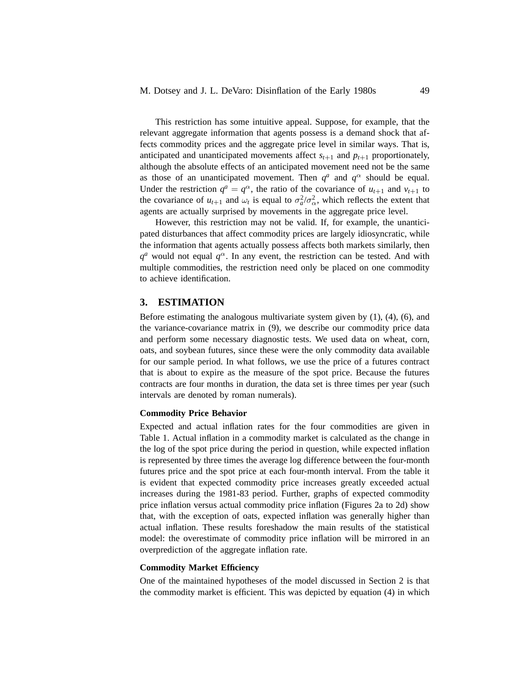M. Dotsey and J. L. DeVaro: Disinflation of the Early 1980s 49

This restriction has some intuitive appeal. Suppose, for example, that the relevant aggregate information that agents possess is a demand shock that affects commodity prices and the aggregate price level in similar ways. That is, anticipated and unanticipated movements affect  $s_{t+1}$  and  $p_{t+1}$  proportionately, although the absolute effects of an anticipated movement need not be the same as those of an unanticipated movement. Then  $q^a$  and  $q^\alpha$  should be equal. Under the restriction  $q^a = q^{\alpha}$ , the ratio of the covariance of  $u_{t+1}$  and  $v_{t+1}$  to the covariance of  $u_{t+1}$  and  $\omega_t$  is equal to  $\sigma_a^2/\sigma_\alpha^2$ , which reflects the extent that agents are actually surprised by movements in the aggregate price level.

However, this restriction may not be valid. If, for example, the unanticipated disturbances that affect commodity prices are largely idiosyncratic, while the information that agents actually possess affects both markets similarly, then  $q^a$  would not equal  $q^{\alpha}$ . In any event, the restriction can be tested. And with multiple commodities, the restriction need only be placed on one commodity to achieve identification.

# **3. ESTIMATION**

Before estimating the analogous multivariate system given by  $(1)$ ,  $(4)$ ,  $(6)$ , and the variance-covariance matrix in (9), we describe our commodity price data and perform some necessary diagnostic tests. We used data on wheat, corn, oats, and soybean futures, since these were the only commodity data available for our sample period. In what follows, we use the price of a futures contract that is about to expire as the measure of the spot price. Because the futures contracts are four months in duration, the data set is three times per year (such intervals are denoted by roman numerals).

## **Commodity Price Behavior**

Expected and actual inflation rates for the four commodities are given in Table 1. Actual inflation in a commodity market is calculated as the change in the log of the spot price during the period in question, while expected inflation is represented by three times the average log difference between the four-month futures price and the spot price at each four-month interval. From the table it is evident that expected commodity price increases greatly exceeded actual increases during the 1981-83 period. Further, graphs of expected commodity price inflation versus actual commodity price inflation (Figures 2a to 2d) show that, with the exception of oats, expected inflation was generally higher than actual inflation. These results foreshadow the main results of the statistical model: the overestimate of commodity price inflation will be mirrored in an overprediction of the aggregate inflation rate.

#### **Commodity Market Efficiency**

One of the maintained hypotheses of the model discussed in Section 2 is that the commodity market is efficient. This was depicted by equation (4) in which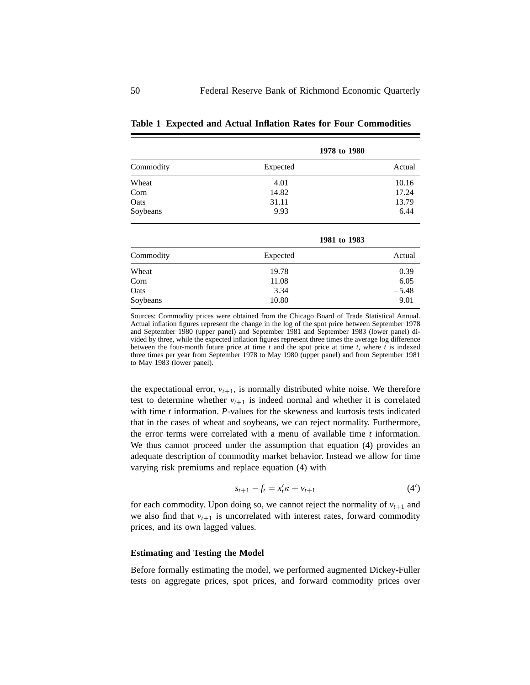|           | 1978 to 1980 |        |
|-----------|--------------|--------|
| Commodity | Expected     | Actual |
| Wheat     | 4.01         | 10.16  |
| Corn      | 14.82        | 17.24  |
| Oats      | 31.11        | 13.79  |
| Soybeans  | 9.93         | 6.44   |

|  |  |  |  |  |  |  | Table 1 Expected and Actual Inflation Rates for Four Commodities |
|--|--|--|--|--|--|--|------------------------------------------------------------------|
|--|--|--|--|--|--|--|------------------------------------------------------------------|

| Commodity |          | 1981 to 1983 |  |  |
|-----------|----------|--------------|--|--|
|           | Expected | Actual       |  |  |
| Wheat     | 19.78    | $-0.39$      |  |  |
| Corn      | 11.08    | 6.05         |  |  |
| Oats      | 3.34     | $-5.48$      |  |  |
| Soybeans  | 10.80    | 9.01         |  |  |

Sources: Commodity prices were obtained from the Chicago Board of Trade Statistical Annual. Actual inflation figures represent the change in the log of the spot price between September 1978 and September 1980 (upper panel) and September 1981 and September 1983 (lower panel) divided by three, while the expected inflation figures represent three times the average log difference between the four-month future price at time  $t$  and the spot price at time  $t$ , where  $t$  is indexed three times per year from September 1978 to May 1980 (upper panel) and from September 1981 to May 1983 (lower panel).

the expectational error,  $v_{t+1}$ , is normally distributed white noise. We therefore test to determine whether  $v_{t+1}$  is indeed normal and whether it is correlated with time *t* information. *P*-values for the skewness and kurtosis tests indicated that in the cases of wheat and soybeans, we can reject normality. Furthermore, the error terms were correlated with a menu of available time *t* information. We thus cannot proceed under the assumption that equation (4) provides an adequate description of commodity market behavior. Instead we allow for time varying risk premiums and replace equation (4) with

$$
s_{t+1} - f_t = x'_t \kappa + v_{t+1} \tag{4'}
$$

for each commodity. Upon doing so, we cannot reject the normality of  $v_{t+1}$  and we also find that  $v_{t+1}$  is uncorrelated with interest rates, forward commodity prices, and its own lagged values.

### **Estimating and Testing the Model**

Before formally estimating the model, we performed augmented Dickey-Fuller tests on aggregate prices, spot prices, and forward commodity prices over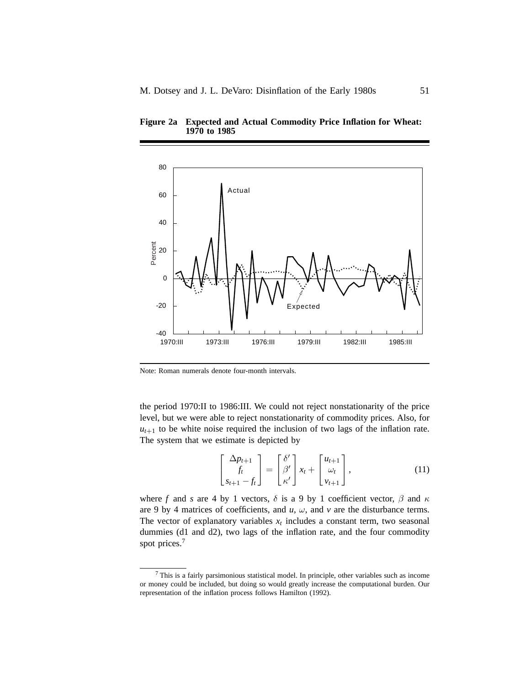

**Figure 2a Expected and Actual Commodity Price Inflation for Wheat: 1970 to 1985**

Note: Roman numerals denote four-month intervals.

the period 1970:II to 1986:III. We could not reject nonstationarity of the price level, but we were able to reject nonstationarity of commodity prices. Also, for  $u_{t+1}$  to be white noise required the inclusion of two lags of the inflation rate. The system that we estimate is depicted by

$$
\begin{bmatrix}\n\Delta p_{t+1} \\
f_t \\
s_{t+1} - f_t\n\end{bmatrix} = \begin{bmatrix}\n\delta' \\
\beta' \\
\kappa'\n\end{bmatrix} x_t + \begin{bmatrix}\nu_{t+1} \\
\omega_t \\
\nu_{t+1}\n\end{bmatrix},
$$
\n(11)

where *f* and *s* are 4 by 1 vectors, *δ* is a 9 by 1 coefficient vector, *β* and *κ* are 9 by 4 matrices of coefficients, and  $u$ ,  $\omega$ , and  $v$  are the disturbance terms. The vector of explanatory variables  $x_t$  includes a constant term, two seasonal dummies (d1 and d2), two lags of the inflation rate, and the four commodity spot prices.7

<sup>7</sup> This is a fairly parsimonious statistical model. In principle, other variables such as income or money could be included, but doing so would greatly increase the computational burden. Our representation of the inflation process follows Hamilton (1992).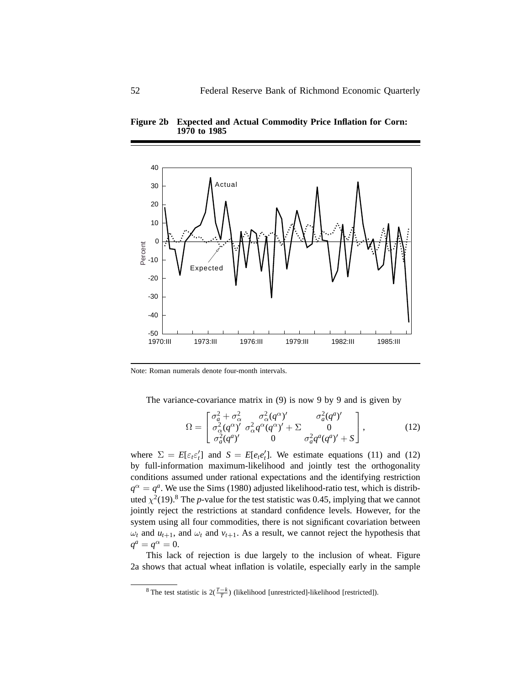



Note: Roman numerals denote four-month intervals.

The variance-covariance matrix in (9) is now 9 by 9 and is given by

$$
\Omega = \begin{bmatrix} \sigma_a^2 + \sigma_\alpha^2 & \sigma_\alpha^2 (q^\alpha)' & \sigma_a^2 (q^a)' \\ \sigma_\alpha^2 (q^\alpha)' & \sigma_\alpha^2 q^\alpha (q^\alpha)' + \Sigma & 0 \\ \sigma_a^2 (q^a)' & 0 & \sigma_a^2 q^a (q^a)' + S \end{bmatrix},
$$
(12)

where  $\Sigma = E[\varepsilon_t \varepsilon'_t]$  and  $S = E[e_t e'_t]$ . We estimate equations (11) and (12) by full-information maximum-likelihood and jointly test the orthogonality conditions assumed under rational expectations and the identifying restriction  $q^{\alpha} = q^{\alpha}$ . We use the Sims (1980) adjusted likelihood-ratio test, which is distributed  $\chi^2$ (19).<sup>8</sup> The *p*-value for the test statistic was 0.45, implying that we cannot jointly reject the restrictions at standard confidence levels. However, for the system using all four commodities, there is not significant covariation between  $\omega_t$  and  $u_{t+1}$ , and  $\omega_t$  and  $v_{t+1}$ . As a result, we cannot reject the hypothesis that  $q^a = q^\alpha = 0.$ 

This lack of rejection is due largely to the inclusion of wheat. Figure 2a shows that actual wheat inflation is volatile, especially early in the sample

<sup>&</sup>lt;sup>8</sup> The test statistic is  $2(\frac{T-k}{T})$  (likelihood [unrestricted]-likelihood [restricted]).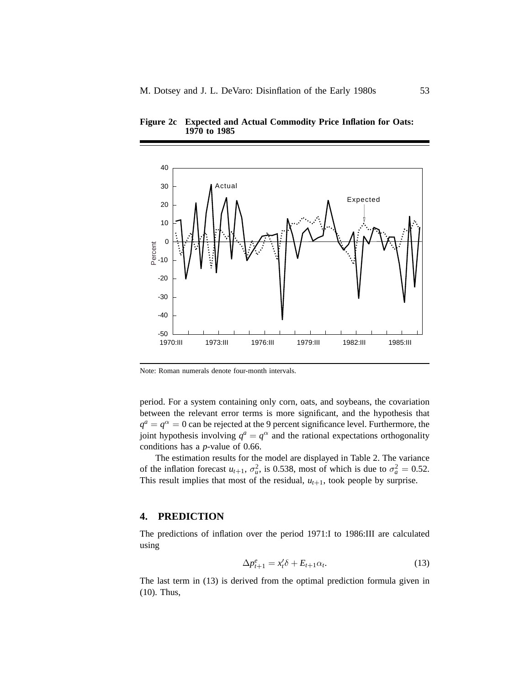

**Figure 2c Expected and Actual Commodity Price Inflation for Oats: 1970 to 1985**

Note: Roman numerals denote four-month intervals.

period. For a system containing only corn, oats, and soybeans, the covariation between the relevant error terms is more significant, and the hypothesis that  $q^a = q^{\alpha} = 0$  can be rejected at the 9 percent significance level. Furthermore, the joint hypothesis involving  $q^a = q^{\alpha}$  and the rational expectations orthogonality conditions has a *p*-value of 0.66.

The estimation results for the model are displayed in Table 2. The variance of the inflation forecast  $u_{t+1}$ ,  $\sigma_u^2$ , is 0.538, most of which is due to  $\sigma_a^2 = 0.52$ . This result implies that most of the residual,  $u_{t+1}$ , took people by surprise.

## **4. PREDICTION**

The predictions of inflation over the period 1971:I to 1986:III are calculated using

$$
\Delta p_{t+1}^e = x_t^{\prime} \delta + E_{t+1} \alpha_t. \tag{13}
$$

The last term in (13) is derived from the optimal prediction formula given in (10). Thus,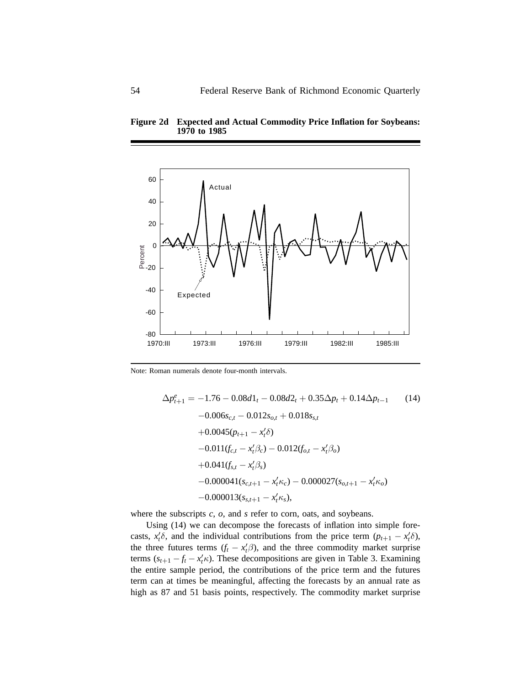



Note: Roman numerals denote four-month intervals.

$$
\Delta p_{t+1}^e = -1.76 - 0.08d1_t - 0.08d2_t + 0.35\Delta p_t + 0.14\Delta p_{t-1}
$$
 (14)  
\n
$$
-0.006s_{c,t} - 0.012s_{o,t} + 0.018s_{s,t}
$$
  
\n
$$
+0.0045(p_{t+1} - x_t'\delta)
$$
  
\n
$$
-0.011(f_{c,t} - x_t'\beta_c) - 0.012(f_{o,t} - x_t'\beta_o)
$$
  
\n
$$
+0.041(f_{s,t} - x_t'\beta_s)
$$
  
\n
$$
-0.000041(s_{c,t+1} - x_t'\kappa_c) - 0.000027(s_{o,t+1} - x_t'\kappa_o)
$$
  
\n
$$
-0.000013(s_{s,t+1} - x_t'\kappa_s),
$$
 (14)

where the subscripts *c*, *o*, and *s* refer to corn, oats, and soybeans.

Using (14) we can decompose the forecasts of inflation into simple forecasts,  $x_t$ <sup>*t*</sup> $\delta$ , and the individual contributions from the price term  $(p_{t+1} - x_t^{\prime} \delta)$ , the three futures terms  $(f_t - x'_t)$ , and the three commodity market surprise terms  $(s_{t+1} - f_t - x'_t \kappa)$ . These decompositions are given in Table 3. Examining the entire sample period, the contributions of the price term and the futures term can at times be meaningful, affecting the forecasts by an annual rate as high as 87 and 51 basis points, respectively. The commodity market surprise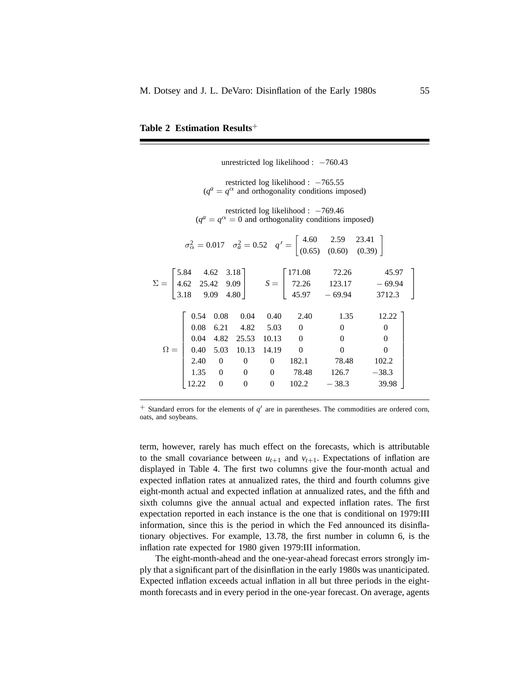|  | Table 2 Estimation Results <sup>+</sup> |  |
|--|-----------------------------------------|--|
|--|-----------------------------------------|--|

| unrestricted log likelihood : $-760.43$                                                                                                                                                                                   |                                                                                                    |      |      |      |                                       |                                                                                                                                                                                                                                                                                                                     |       |  |  |
|---------------------------------------------------------------------------------------------------------------------------------------------------------------------------------------------------------------------------|----------------------------------------------------------------------------------------------------|------|------|------|---------------------------------------|---------------------------------------------------------------------------------------------------------------------------------------------------------------------------------------------------------------------------------------------------------------------------------------------------------------------|-------|--|--|
|                                                                                                                                                                                                                           | restricted log likelihood : $-765.55$<br>$(q^a = q^{\alpha}$ and orthogonality conditions imposed) |      |      |      |                                       |                                                                                                                                                                                                                                                                                                                     |       |  |  |
|                                                                                                                                                                                                                           |                                                                                                    |      |      |      | restricted log likelihood : $-769.46$ | $(q^a = q^{\alpha} = 0$ and orthogonality conditions imposed)                                                                                                                                                                                                                                                       |       |  |  |
|                                                                                                                                                                                                                           |                                                                                                    |      |      |      |                                       | $\sigma_{\alpha}^2 = 0.017$ $\sigma_{a}^2 = 0.52$ $q' = \begin{bmatrix} 4.60 & 2.59 & 23.41 \\ (0.65) & (0.60) & (0.39) \end{bmatrix}$                                                                                                                                                                              |       |  |  |
| $\Sigma = \begin{bmatrix} 5.84 & 4.62 & 3.18 \\ 4.62 & 25.42 & 9.09 \\ 3.18 & 9.09 & 4.80 \end{bmatrix}$ $S = \begin{bmatrix} 171.08 & 72.26 & 45.97 \\ 72.26 & 123.17 & -69.94 \\ 45.97 & -69.94 & 3712.3 \end{bmatrix}$ |                                                                                                    |      |      |      |                                       |                                                                                                                                                                                                                                                                                                                     |       |  |  |
|                                                                                                                                                                                                                           | 0.54                                                                                               | 0.08 | 0.04 | 0.40 |                                       | 2.40 1.35<br>$\Omega = \begin{bmatrix}\n0.54 & 0.06 & 0.07 & 0.11 \\ 0.08 & 6.21 & 4.82 & 5.03 & 0 & 0 & 0 \\ 0.04 & 4.82 & 25.53 & 10.13 & 0 & 0 & 0 \\ 0.40 & 5.03 & 10.13 & 14.19 & 0 & 0 & 0 \\ 2.40 & 0 & 0 & 0 & 182.1 & 78.48 & 102.2 \\ 1.35 & 0 & 0 & 0 & 78.48 & 126.7 & -38.3 \\ 12.22 & 0 & 0 & 0 & 10$ | 12.22 |  |  |

 $+$  Standard errors for the elements of  $q'$  are in parentheses. The commodities are ordered corn, oats, and soybeans.

term, however, rarely has much effect on the forecasts, which is attributable to the small covariance between  $u_{t+1}$  and  $v_{t+1}$ . Expectations of inflation are displayed in Table 4. The first two columns give the four-month actual and expected inflation rates at annualized rates, the third and fourth columns give eight-month actual and expected inflation at annualized rates, and the fifth and sixth columns give the annual actual and expected inflation rates. The first expectation reported in each instance is the one that is conditional on 1979:III information, since this is the period in which the Fed announced its disinflationary objectives. For example, 13.78, the first number in column 6, is the inflation rate expected for 1980 given 1979:III information.

The eight-month-ahead and the one-year-ahead forecast errors strongly imply that a significant part of the disinflation in the early 1980s was unanticipated. Expected inflation exceeds actual inflation in all but three periods in the eightmonth forecasts and in every period in the one-year forecast. On average, agents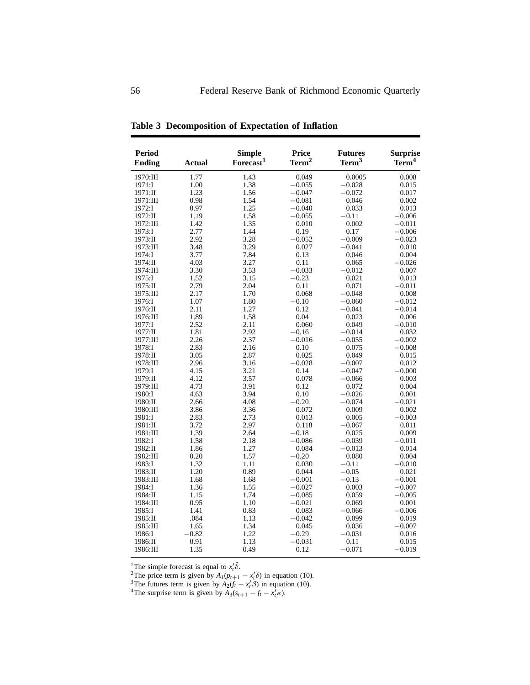| Period<br><b>Ending</b> | <b>Actual</b> | <b>Simple</b><br>Forecast <sup>1</sup> | <b>Price</b><br>Term <sup>2</sup> | <b>Futures</b><br>Term <sup>3</sup> | <b>Surprise</b><br>Term <sup>4</sup> |
|-------------------------|---------------|----------------------------------------|-----------------------------------|-------------------------------------|--------------------------------------|
| 1970:III                | 1.77          | 1.43                                   | 0.049                             | 0.0005                              | 0.008                                |
| 1971:I                  | 1.00          | 1.38                                   | $-0.055$                          | $-0.028$                            | 0.015                                |
| 1971:II                 | 1.23          | 1.56                                   | $-0.047$                          | $-0.072$                            | 0.017                                |
| 1971:III                | 0.98          | 1.54                                   | $-0.081$                          | 0.046                               | 0.002                                |
| 1972:I                  | 0.97          | 1.25                                   | $-0.040$                          | 0.033                               | 0.013                                |
| 1972:II                 | 1.19          | 1.58                                   | $-0.055$                          | $-0.11$                             | $-0.006$                             |
| 1972:III                | 1.42          | 1.35                                   | 0.010                             | 0.002                               | $-0.011$                             |
| 1973:I                  | 2.77          | 1.44                                   | 0.19                              | 0.17                                | $-0.006$                             |
| 1973:II                 | 2.92          | 3.28                                   | $-0.052$                          | $-0.009$                            | $-0.023$                             |
| 1973:III                | 3.48          | 3.29                                   | 0.027                             | $-0.041$                            | 0.010                                |
| 1974:I                  | 3.77          | 7.84                                   | 0.13                              | 0.046                               | 0.004                                |
| 1974:II                 | 4.03          | 3.27                                   | 0.11                              | 0.065                               | $-0.026$                             |
| 1974:III                | 3.30          | 3.53                                   | $-0.033$                          | $-0.012$                            | 0.007                                |
| 1975:I                  | 1.52          | 3.15                                   | $-0.23$                           | 0.021                               | 0.013                                |
| 1975:II                 | 2.79          | 2.04                                   | 0.11                              | 0.071                               | $-0.011$                             |
| 1975:III                | 2.17          | 1.70                                   | 0.068                             | $-0.048$                            | 0.008                                |
| 1976:I                  | 1.07          | 1.80                                   | $-0.10$                           | $-0.060$                            | $-0.012$                             |
| 1976:II                 | 2.11          | 1.27                                   | 0.12                              | $-0.041$                            | $-0.014$                             |
| 1976:III                | 1.89          | 1.58                                   | 0.04                              | 0.023                               | 0.006                                |
| 1977:I                  | 2.52          | 2.11                                   | 0.060                             | 0.049                               | $-0.010$                             |
| 1977:II                 | 1.81          | 2.92                                   | $-0.16$                           | $-0.014$                            | 0.032                                |
| 1977:III                | 2.26          | 2.37                                   | $-0.016$                          | $-0.055$                            | $-0.002$                             |
| 1978:I                  | 2.83          | 2.16                                   | 0.10                              | 0.075                               | $-0.008$                             |
| 1978:II                 | 3.05          | 2.87                                   | 0.025                             | 0.049                               | 0.015                                |
| 1978:III                | 2.96          | 3.16                                   | $-0.028$                          | $-0.007$                            | 0.012                                |
| 1979:I                  | 4.15          | 3.21                                   | 0.14                              | $-0.047$                            | $-0.000$                             |
| 1979:II                 | 4.12          | 3.57                                   | 0.078                             | $-0.066$                            | 0.003                                |
| 1979:III                | 4.73          | 3.91                                   | 0.12                              | 0.072                               | 0.004                                |
| 1980:I                  | 4.63          | 3.94                                   | 0.10                              | $-0.026$                            | 0.001                                |
| 1980:II                 | 2.66          | 4.08                                   | $-0.20$                           | $-0.074$                            | $-0.021$                             |
| 1980:III                | 3.86          | 3.36                                   | 0.072                             | 0.009                               | 0.002                                |
| 1981:I                  | 2.83          | 2.73                                   | 0.013                             | 0.005                               | $-0.003$                             |
| 1981:II                 | 3.72          | 2.97                                   | 0.118                             | $-0.067$                            | 0.011                                |
| 1981:III                | 1.39          | 2.64                                   | $-0.18$                           | 0.025                               | 0.009                                |
| 1982:I                  | 1.58          | 2.18                                   | $-0.086$                          | $-0.039$                            | $-0.011$                             |
| 1982:II                 | 1.86          | 1.27                                   | 0.084                             | $-0.013$                            | 0.014                                |
| 1982:III                | 0.20          | 1.57                                   | $-0.20$                           | 0.080                               | 0.004                                |
| 1983:I                  | 1.32          | 1.11                                   | 0.030                             | $-0.11$                             | $-0.010$                             |
| 1983:II                 | 1.20          | 0.89                                   | 0.044                             | $-0.05$                             | 0.021                                |
| 1983:III                | 1.68          | 1.68                                   | $-0.001$                          | $-0.13$                             | $-0.001$                             |
| 1984:I                  | 1.36          | 1.55                                   | $-0.027$                          | 0.003                               | $-0.007$                             |
| 1984:II                 | 1.15          | 1.74                                   | $-0.085$                          | 0.059                               | $-0.005$                             |
| 1984:III                | 0.95          | 1.10                                   | $-0.021$                          | 0.069                               | 0.001                                |
| 1985:I                  | 1.41          | 0.83                                   | 0.083                             | $-0.066$                            | $-0.006$                             |
| 1985:II                 | .084          | 1.13                                   | $-0.042$                          | 0.099                               | 0.019                                |
| 1985:III                | 1.65          | 1.34                                   | 0.045                             | 0.036                               | $-0.007$                             |
| 1986:I                  | $-0.82$       | 1.22                                   | $-0.29$                           | $-0.031$                            | 0.016                                |
| 1986:II                 | 0.91          | 1.13                                   | $-0.031$                          | 0.11                                | 0.015                                |
| 1986:III                | 1.35          | 0.49                                   | 0.12                              | $-0.071$                            | $-0.019$                             |

**Table 3 Decomposition of Expectation of Inflation**

<sup>1</sup>The simple forecast is equal to  $x'_t \hat{\delta}$ .<br><sup>2</sup>The price term is given by  $A_1(p_{t+1} - x'_t \delta)$  in equation (10).<br><sup>3</sup>The futures term is given by  $A_2(f_t - x'_t \beta)$  in equation (10).<br><sup>4</sup>The surprise term is given by  $A_3(s_{t+1$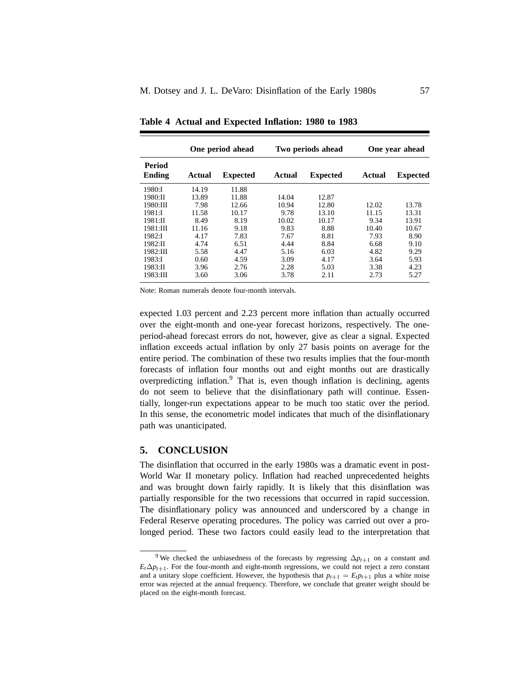|                  |        | One period ahead |        | Two periods ahead | One year ahead |                 |
|------------------|--------|------------------|--------|-------------------|----------------|-----------------|
| Period<br>Ending | Actual | <b>Expected</b>  | Actual | <b>Expected</b>   | Actual         | <b>Expected</b> |
| 1980:I           | 14.19  | 11.88            |        |                   |                |                 |
| 1980:II          | 13.89  | 11.88            | 14.04  | 12.87             |                |                 |
| 1980:III         | 7.98   | 12.66            | 10.94  | 12.80             | 12.02          | 13.78           |
| 1981:I           | 11.58  | 10.17            | 9.78   | 13.10             | 11.15          | 13.31           |
| 1981:II          | 8.49   | 8.19             | 10.02  | 10.17             | 9.34           | 13.91           |
| 1981:III         | 11.16  | 9.18             | 9.83   | 8.88              | 10.40          | 10.67           |
| 1982:I           | 4.17   | 7.83             | 7.67   | 8.81              | 7.93           | 8.90            |
| 1982:II          | 4.74   | 6.51             | 4.44   | 8.84              | 6.68           | 9.10            |
| 1982:III         | 5.58   | 4.47             | 5.16   | 6.03              | 4.82           | 9.29            |
| 1983:            | 0.60   | 4.59             | 3.09   | 4.17              | 3.64           | 5.93            |
| 1983:II          | 3.96   | 2.76             | 2.28   | 5.03              | 3.38           | 4.23            |
| 1983:III         | 3.60   | 3.06             | 3.78   | 2.11              | 2.73           | 5.27            |

**Table 4 Actual and Expected Inflation: 1980 to 1983**

Note: Roman numerals denote four-month intervals.

expected 1.03 percent and 2.23 percent more inflation than actually occurred over the eight-month and one-year forecast horizons, respectively. The oneperiod-ahead forecast errors do not, however, give as clear a signal. Expected inflation exceeds actual inflation by only 27 basis points on average for the entire period. The combination of these two results implies that the four-month forecasts of inflation four months out and eight months out are drastically overpredicting inflation.<sup>9</sup> That is, even though inflation is declining, agents do not seem to believe that the disinflationary path will continue. Essentially, longer-run expectations appear to be much too static over the period. In this sense, the econometric model indicates that much of the disinflationary path was unanticipated.

### **5. CONCLUSION**

The disinflation that occurred in the early 1980s was a dramatic event in post-World War II monetary policy. Inflation had reached unprecedented heights and was brought down fairly rapidly. It is likely that this disinflation was partially responsible for the two recessions that occurred in rapid succession. The disinflationary policy was announced and underscored by a change in Federal Reserve operating procedures. The policy was carried out over a prolonged period. These two factors could easily lead to the interpretation that

<sup>&</sup>lt;sup>9</sup> We checked the unbiasedness of the forecasts by regressing  $\Delta p_{t+1}$  on a constant and  $E_t \Delta p_{t+1}$ . For the four-month and eight-month regressions, we could not reject a zero constant and a unitary slope coefficient. However, the hypothesis that  $p_{t+1} = E_t p_{t+1}$  plus a white noise error was rejected at the annual frequency. Therefore, we conclude that greater weight should be placed on the eight-month forecast.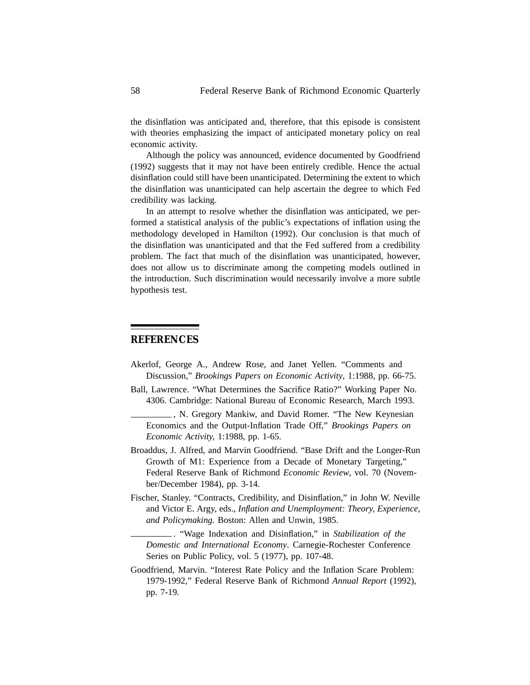the disinflation was anticipated and, therefore, that this episode is consistent with theories emphasizing the impact of anticipated monetary policy on real economic activity.

Although the policy was announced, evidence documented by Goodfriend (1992) suggests that it may not have been entirely credible. Hence the actual disinflation could still have been unanticipated. Determining the extent to which the disinflation was unanticipated can help ascertain the degree to which Fed credibility was lacking.

In an attempt to resolve whether the disinflation was anticipated, we performed a statistical analysis of the public's expectations of inflation using the methodology developed in Hamilton (1992). Our conclusion is that much of the disinflation was unanticipated and that the Fed suffered from a credibility problem. The fact that much of the disinflation was unanticipated, however, does not allow us to discriminate among the competing models outlined in the introduction. Such discrimination would necessarily involve a more subtle hypothesis test.

# **REFERENCES**

- Akerlof, George A., Andrew Rose, and Janet Yellen. "Comments and Discussion," *Brookings Papers on Economic Activity*, 1:1988, pp. 66-75.
- Ball, Lawrence. "What Determines the Sacrifice Ratio?" Working Paper No. 4306. Cambridge: National Bureau of Economic Research, March 1993.
- , N. Gregory Mankiw, and David Romer. "The New Keynesian Economics and the Output-Inflation Trade Off," *Brookings Papers on Economic Activity,* 1:1988, pp. 1-65.
- Broaddus, J. Alfred, and Marvin Goodfriend. "Base Drift and the Longer-Run Growth of M1: Experience from a Decade of Monetary Targeting," Federal Reserve Bank of Richmond *Economic Review*, vol. 70 (November/December 1984), pp. 3-14.
- Fischer, Stanley. "Contracts, Credibility, and Disinflation," in John W. Neville and Victor E. Argy, eds., *Inflation and Unemployment: Theory, Experience, and Policymaking.* Boston: Allen and Unwin, 1985.

. "Wage Indexation and Disinflation," in *Stabilization of the Domestic and International Economy*. Carnegie-Rochester Conference Series on Public Policy, vol. 5 (1977), pp. 107-48.

Goodfriend, Marvin. "Interest Rate Policy and the Inflation Scare Problem: 1979-1992," Federal Reserve Bank of Richmond *Annual Report* (1992), pp. 7-19.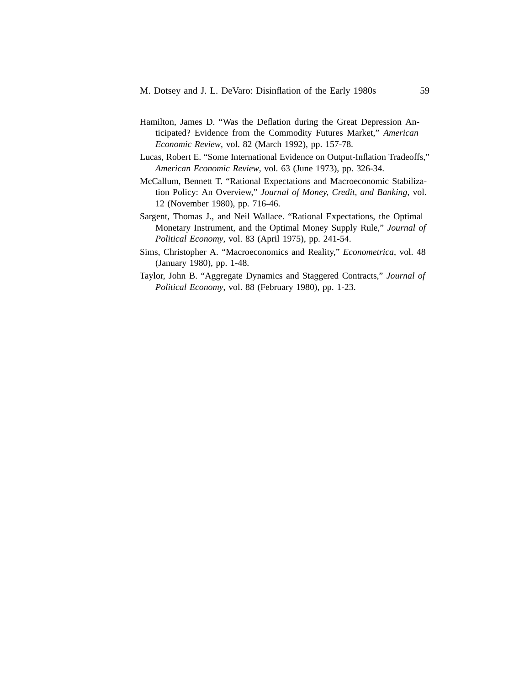- Hamilton, James D. "Was the Deflation during the Great Depression Anticipated? Evidence from the Commodity Futures Market," *American Economic Review*, vol. 82 (March 1992), pp. 157-78.
- Lucas, Robert E. "Some International Evidence on Output-Inflation Tradeoffs," *American Economic Review*, vol. 63 (June 1973), pp. 326-34.
- McCallum, Bennett T. "Rational Expectations and Macroeconomic Stabilization Policy: An Overview," *Journal of Money, Credit, and Banking*, vol. 12 (November 1980), pp. 716-46.
- Sargent, Thomas J., and Neil Wallace. "Rational Expectations, the Optimal Monetary Instrument, and the Optimal Money Supply Rule," *Journal of Political Economy*, vol. 83 (April 1975), pp. 241-54.
- Sims, Christopher A. "Macroeconomics and Reality," *Econometrica*, vol. 48 (January 1980), pp. 1-48.
- Taylor, John B. "Aggregate Dynamics and Staggered Contracts," *Journal of Political Economy*, vol. 88 (February 1980), pp. 1-23.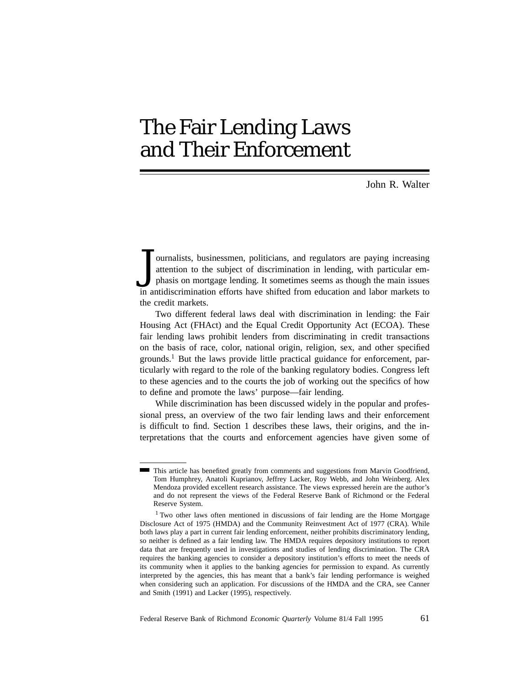# The Fair Lending Laws and Their Enforcement

John R. Walter

J ournalists, businessmen, politicians, and regulators are paying increasing attention to the subject of discrimination in lending, with particular emphasis on mortgage lending. It sometimes seems as though the main issues in antidiscrimination efforts have shifted from education and labor markets to the credit markets.

Two different federal laws deal with discrimination in lending: the Fair Housing Act (FHAct) and the Equal Credit Opportunity Act (ECOA). These fair lending laws prohibit lenders from discriminating in credit transactions on the basis of race, color, national origin, religion, sex, and other specified grounds.<sup>1</sup> But the laws provide little practical guidance for enforcement, particularly with regard to the role of the banking regulatory bodies. Congress left to these agencies and to the courts the job of working out the specifics of how to define and promote the laws' purpose—fair lending.

While discrimination has been discussed widely in the popular and professional press, an overview of the two fair lending laws and their enforcement is difficult to find. Section 1 describes these laws, their origins, and the interpretations that the courts and enforcement agencies have given some of

This article has benefited greatly from comments and suggestions from Marvin Goodfriend, Tom Humphrey, Anatoli Kuprianov, Jeffrey Lacker, Roy Webb, and John Weinberg. Alex Mendoza provided excellent research assistance. The views expressed herein are the author's and do not represent the views of the Federal Reserve Bank of Richmond or the Federal Reserve System.

<sup>&</sup>lt;sup>1</sup> Two other laws often mentioned in discussions of fair lending are the Home Mortgage Disclosure Act of 1975 (HMDA) and the Community Reinvestment Act of 1977 (CRA). While both laws play a part in current fair lending enforcement, neither prohibits discriminatory lending, so neither is defined as a fair lending law. The HMDA requires depository institutions to report data that are frequently used in investigations and studies of lending discrimination. The CRA requires the banking agencies to consider a depository institution's efforts to meet the needs of its community when it applies to the banking agencies for permission to expand. As currently interpreted by the agencies, this has meant that a bank's fair lending performance is weighed when considering such an application. For discussions of the HMDA and the CRA, see Canner and Smith (1991) and Lacker (1995), respectively.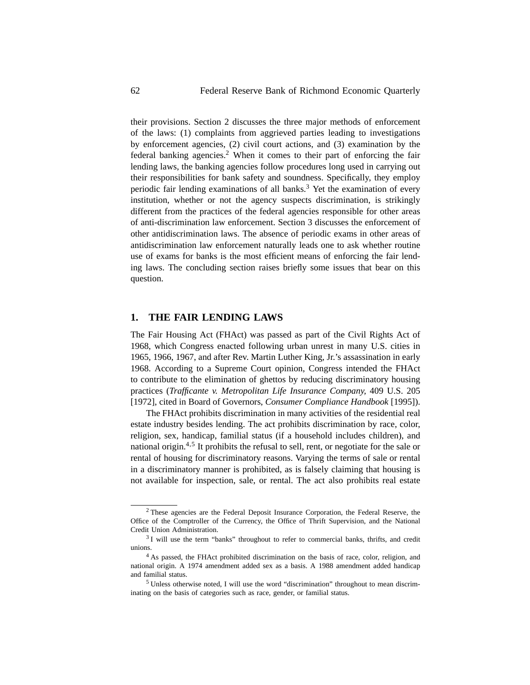their provisions. Section 2 discusses the three major methods of enforcement of the laws: (1) complaints from aggrieved parties leading to investigations by enforcement agencies, (2) civil court actions, and (3) examination by the federal banking agencies.<sup>2</sup> When it comes to their part of enforcing the fair lending laws, the banking agencies follow procedures long used in carrying out their responsibilities for bank safety and soundness. Specifically, they employ periodic fair lending examinations of all banks.<sup>3</sup> Yet the examination of every institution, whether or not the agency suspects discrimination, is strikingly different from the practices of the federal agencies responsible for other areas of anti-discrimination law enforcement. Section 3 discusses the enforcement of other antidiscrimination laws. The absence of periodic exams in other areas of antidiscrimination law enforcement naturally leads one to ask whether routine use of exams for banks is the most efficient means of enforcing the fair lending laws. The concluding section raises briefly some issues that bear on this question.

### **1. THE FAIR LENDING LAWS**

The Fair Housing Act (FHAct) was passed as part of the Civil Rights Act of 1968, which Congress enacted following urban unrest in many U.S. cities in 1965, 1966, 1967, and after Rev. Martin Luther King, Jr.'s assassination in early 1968. According to a Supreme Court opinion, Congress intended the FHAct to contribute to the elimination of ghettos by reducing discriminatory housing practices (*Trafficante v. Metropolitan Life Insurance Company,* 409 U.S. 205 [1972], cited in Board of Governors, *Consumer Compliance Handbook* [1995]).

The FHAct prohibits discrimination in many activities of the residential real estate industry besides lending. The act prohibits discrimination by race, color, religion, sex, handicap, familial status (if a household includes children), and national origin.<sup>4,5</sup> It prohibits the refusal to sell, rent, or negotiate for the sale or rental of housing for discriminatory reasons. Varying the terms of sale or rental in a discriminatory manner is prohibited, as is falsely claiming that housing is not available for inspection, sale, or rental. The act also prohibits real estate

<sup>&</sup>lt;sup>2</sup> These agencies are the Federal Deposit Insurance Corporation, the Federal Reserve, the Office of the Comptroller of the Currency, the Office of Thrift Supervision, and the National Credit Union Administration.

<sup>&</sup>lt;sup>3</sup> I will use the term "banks" throughout to refer to commercial banks, thrifts, and credit unions.

<sup>&</sup>lt;sup>4</sup> As passed, the FHAct prohibited discrimination on the basis of race, color, religion, and national origin. A 1974 amendment added sex as a basis. A 1988 amendment added handicap and familial status.

<sup>5</sup> Unless otherwise noted, I will use the word "discrimination" throughout to mean discriminating on the basis of categories such as race, gender, or familial status.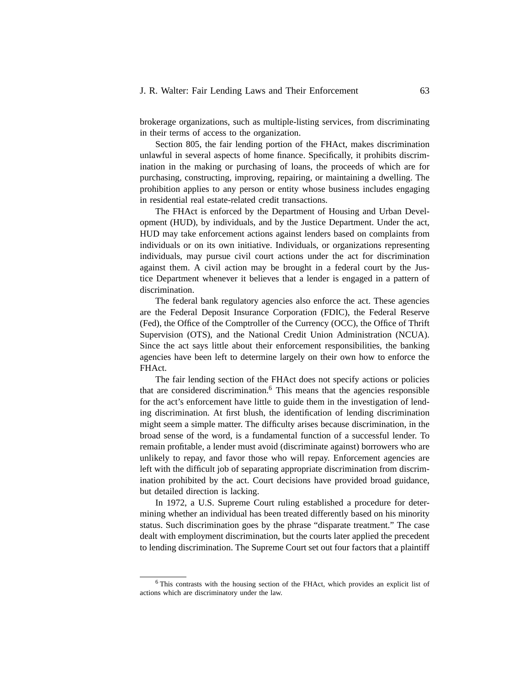### J. R. Walter: Fair Lending Laws and Their Enforcement 63

brokerage organizations, such as multiple-listing services, from discriminating in their terms of access to the organization.

Section 805, the fair lending portion of the FHAct, makes discrimination unlawful in several aspects of home finance. Specifically, it prohibits discrimination in the making or purchasing of loans, the proceeds of which are for purchasing, constructing, improving, repairing, or maintaining a dwelling. The prohibition applies to any person or entity whose business includes engaging in residential real estate-related credit transactions.

The FHAct is enforced by the Department of Housing and Urban Development (HUD), by individuals, and by the Justice Department. Under the act, HUD may take enforcement actions against lenders based on complaints from individuals or on its own initiative. Individuals, or organizations representing individuals, may pursue civil court actions under the act for discrimination against them. A civil action may be brought in a federal court by the Justice Department whenever it believes that a lender is engaged in a pattern of discrimination.

The federal bank regulatory agencies also enforce the act. These agencies are the Federal Deposit Insurance Corporation (FDIC), the Federal Reserve (Fed), the Office of the Comptroller of the Currency (OCC), the Office of Thrift Supervision (OTS), and the National Credit Union Administration (NCUA). Since the act says little about their enforcement responsibilities, the banking agencies have been left to determine largely on their own how to enforce the FHAct.

The fair lending section of the FHAct does not specify actions or policies that are considered discrimination.<sup>6</sup> This means that the agencies responsible for the act's enforcement have little to guide them in the investigation of lending discrimination. At first blush, the identification of lending discrimination might seem a simple matter. The difficulty arises because discrimination, in the broad sense of the word, is a fundamental function of a successful lender. To remain profitable, a lender must avoid (discriminate against) borrowers who are unlikely to repay, and favor those who will repay. Enforcement agencies are left with the difficult job of separating appropriate discrimination from discrimination prohibited by the act. Court decisions have provided broad guidance, but detailed direction is lacking.

In 1972, a U.S. Supreme Court ruling established a procedure for determining whether an individual has been treated differently based on his minority status. Such discrimination goes by the phrase "disparate treatment." The case dealt with employment discrimination, but the courts later applied the precedent to lending discrimination. The Supreme Court set out four factors that a plaintiff

<sup>6</sup> This contrasts with the housing section of the FHAct, which provides an explicit list of actions which are discriminatory under the law.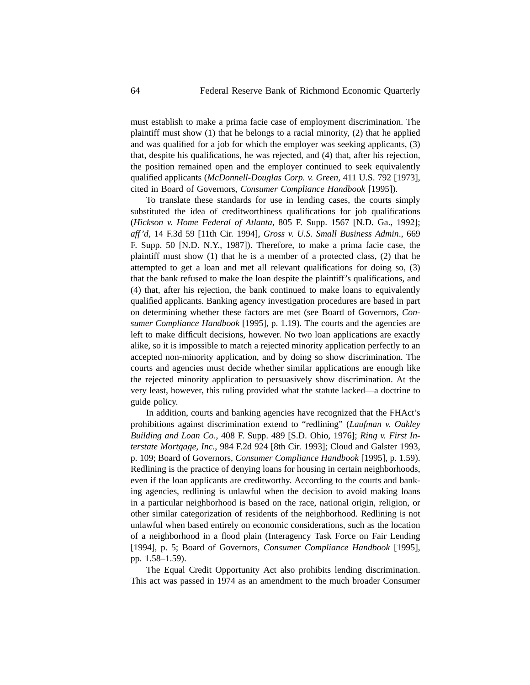must establish to make a prima facie case of employment discrimination. The plaintiff must show (1) that he belongs to a racial minority, (2) that he applied and was qualified for a job for which the employer was seeking applicants, (3) that, despite his qualifications, he was rejected, and (4) that, after his rejection, the position remained open and the employer continued to seek equivalently qualified applicants (*McDonnell-Douglas Corp. v. Green,* 411 U.S. 792 [1973], cited in Board of Governors, *Consumer Compliance Handbook* [1995]).

To translate these standards for use in lending cases, the courts simply substituted the idea of creditworthiness qualifications for job qualifications (*Hickson v. Home Federal of Atlanta,* 805 F. Supp. 1567 [N.D. Ga., 1992]; *aff'd,* 14 F.3d 59 [11th Cir. 1994], *Gross v. U.S. Small Business Admin*., 669 F. Supp. 50 [N.D. N.Y., 1987]). Therefore, to make a prima facie case, the plaintiff must show (1) that he is a member of a protected class, (2) that he attempted to get a loan and met all relevant qualifications for doing so, (3) that the bank refused to make the loan despite the plaintiff's qualifications, and (4) that, after his rejection, the bank continued to make loans to equivalently qualified applicants. Banking agency investigation procedures are based in part on determining whether these factors are met (see Board of Governors, *Consumer Compliance Handbook* [1995], p. 1.19). The courts and the agencies are left to make difficult decisions, however. No two loan applications are exactly alike, so it is impossible to match a rejected minority application perfectly to an accepted non-minority application, and by doing so show discrimination. The courts and agencies must decide whether similar applications are enough like the rejected minority application to persuasively show discrimination. At the very least, however, this ruling provided what the statute lacked—a doctrine to guide policy.

In addition, courts and banking agencies have recognized that the FHAct's prohibitions against discrimination extend to "redlining" (*Laufman v. Oakley Building and Loan Co*., 408 F. Supp. 489 [S.D. Ohio, 1976]; *Ring v. First Interstate Mortgage, Inc*., 984 F.2d 924 [8th Cir. 1993]; Cloud and Galster 1993, p. 109; Board of Governors, *Consumer Compliance Handbook* [1995], p. 1.59). Redlining is the practice of denying loans for housing in certain neighborhoods, even if the loan applicants are creditworthy. According to the courts and banking agencies, redlining is unlawful when the decision to avoid making loans in a particular neighborhood is based on the race, national origin, religion, or other similar categorization of residents of the neighborhood. Redlining is not unlawful when based entirely on economic considerations, such as the location of a neighborhood in a flood plain (Interagency Task Force on Fair Lending [1994], p. 5; Board of Governors, *Consumer Compliance Handbook* [1995], pp. 1.58–1.59).

The Equal Credit Opportunity Act also prohibits lending discrimination. This act was passed in 1974 as an amendment to the much broader Consumer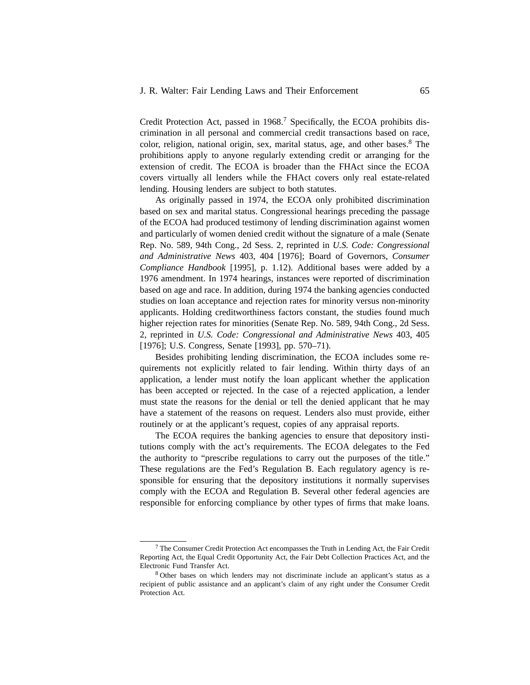## J. R. Walter: Fair Lending Laws and Their Enforcement 65

Credit Protection Act, passed in 1968.<sup>7</sup> Specifically, the ECOA prohibits discrimination in all personal and commercial credit transactions based on race, color, religion, national origin, sex, marital status, age, and other bases.<sup>8</sup> The prohibitions apply to anyone regularly extending credit or arranging for the extension of credit. The ECOA is broader than the FHAct since the ECOA covers virtually all lenders while the FHAct covers only real estate-related lending. Housing lenders are subject to both statutes.

As originally passed in 1974, the ECOA only prohibited discrimination based on sex and marital status. Congressional hearings preceding the passage of the ECOA had produced testimony of lending discrimination against women and particularly of women denied credit without the signature of a male (Senate Rep. No. 589, 94th Cong., 2d Sess. 2, reprinted in *U.S. Code: Congressional and Administrative News* 403, 404 [1976]; Board of Governors, *Consumer Compliance Handbook* [1995], p. 1.12). Additional bases were added by a 1976 amendment. In 1974 hearings, instances were reported of discrimination based on age and race. In addition, during 1974 the banking agencies conducted studies on loan acceptance and rejection rates for minority versus non-minority applicants. Holding creditworthiness factors constant, the studies found much higher rejection rates for minorities (Senate Rep. No. 589, 94th Cong., 2d Sess. 2, reprinted in *U.S. Code: Congressional and Administrative News* 403, 405 [1976]; U.S. Congress, Senate [1993], pp. 570–71).

Besides prohibiting lending discrimination, the ECOA includes some requirements not explicitly related to fair lending. Within thirty days of an application, a lender must notify the loan applicant whether the application has been accepted or rejected. In the case of a rejected application, a lender must state the reasons for the denial or tell the denied applicant that he may have a statement of the reasons on request. Lenders also must provide, either routinely or at the applicant's request, copies of any appraisal reports.

The ECOA requires the banking agencies to ensure that depository institutions comply with the act's requirements. The ECOA delegates to the Fed the authority to "prescribe regulations to carry out the purposes of the title." These regulations are the Fed's Regulation B. Each regulatory agency is responsible for ensuring that the depository institutions it normally supervises comply with the ECOA and Regulation B. Several other federal agencies are responsible for enforcing compliance by other types of firms that make loans.

<sup>7</sup> The Consumer Credit Protection Act encompasses the Truth in Lending Act, the Fair Credit Reporting Act, the Equal Credit Opportunity Act, the Fair Debt Collection Practices Act, and the Electronic Fund Transfer Act.

<sup>8</sup> Other bases on which lenders may not discriminate include an applicant's status as a recipient of public assistance and an applicant's claim of any right under the Consumer Credit Protection Act.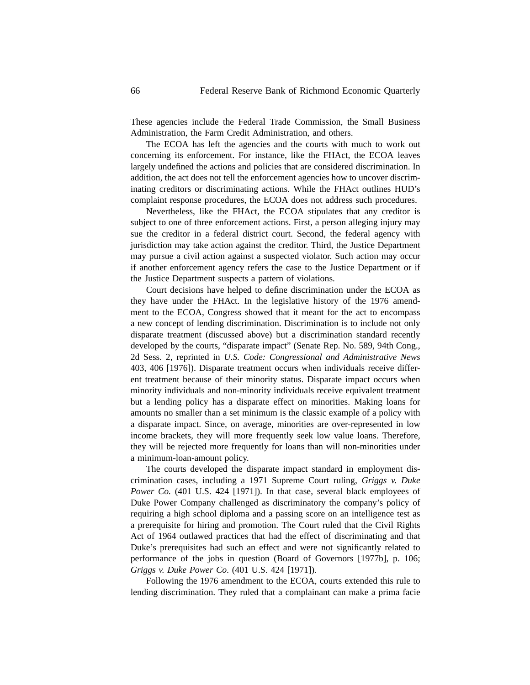These agencies include the Federal Trade Commission, the Small Business Administration, the Farm Credit Administration, and others.

The ECOA has left the agencies and the courts with much to work out concerning its enforcement. For instance, like the FHAct, the ECOA leaves largely undefined the actions and policies that are considered discrimination. In addition, the act does not tell the enforcement agencies how to uncover discriminating creditors or discriminating actions. While the FHAct outlines HUD's complaint response procedures, the ECOA does not address such procedures.

Nevertheless, like the FHAct, the ECOA stipulates that any creditor is subject to one of three enforcement actions. First, a person alleging injury may sue the creditor in a federal district court. Second, the federal agency with jurisdiction may take action against the creditor. Third, the Justice Department may pursue a civil action against a suspected violator. Such action may occur if another enforcement agency refers the case to the Justice Department or if the Justice Department suspects a pattern of violations.

Court decisions have helped to define discrimination under the ECOA as they have under the FHAct. In the legislative history of the 1976 amendment to the ECOA, Congress showed that it meant for the act to encompass a new concept of lending discrimination. Discrimination is to include not only disparate treatment (discussed above) but a discrimination standard recently developed by the courts, "disparate impact" (Senate Rep. No. 589, 94th Cong., 2d Sess. 2, reprinted in *U.S. Code: Congressional and Administrative News* 403, 406 [1976]). Disparate treatment occurs when individuals receive different treatment because of their minority status. Disparate impact occurs when minority individuals and non-minority individuals receive equivalent treatment but a lending policy has a disparate effect on minorities. Making loans for amounts no smaller than a set minimum is the classic example of a policy with a disparate impact. Since, on average, minorities are over-represented in low income brackets, they will more frequently seek low value loans. Therefore, they will be rejected more frequently for loans than will non-minorities under a minimum-loan-amount policy.

The courts developed the disparate impact standard in employment discrimination cases, including a 1971 Supreme Court ruling, *Griggs v. Duke* Power Co. (401 U.S. 424 [1971]). In that case, several black employees of Duke Power Company challenged as discriminatory the company's policy of requiring a high school diploma and a passing score on an intelligence test as a prerequisite for hiring and promotion. The Court ruled that the Civil Rights Act of 1964 outlawed practices that had the effect of discriminating and that Duke's prerequisites had such an effect and were not significantly related to performance of the jobs in question (Board of Governors [1977b], p. 106; *Griggs v. Duke Power Co*. (401 U.S. 424 [1971]).

Following the 1976 amendment to the ECOA, courts extended this rule to lending discrimination. They ruled that a complainant can make a prima facie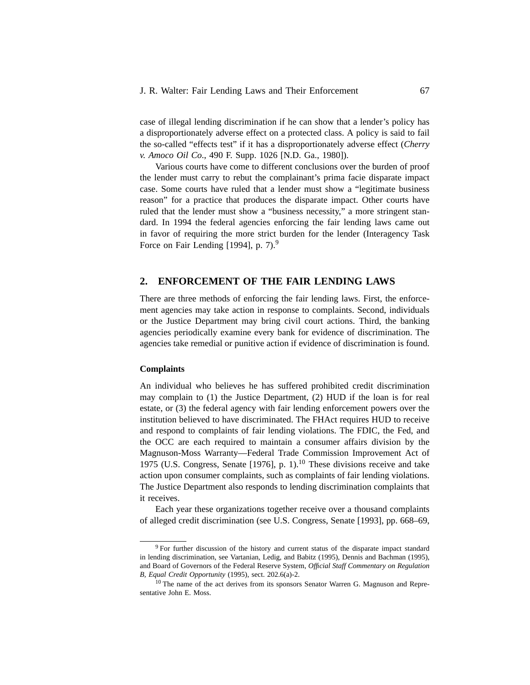case of illegal lending discrimination if he can show that a lender's policy has a disproportionately adverse effect on a protected class. A policy is said to fail the so-called "effects test" if it has a disproportionately adverse effect (*Cherry v. Amoco Oil Co*., 490 F. Supp. 1026 [N.D. Ga., 1980]).

Various courts have come to different conclusions over the burden of proof the lender must carry to rebut the complainant's prima facie disparate impact case. Some courts have ruled that a lender must show a "legitimate business reason" for a practice that produces the disparate impact. Other courts have ruled that the lender must show a "business necessity," a more stringent standard. In 1994 the federal agencies enforcing the fair lending laws came out in favor of requiring the more strict burden for the lender (Interagency Task Force on Fair Lending [1994], p.  $7$ ).<sup>9</sup>

# **2. ENFORCEMENT OF THE FAIR LENDING LAWS**

There are three methods of enforcing the fair lending laws. First, the enforcement agencies may take action in response to complaints. Second, individuals or the Justice Department may bring civil court actions. Third, the banking agencies periodically examine every bank for evidence of discrimination. The agencies take remedial or punitive action if evidence of discrimination is found.

### **Complaints**

An individual who believes he has suffered prohibited credit discrimination may complain to (1) the Justice Department, (2) HUD if the loan is for real estate, or (3) the federal agency with fair lending enforcement powers over the institution believed to have discriminated. The FHAct requires HUD to receive and respond to complaints of fair lending violations. The FDIC, the Fed, and the OCC are each required to maintain a consumer affairs division by the Magnuson-Moss Warranty—Federal Trade Commission Improvement Act of 1975 (U.S. Congress, Senate [1976], p. 1).<sup>10</sup> These divisions receive and take action upon consumer complaints, such as complaints of fair lending violations. The Justice Department also responds to lending discrimination complaints that it receives.

Each year these organizations together receive over a thousand complaints of alleged credit discrimination (see U.S. Congress, Senate [1993], pp. 668–69,

<sup>9</sup> For further discussion of the history and current status of the disparate impact standard in lending discrimination, see Vartanian, Ledig, and Babitz (1995), Dennis and Bachman (1995), and Board of Governors of the Federal Reserve System, *Official Staff Commentary on Regulation B, Equal Credit Opportunity* (1995), sect. 202.6(a)-2.

<sup>&</sup>lt;sup>10</sup> The name of the act derives from its sponsors Senator Warren G. Magnuson and Representative John E. Moss.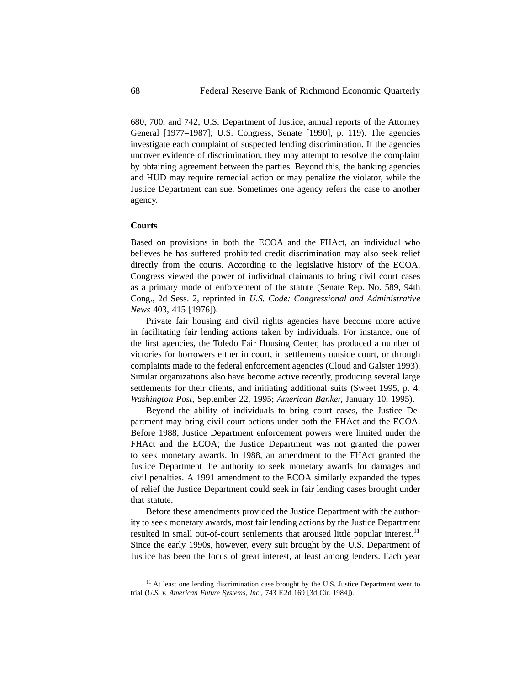680, 700, and 742; U.S. Department of Justice, annual reports of the Attorney General [1977–1987]; U.S. Congress, Senate [1990], p. 119). The agencies investigate each complaint of suspected lending discrimination. If the agencies uncover evidence of discrimination, they may attempt to resolve the complaint by obtaining agreement between the parties. Beyond this, the banking agencies and HUD may require remedial action or may penalize the violator, while the Justice Department can sue. Sometimes one agency refers the case to another agency.

### **Courts**

Based on provisions in both the ECOA and the FHAct, an individual who believes he has suffered prohibited credit discrimination may also seek relief directly from the courts. According to the legislative history of the ECOA, Congress viewed the power of individual claimants to bring civil court cases as a primary mode of enforcement of the statute (Senate Rep. No. 589, 94th Cong., 2d Sess. 2, reprinted in *U.S. Code: Congressional and Administrative News* 403, 415 [1976]).

Private fair housing and civil rights agencies have become more active in facilitating fair lending actions taken by individuals. For instance, one of the first agencies, the Toledo Fair Housing Center, has produced a number of victories for borrowers either in court, in settlements outside court, or through complaints made to the federal enforcement agencies (Cloud and Galster 1993). Similar organizations also have become active recently, producing several large settlements for their clients, and initiating additional suits (Sweet 1995, p. 4; *Washington Post,* September 22, 1995; *American Banker,* January 10, 1995).

Beyond the ability of individuals to bring court cases, the Justice Department may bring civil court actions under both the FHAct and the ECOA. Before 1988, Justice Department enforcement powers were limited under the FHAct and the ECOA; the Justice Department was not granted the power to seek monetary awards. In 1988, an amendment to the FHAct granted the Justice Department the authority to seek monetary awards for damages and civil penalties. A 1991 amendment to the ECOA similarly expanded the types of relief the Justice Department could seek in fair lending cases brought under that statute.

Before these amendments provided the Justice Department with the authority to seek monetary awards, most fair lending actions by the Justice Department resulted in small out-of-court settlements that aroused little popular interest.<sup>11</sup> Since the early 1990s, however, every suit brought by the U.S. Department of Justice has been the focus of great interest, at least among lenders. Each year

<sup>&</sup>lt;sup>11</sup> At least one lending discrimination case brought by the U.S. Justice Department went to trial (*U.S. v. American Future Systems, Inc*., 743 F.2d 169 [3d Cir. 1984]).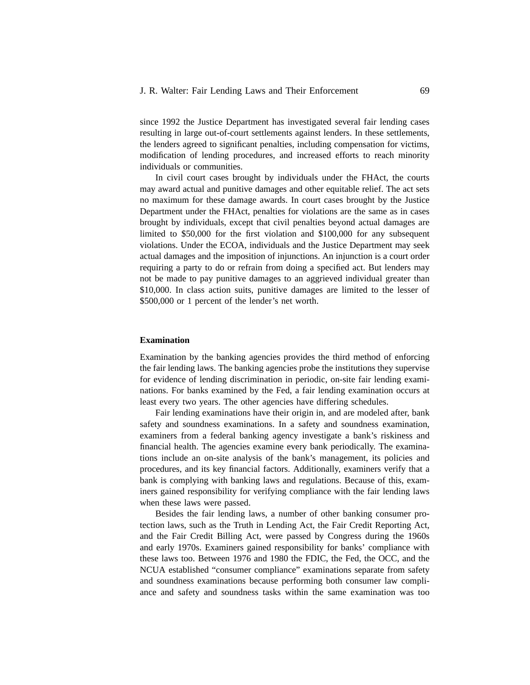## J. R. Walter: Fair Lending Laws and Their Enforcement 69

since 1992 the Justice Department has investigated several fair lending cases resulting in large out-of-court settlements against lenders. In these settlements, the lenders agreed to significant penalties, including compensation for victims, modification of lending procedures, and increased efforts to reach minority individuals or communities.

In civil court cases brought by individuals under the FHAct, the courts may award actual and punitive damages and other equitable relief. The act sets no maximum for these damage awards. In court cases brought by the Justice Department under the FHAct, penalties for violations are the same as in cases brought by individuals, except that civil penalties beyond actual damages are limited to \$50,000 for the first violation and \$100,000 for any subsequent violations. Under the ECOA, individuals and the Justice Department may seek actual damages and the imposition of injunctions. An injunction is a court order requiring a party to do or refrain from doing a specified act. But lenders may not be made to pay punitive damages to an aggrieved individual greater than \$10,000. In class action suits, punitive damages are limited to the lesser of \$500,000 or 1 percent of the lender's net worth.

### **Examination**

Examination by the banking agencies provides the third method of enforcing the fair lending laws. The banking agencies probe the institutions they supervise for evidence of lending discrimination in periodic, on-site fair lending examinations. For banks examined by the Fed, a fair lending examination occurs at least every two years. The other agencies have differing schedules.

Fair lending examinations have their origin in, and are modeled after, bank safety and soundness examinations. In a safety and soundness examination, examiners from a federal banking agency investigate a bank's riskiness and financial health. The agencies examine every bank periodically. The examinations include an on-site analysis of the bank's management, its policies and procedures, and its key financial factors. Additionally, examiners verify that a bank is complying with banking laws and regulations. Because of this, examiners gained responsibility for verifying compliance with the fair lending laws when these laws were passed.

Besides the fair lending laws, a number of other banking consumer protection laws, such as the Truth in Lending Act, the Fair Credit Reporting Act, and the Fair Credit Billing Act, were passed by Congress during the 1960s and early 1970s. Examiners gained responsibility for banks' compliance with these laws too. Between 1976 and 1980 the FDIC, the Fed, the OCC, and the NCUA established "consumer compliance" examinations separate from safety and soundness examinations because performing both consumer law compliance and safety and soundness tasks within the same examination was too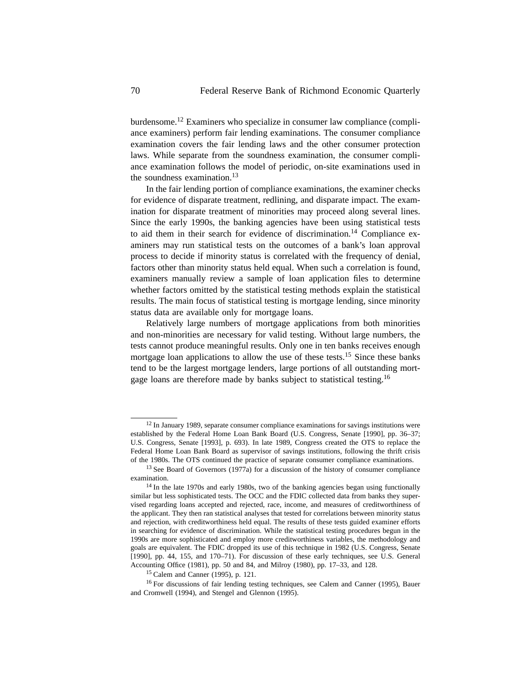burdensome.12 Examiners who specialize in consumer law compliance (compliance examiners) perform fair lending examinations. The consumer compliance examination covers the fair lending laws and the other consumer protection laws. While separate from the soundness examination, the consumer compliance examination follows the model of periodic, on-site examinations used in the soundness examination.<sup>13</sup>

In the fair lending portion of compliance examinations, the examiner checks for evidence of disparate treatment, redlining, and disparate impact. The examination for disparate treatment of minorities may proceed along several lines. Since the early 1990s, the banking agencies have been using statistical tests to aid them in their search for evidence of discrimination.<sup>14</sup> Compliance examiners may run statistical tests on the outcomes of a bank's loan approval process to decide if minority status is correlated with the frequency of denial, factors other than minority status held equal. When such a correlation is found, examiners manually review a sample of loan application files to determine whether factors omitted by the statistical testing methods explain the statistical results. The main focus of statistical testing is mortgage lending, since minority status data are available only for mortgage loans.

Relatively large numbers of mortgage applications from both minorities and non-minorities are necessary for valid testing. Without large numbers, the tests cannot produce meaningful results. Only one in ten banks receives enough mortgage loan applications to allow the use of these tests.<sup>15</sup> Since these banks tend to be the largest mortgage lenders, large portions of all outstanding mortgage loans are therefore made by banks subject to statistical testing.<sup>16</sup>

 $12$  In January 1989, separate consumer compliance examinations for savings institutions were established by the Federal Home Loan Bank Board (U.S. Congress, Senate [1990], pp. 36–37; U.S. Congress, Senate [1993], p. 693). In late 1989, Congress created the OTS to replace the Federal Home Loan Bank Board as supervisor of savings institutions, following the thrift crisis of the 1980s. The OTS continued the practice of separate consumer compliance examinations.

 $13$  See Board of Governors (1977a) for a discussion of the history of consumer compliance examination.

<sup>&</sup>lt;sup>14</sup> In the late 1970s and early 1980s, two of the banking agencies began using functionally similar but less sophisticated tests. The OCC and the FDIC collected data from banks they supervised regarding loans accepted and rejected, race, income, and measures of creditworthiness of the applicant. They then ran statistical analyses that tested for correlations between minority status and rejection, with creditworthiness held equal. The results of these tests guided examiner efforts in searching for evidence of discrimination. While the statistical testing procedures begun in the 1990s are more sophisticated and employ more creditworthiness variables, the methodology and goals are equivalent. The FDIC dropped its use of this technique in 1982 (U.S. Congress, Senate [1990], pp. 44, 155, and 170–71). For discussion of these early techniques, see U.S. General Accounting Office (1981), pp. 50 and 84, and Milroy (1980), pp. 17–33, and 128.

<sup>15</sup> Calem and Canner (1995), p. 121.

<sup>16</sup> For discussions of fair lending testing techniques, see Calem and Canner (1995), Bauer and Cromwell (1994), and Stengel and Glennon (1995).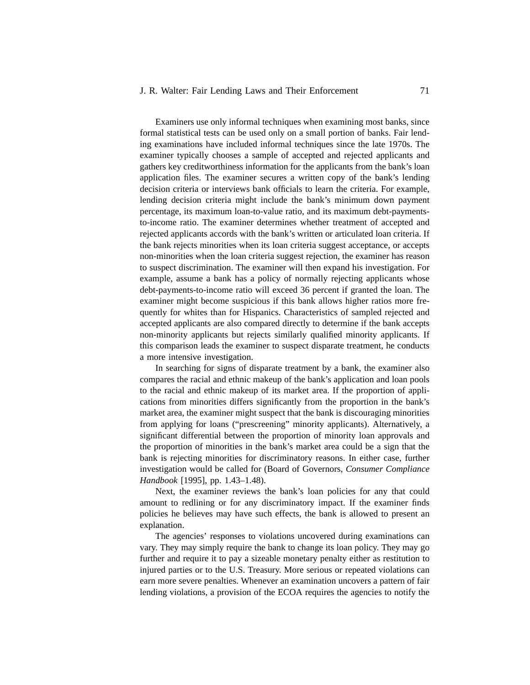## J. R. Walter: Fair Lending Laws and Their Enforcement 71

Examiners use only informal techniques when examining most banks, since formal statistical tests can be used only on a small portion of banks. Fair lending examinations have included informal techniques since the late 1970s. The examiner typically chooses a sample of accepted and rejected applicants and gathers key creditworthiness information for the applicants from the bank's loan application files. The examiner secures a written copy of the bank's lending decision criteria or interviews bank officials to learn the criteria. For example, lending decision criteria might include the bank's minimum down payment percentage, its maximum loan-to-value ratio, and its maximum debt-paymentsto-income ratio. The examiner determines whether treatment of accepted and rejected applicants accords with the bank's written or articulated loan criteria. If the bank rejects minorities when its loan criteria suggest acceptance, or accepts non-minorities when the loan criteria suggest rejection, the examiner has reason to suspect discrimination. The examiner will then expand his investigation. For example, assume a bank has a policy of normally rejecting applicants whose debt-payments-to-income ratio will exceed 36 percent if granted the loan. The examiner might become suspicious if this bank allows higher ratios more frequently for whites than for Hispanics. Characteristics of sampled rejected and accepted applicants are also compared directly to determine if the bank accepts non-minority applicants but rejects similarly qualified minority applicants. If this comparison leads the examiner to suspect disparate treatment, he conducts a more intensive investigation.

In searching for signs of disparate treatment by a bank, the examiner also compares the racial and ethnic makeup of the bank's application and loan pools to the racial and ethnic makeup of its market area. If the proportion of applications from minorities differs significantly from the proportion in the bank's market area, the examiner might suspect that the bank is discouraging minorities from applying for loans ("prescreening" minority applicants). Alternatively, a significant differential between the proportion of minority loan approvals and the proportion of minorities in the bank's market area could be a sign that the bank is rejecting minorities for discriminatory reasons. In either case, further investigation would be called for (Board of Governors, *Consumer Compliance Handbook* [1995], pp. 1.43–1.48).

Next, the examiner reviews the bank's loan policies for any that could amount to redlining or for any discriminatory impact. If the examiner finds policies he believes may have such effects, the bank is allowed to present an explanation.

The agencies' responses to violations uncovered during examinations can vary. They may simply require the bank to change its loan policy. They may go further and require it to pay a sizeable monetary penalty either as restitution to injured parties or to the U.S. Treasury. More serious or repeated violations can earn more severe penalties. Whenever an examination uncovers a pattern of fair lending violations, a provision of the ECOA requires the agencies to notify the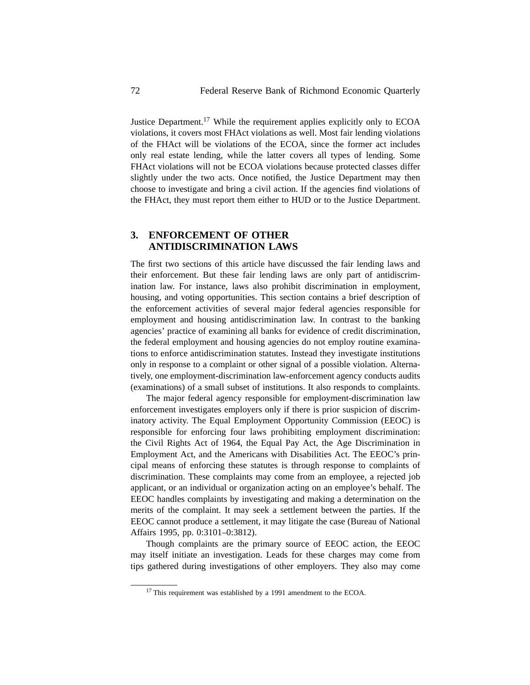Justice Department.<sup>17</sup> While the requirement applies explicitly only to ECOA violations, it covers most FHAct violations as well. Most fair lending violations of the FHAct will be violations of the ECOA, since the former act includes only real estate lending, while the latter covers all types of lending. Some FHAct violations will not be ECOA violations because protected classes differ slightly under the two acts. Once notified, the Justice Department may then choose to investigate and bring a civil action. If the agencies find violations of the FHAct, they must report them either to HUD or to the Justice Department.

# **3. ENFORCEMENT OF OTHER ANTIDISCRIMINATION LAWS**

The first two sections of this article have discussed the fair lending laws and their enforcement. But these fair lending laws are only part of antidiscrimination law. For instance, laws also prohibit discrimination in employment, housing, and voting opportunities. This section contains a brief description of the enforcement activities of several major federal agencies responsible for employment and housing antidiscrimination law. In contrast to the banking agencies' practice of examining all banks for evidence of credit discrimination, the federal employment and housing agencies do not employ routine examinations to enforce antidiscrimination statutes. Instead they investigate institutions only in response to a complaint or other signal of a possible violation. Alternatively, one employment-discrimination law-enforcement agency conducts audits (examinations) of a small subset of institutions. It also responds to complaints.

The major federal agency responsible for employment-discrimination law enforcement investigates employers only if there is prior suspicion of discriminatory activity. The Equal Employment Opportunity Commission (EEOC) is responsible for enforcing four laws prohibiting employment discrimination: the Civil Rights Act of 1964, the Equal Pay Act, the Age Discrimination in Employment Act, and the Americans with Disabilities Act. The EEOC's principal means of enforcing these statutes is through response to complaints of discrimination. These complaints may come from an employee, a rejected job applicant, or an individual or organization acting on an employee's behalf. The EEOC handles complaints by investigating and making a determination on the merits of the complaint. It may seek a settlement between the parties. If the EEOC cannot produce a settlement, it may litigate the case (Bureau of National Affairs 1995, pp. 0:3101–0:3812).

Though complaints are the primary source of EEOC action, the EEOC may itself initiate an investigation. Leads for these charges may come from tips gathered during investigations of other employers. They also may come

 $17$  This requirement was established by a 1991 amendment to the ECOA.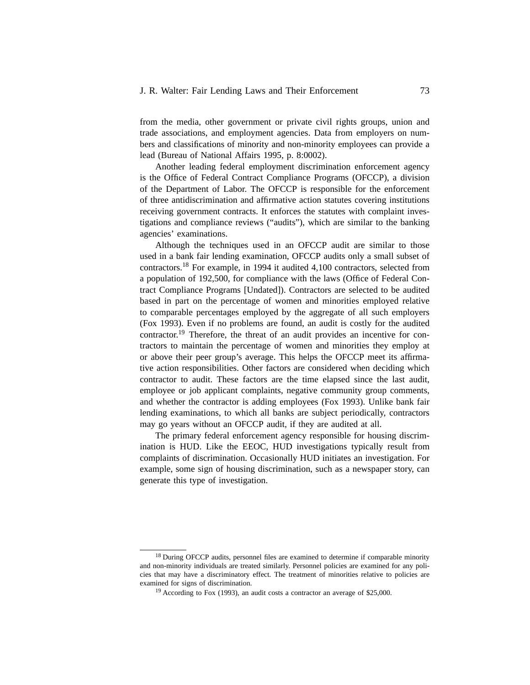#### J. R. Walter: Fair Lending Laws and Their Enforcement 73

from the media, other government or private civil rights groups, union and trade associations, and employment agencies. Data from employers on numbers and classifications of minority and non-minority employees can provide a lead (Bureau of National Affairs 1995, p. 8:0002).

Another leading federal employment discrimination enforcement agency is the Office of Federal Contract Compliance Programs (OFCCP), a division of the Department of Labor. The OFCCP is responsible for the enforcement of three antidiscrimination and affirmative action statutes covering institutions receiving government contracts. It enforces the statutes with complaint investigations and compliance reviews ("audits"), which are similar to the banking agencies' examinations.

Although the techniques used in an OFCCP audit are similar to those used in a bank fair lending examination, OFCCP audits only a small subset of contractors.18 For example, in 1994 it audited 4,100 contractors, selected from a population of 192,500, for compliance with the laws (Office of Federal Contract Compliance Programs [Undated]). Contractors are selected to be audited based in part on the percentage of women and minorities employed relative to comparable percentages employed by the aggregate of all such employers (Fox 1993). Even if no problems are found, an audit is costly for the audited contractor.<sup>19</sup> Therefore, the threat of an audit provides an incentive for contractors to maintain the percentage of women and minorities they employ at or above their peer group's average. This helps the OFCCP meet its affirmative action responsibilities. Other factors are considered when deciding which contractor to audit. These factors are the time elapsed since the last audit, employee or job applicant complaints, negative community group comments, and whether the contractor is adding employees (Fox 1993). Unlike bank fair lending examinations, to which all banks are subject periodically, contractors may go years without an OFCCP audit, if they are audited at all.

The primary federal enforcement agency responsible for housing discrimination is HUD. Like the EEOC, HUD investigations typically result from complaints of discrimination. Occasionally HUD initiates an investigation. For example, some sign of housing discrimination, such as a newspaper story, can generate this type of investigation.

<sup>&</sup>lt;sup>18</sup> During OFCCP audits, personnel files are examined to determine if comparable minority and non-minority individuals are treated similarly. Personnel policies are examined for any policies that may have a discriminatory effect. The treatment of minorities relative to policies are examined for signs of discrimination.

<sup>&</sup>lt;sup>19</sup> According to Fox (1993), an audit costs a contractor an average of \$25,000.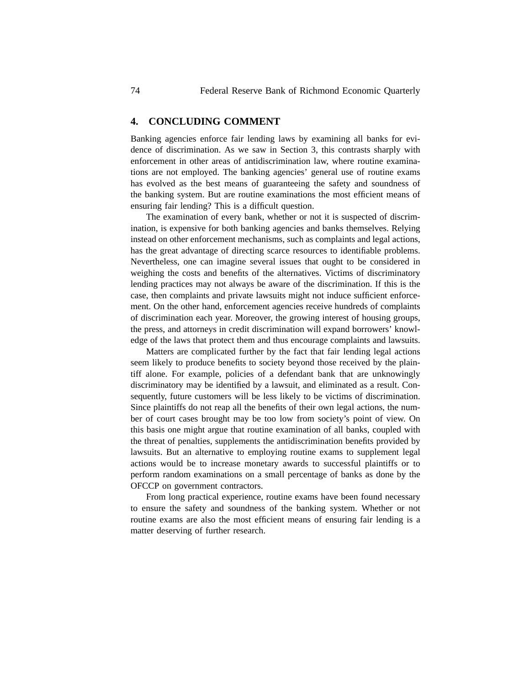## **4. CONCLUDING COMMENT**

Banking agencies enforce fair lending laws by examining all banks for evidence of discrimination. As we saw in Section 3, this contrasts sharply with enforcement in other areas of antidiscrimination law, where routine examinations are not employed. The banking agencies' general use of routine exams has evolved as the best means of guaranteeing the safety and soundness of the banking system. But are routine examinations the most efficient means of ensuring fair lending? This is a difficult question.

The examination of every bank, whether or not it is suspected of discrimination, is expensive for both banking agencies and banks themselves. Relying instead on other enforcement mechanisms, such as complaints and legal actions, has the great advantage of directing scarce resources to identifiable problems. Nevertheless, one can imagine several issues that ought to be considered in weighing the costs and benefits of the alternatives. Victims of discriminatory lending practices may not always be aware of the discrimination. If this is the case, then complaints and private lawsuits might not induce sufficient enforcement. On the other hand, enforcement agencies receive hundreds of complaints of discrimination each year. Moreover, the growing interest of housing groups, the press, and attorneys in credit discrimination will expand borrowers' knowledge of the laws that protect them and thus encourage complaints and lawsuits.

Matters are complicated further by the fact that fair lending legal actions seem likely to produce benefits to society beyond those received by the plaintiff alone. For example, policies of a defendant bank that are unknowingly discriminatory may be identified by a lawsuit, and eliminated as a result. Consequently, future customers will be less likely to be victims of discrimination. Since plaintiffs do not reap all the benefits of their own legal actions, the number of court cases brought may be too low from society's point of view. On this basis one might argue that routine examination of all banks, coupled with the threat of penalties, supplements the antidiscrimination benefits provided by lawsuits. But an alternative to employing routine exams to supplement legal actions would be to increase monetary awards to successful plaintiffs or to perform random examinations on a small percentage of banks as done by the OFCCP on government contractors.

From long practical experience, routine exams have been found necessary to ensure the safety and soundness of the banking system. Whether or not routine exams are also the most efficient means of ensuring fair lending is a matter deserving of further research.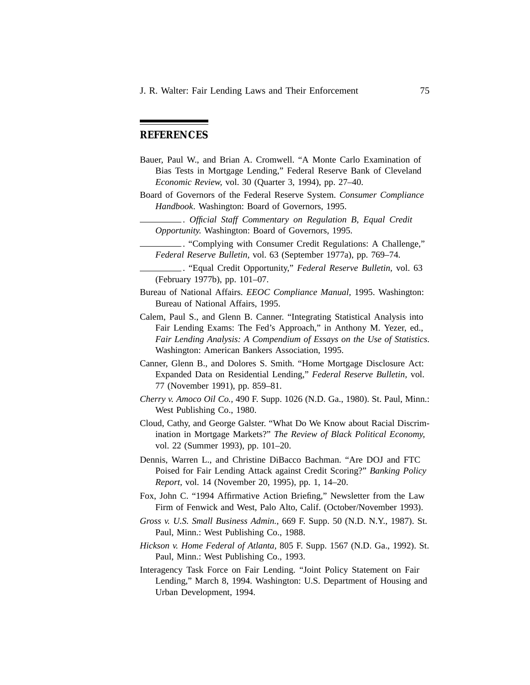# **REFERENCES**

- Bauer, Paul W., and Brian A. Cromwell. "A Monte Carlo Examination of Bias Tests in Mortgage Lending," Federal Reserve Bank of Cleveland *Economic Review,* vol. 30 (Quarter 3, 1994), pp. 27–40.
- Board of Governors of the Federal Reserve System. *Consumer Compliance Handbook*. Washington: Board of Governors, 1995.
	- . *Official Staff Commentary on Regulation B, Equal Credit Opportunity.* Washington: Board of Governors, 1995.
	- . "Complying with Consumer Credit Regulations: A Challenge," *Federal Reserve Bulletin,* vol. 63 (September 1977a), pp. 769–74.
	- . "Equal Credit Opportunity," *Federal Reserve Bulletin,* vol. 63 (February 1977b), pp. 101–07.
- Bureau of National Affairs. *EEOC Compliance Manual,* 1995. Washington: Bureau of National Affairs, 1995.
- Calem, Paul S., and Glenn B. Canner. "Integrating Statistical Analysis into Fair Lending Exams: The Fed's Approach," in Anthony M. Yezer, ed., *Fair Lending Analysis: A Compendium of Essays on the Use of Statistics*. Washington: American Bankers Association, 1995.
- Canner, Glenn B., and Dolores S. Smith. "Home Mortgage Disclosure Act: Expanded Data on Residential Lending," *Federal Reserve Bulletin,* vol. 77 (November 1991), pp. 859–81.
- *Cherry v. Amoco Oil Co.,* 490 F. Supp. 1026 (N.D. Ga., 1980). St. Paul, Minn.: West Publishing Co., 1980.
- Cloud, Cathy, and George Galster. "What Do We Know about Racial Discrimination in Mortgage Markets?" *The Review of Black Political Economy,* vol. 22 (Summer 1993), pp. 101–20.
- Dennis, Warren L., and Christine DiBacco Bachman. "Are DOJ and FTC Poised for Fair Lending Attack against Credit Scoring?" *Banking Policy Report,* vol. 14 (November 20, 1995), pp. 1, 14–20.
- Fox, John C. "1994 Affirmative Action Briefing," Newsletter from the Law Firm of Fenwick and West, Palo Alto, Calif. (October/November 1993).
- *Gross v. U.S. Small Business Admin.,* 669 F. Supp. 50 (N.D. N.Y., 1987). St. Paul, Minn.: West Publishing Co., 1988.
- *Hickson v. Home Federal of Atlanta,* 805 F. Supp. 1567 (N.D. Ga., 1992). St. Paul, Minn.: West Publishing Co., 1993.
- Interagency Task Force on Fair Lending. "Joint Policy Statement on Fair Lending," March 8, 1994. Washington: U.S. Department of Housing and Urban Development, 1994.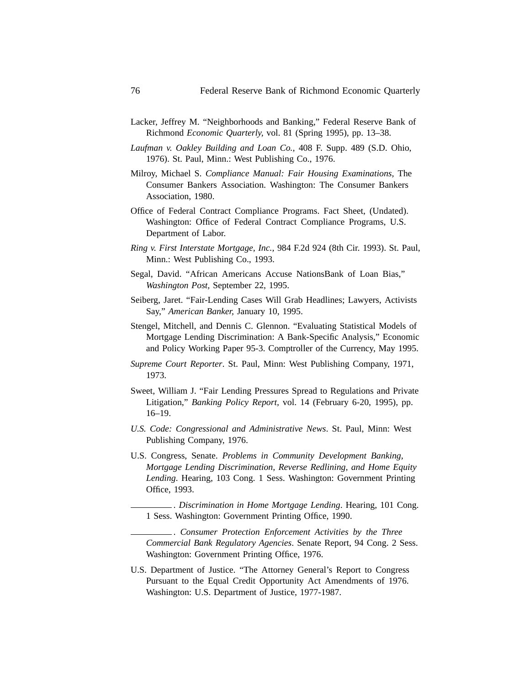- Lacker, Jeffrey M. "Neighborhoods and Banking," Federal Reserve Bank of Richmond *Economic Quarterly,* vol. 81 (Spring 1995), pp. 13–38.
- *Laufman v. Oakley Building and Loan Co.,* 408 F. Supp. 489 (S.D. Ohio, 1976). St. Paul, Minn.: West Publishing Co., 1976.
- Milroy, Michael S. *Compliance Manual: Fair Housing Examinations,* The Consumer Bankers Association. Washington: The Consumer Bankers Association, 1980.
- Office of Federal Contract Compliance Programs. Fact Sheet, (Undated). Washington: Office of Federal Contract Compliance Programs, U.S. Department of Labor.
- *Ring v. First Interstate Mortgage, Inc.,* 984 F.2d 924 (8th Cir. 1993). St. Paul, Minn.: West Publishing Co., 1993.
- Segal, David. "African Americans Accuse NationsBank of Loan Bias," *Washington Post,* September 22, 1995.
- Seiberg, Jaret. "Fair-Lending Cases Will Grab Headlines; Lawyers, Activists Say," *American Banker,* January 10, 1995.
- Stengel, Mitchell, and Dennis C. Glennon. "Evaluating Statistical Models of Mortgage Lending Discrimination: A Bank-Specific Analysis," Economic and Policy Working Paper 95-3. Comptroller of the Currency, May 1995.
- *Supreme Court Reporter*. St. Paul, Minn: West Publishing Company, 1971, 1973.
- Sweet, William J. "Fair Lending Pressures Spread to Regulations and Private Litigation," *Banking Policy Report,* vol. 14 (February 6-20, 1995), pp. 16–19.
- *U.S. Code: Congressional and Administrative News*. St. Paul, Minn: West Publishing Company, 1976.
- U.S. Congress, Senate. *Problems in Community Development Banking, Mortgage Lending Discrimination, Reverse Redlining, and Home Equity Lending*. Hearing, 103 Cong. 1 Sess. Washington: Government Printing Office, 1993.

. *Discrimination in Home Mortgage Lending*. Hearing, 101 Cong. 1 Sess. Washington: Government Printing Office, 1990.

. *Consumer Protection Enforcement Activities by the Three Commercial Bank Regulatory Agencies*. Senate Report, 94 Cong. 2 Sess. Washington: Government Printing Office, 1976.

U.S. Department of Justice. "The Attorney General's Report to Congress Pursuant to the Equal Credit Opportunity Act Amendments of 1976. Washington: U.S. Department of Justice, 1977-1987.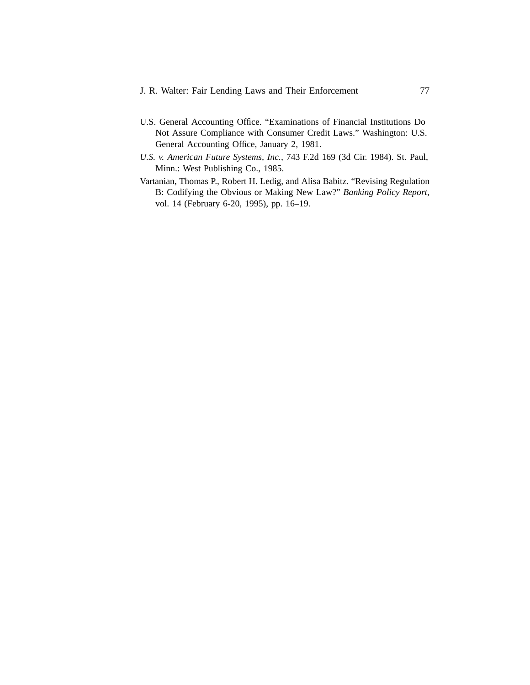- J. R. Walter: Fair Lending Laws and Their Enforcement 77
- U.S. General Accounting Office. "Examinations of Financial Institutions Do Not Assure Compliance with Consumer Credit Laws." Washington: U.S. General Accounting Office, January 2, 1981.
- *U.S. v. American Future Systems, Inc.,* 743 F.2d 169 (3d Cir. 1984). St. Paul, Minn.: West Publishing Co., 1985.
- Vartanian, Thomas P., Robert H. Ledig, and Alisa Babitz. "Revising Regulation B: Codifying the Obvious or Making New Law?" *Banking Policy Report,* vol. 14 (February 6-20, 1995), pp. 16–19.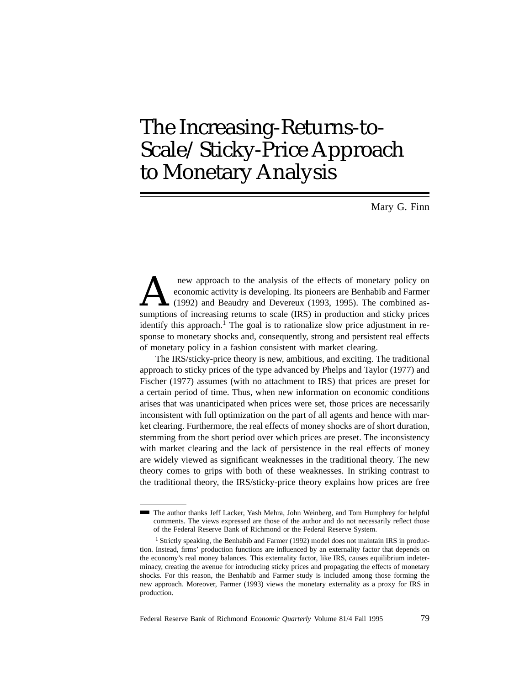# The Increasing-Returns-to-Scale/Sticky-Price Approach to Monetary Analysis

Mary G. Finn

new approach to the analysis of the effects of monetary policy on<br>economic activity is developing. Its pioneers are Benhabib and Farmer<br>(1992) and Beaudry and Devereux (1993, 1995). The combined as-<br>sumptions of increasing economic activity is developing. Its pioneers are Benhabib and Farmer (1992) and Beaudry and Devereux (1993, 1995). The combined assumptions of increasing returns to scale (IRS) in production and sticky prices identify this approach.<sup>1</sup> The goal is to rationalize slow price adjustment in response to monetary shocks and, consequently, strong and persistent real effects of monetary policy in a fashion consistent with market clearing.

The IRS/sticky-price theory is new, ambitious, and exciting. The traditional approach to sticky prices of the type advanced by Phelps and Taylor (1977) and Fischer (1977) assumes (with no attachment to IRS) that prices are preset for a certain period of time. Thus, when new information on economic conditions arises that was unanticipated when prices were set, those prices are necessarily inconsistent with full optimization on the part of all agents and hence with market clearing. Furthermore, the real effects of money shocks are of short duration, stemming from the short period over which prices are preset. The inconsistency with market clearing and the lack of persistence in the real effects of money are widely viewed as significant weaknesses in the traditional theory. The new theory comes to grips with both of these weaknesses. In striking contrast to the traditional theory, the IRS/sticky-price theory explains how prices are free

The author thanks Jeff Lacker, Yash Mehra, John Weinberg, and Tom Humphrey for helpful comments. The views expressed are those of the author and do not necessarily reflect those of the Federal Reserve Bank of Richmond or the Federal Reserve System.

<sup>&</sup>lt;sup>1</sup> Strictly speaking, the Benhabib and Farmer (1992) model does not maintain IRS in production. Instead, firms' production functions are influenced by an externality factor that depends on the economy's real money balances. This externality factor, like IRS, causes equilibrium indeterminacy, creating the avenue for introducing sticky prices and propagating the effects of monetary shocks. For this reason, the Benhabib and Farmer study is included among those forming the new approach. Moreover, Farmer (1993) views the monetary externality as a proxy for IRS in production.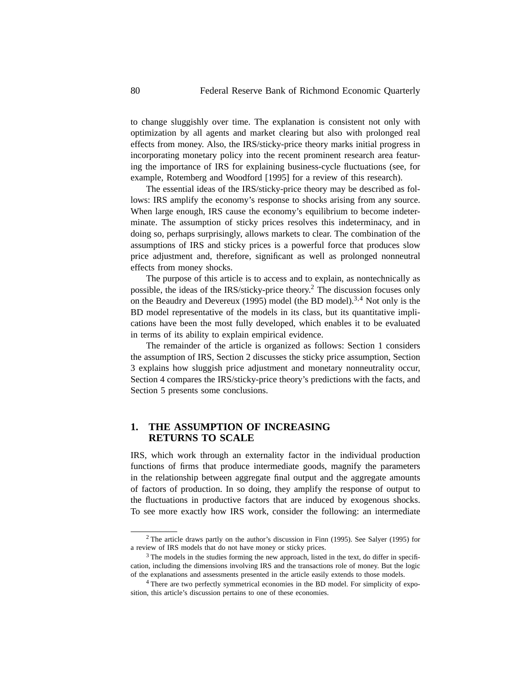to change sluggishly over time. The explanation is consistent not only with optimization by all agents and market clearing but also with prolonged real effects from money. Also, the IRS/sticky-price theory marks initial progress in incorporating monetary policy into the recent prominent research area featuring the importance of IRS for explaining business-cycle fluctuations (see, for example, Rotemberg and Woodford [1995] for a review of this research).

The essential ideas of the IRS/sticky-price theory may be described as follows: IRS amplify the economy's response to shocks arising from any source. When large enough, IRS cause the economy's equilibrium to become indeterminate. The assumption of sticky prices resolves this indeterminacy, and in doing so, perhaps surprisingly, allows markets to clear. The combination of the assumptions of IRS and sticky prices is a powerful force that produces slow price adjustment and, therefore, significant as well as prolonged nonneutral effects from money shocks.

The purpose of this article is to access and to explain, as nontechnically as possible, the ideas of the IRS/sticky-price theory.<sup>2</sup> The discussion focuses only on the Beaudry and Devereux (1995) model (the BD model).<sup>3,4</sup> Not only is the BD model representative of the models in its class, but its quantitative implications have been the most fully developed, which enables it to be evaluated in terms of its ability to explain empirical evidence.

The remainder of the article is organized as follows: Section 1 considers the assumption of IRS, Section 2 discusses the sticky price assumption, Section 3 explains how sluggish price adjustment and monetary nonneutrality occur, Section 4 compares the IRS/sticky-price theory's predictions with the facts, and Section 5 presents some conclusions.

# **1. THE ASSUMPTION OF INCREASING RETURNS TO SCALE**

IRS, which work through an externality factor in the individual production functions of firms that produce intermediate goods, magnify the parameters in the relationship between aggregate final output and the aggregate amounts of factors of production. In so doing, they amplify the response of output to the fluctuations in productive factors that are induced by exogenous shocks. To see more exactly how IRS work, consider the following: an intermediate

 $2$  The article draws partly on the author's discussion in Finn (1995). See Salyer (1995) for a review of IRS models that do not have money or sticky prices.

 $3$  The models in the studies forming the new approach, listed in the text, do differ in specification, including the dimensions involving IRS and the transactions role of money. But the logic of the explanations and assessments presented in the article easily extends to those models.

<sup>4</sup> There are two perfectly symmetrical economies in the BD model. For simplicity of exposition, this article's discussion pertains to one of these economies.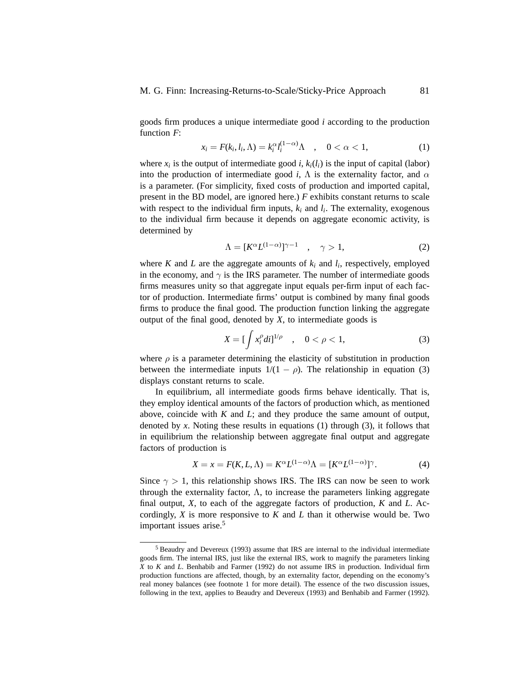#### M. G. Finn: Increasing-Returns-to-Scale/Sticky-Price Approach 81

goods firm produces a unique intermediate good *i* according to the production function *F*:

$$
x_i = F(k_i, l_i, \Lambda) = k_i^{\alpha} l_i^{(1-\alpha)} \Lambda \quad , \quad 0 < \alpha < 1,
$$
 (1)

where  $x_i$  is the output of intermediate good *i*,  $k_i(l_i)$  is the input of capital (labor) into the production of intermediate good *i*,  $\Lambda$  is the externality factor, and  $\alpha$ is a parameter. (For simplicity, fixed costs of production and imported capital, present in the BD model, are ignored here.) *F* exhibits constant returns to scale with respect to the individual firm inputs,  $k_i$  and  $l_i$ . The externality, exogenous to the individual firm because it depends on aggregate economic activity, is determined by

$$
\Lambda = [K^{\alpha} L^{(1-\alpha)}]^{\gamma - 1} \quad , \quad \gamma > 1,
$$
 (2)

where *K* and *L* are the aggregate amounts of  $k_i$  and  $l_i$ , respectively, employed in the economy, and  $\gamma$  is the IRS parameter. The number of intermediate goods firms measures unity so that aggregate input equals per-firm input of each factor of production. Intermediate firms' output is combined by many final goods firms to produce the final good. The production function linking the aggregate output of the final good, denoted by *X*, to intermediate goods is

$$
X = \left[ \int x_i^{\rho} di \right]^{1/\rho} \quad , \quad 0 < \rho < 1,\tag{3}
$$

where  $\rho$  is a parameter determining the elasticity of substitution in production between the intermediate inputs  $1/(1 - \rho)$ . The relationship in equation (3) displays constant returns to scale.

In equilibrium, all intermediate goods firms behave identically. That is, they employ identical amounts of the factors of production which, as mentioned above, coincide with *K* and *L*; and they produce the same amount of output, denoted by *x*. Noting these results in equations (1) through (3), it follows that in equilibrium the relationship between aggregate final output and aggregate factors of production is

$$
X = x = F(K, L, \Lambda) = K^{\alpha} L^{(1-\alpha)} \Lambda = [K^{\alpha} L^{(1-\alpha)}]^{\gamma}.
$$
 (4)

Since  $\gamma > 1$ , this relationship shows IRS. The IRS can now be seen to work through the externality factor,  $\Lambda$ , to increase the parameters linking aggregate final output, *X*, to each of the aggregate factors of production, *K* and *L*. Accordingly, *X* is more responsive to *K* and *L* than it otherwise would be. Two important issues arise.<sup>5</sup>

<sup>5</sup> Beaudry and Devereux (1993) assume that IRS are internal to the individual intermediate goods firm. The internal IRS, just like the external IRS, work to magnify the parameters linking *X* to *K* and *L*. Benhabib and Farmer (1992) do not assume IRS in production. Individual firm production functions are affected, though, by an externality factor, depending on the economy's real money balances (see footnote 1 for more detail). The essence of the two discussion issues, following in the text, applies to Beaudry and Devereux (1993) and Benhabib and Farmer (1992).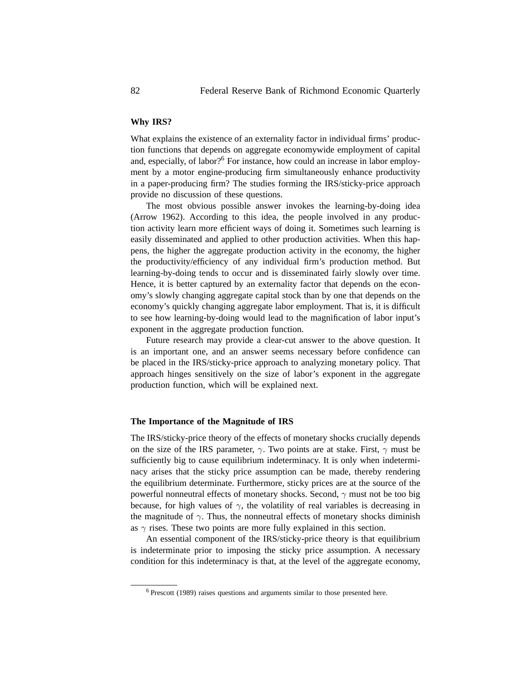#### **Why IRS?**

What explains the existence of an externality factor in individual firms' production functions that depends on aggregate economywide employment of capital and, especially, of labor? $6$  For instance, how could an increase in labor employment by a motor engine-producing firm simultaneously enhance productivity in a paper-producing firm? The studies forming the IRS/sticky-price approach provide no discussion of these questions.

The most obvious possible answer invokes the learning-by-doing idea (Arrow 1962). According to this idea, the people involved in any production activity learn more efficient ways of doing it. Sometimes such learning is easily disseminated and applied to other production activities. When this happens, the higher the aggregate production activity in the economy, the higher the productivity/efficiency of any individual firm's production method. But learning-by-doing tends to occur and is disseminated fairly slowly over time. Hence, it is better captured by an externality factor that depends on the economy's slowly changing aggregate capital stock than by one that depends on the economy's quickly changing aggregate labor employment. That is, it is difficult to see how learning-by-doing would lead to the magnification of labor input's exponent in the aggregate production function.

Future research may provide a clear-cut answer to the above question. It is an important one, and an answer seems necessary before confidence can be placed in the IRS/sticky-price approach to analyzing monetary policy. That approach hinges sensitively on the size of labor's exponent in the aggregate production function, which will be explained next.

#### **The Importance of the Magnitude of IRS**

The IRS/sticky-price theory of the effects of monetary shocks crucially depends on the size of the IRS parameter, *γ*. Two points are at stake. First, *γ* must be sufficiently big to cause equilibrium indeterminacy. It is only when indeterminacy arises that the sticky price assumption can be made, thereby rendering the equilibrium determinate. Furthermore, sticky prices are at the source of the powerful nonneutral effects of monetary shocks. Second, *γ* must not be too big because, for high values of  $\gamma$ , the volatility of real variables is decreasing in the magnitude of  $\gamma$ . Thus, the nonneutral effects of monetary shocks diminish as  $\gamma$  rises. These two points are more fully explained in this section.

An essential component of the IRS/sticky-price theory is that equilibrium is indeterminate prior to imposing the sticky price assumption. A necessary condition for this indeterminacy is that, at the level of the aggregate economy,

<sup>6</sup> Prescott (1989) raises questions and arguments similar to those presented here.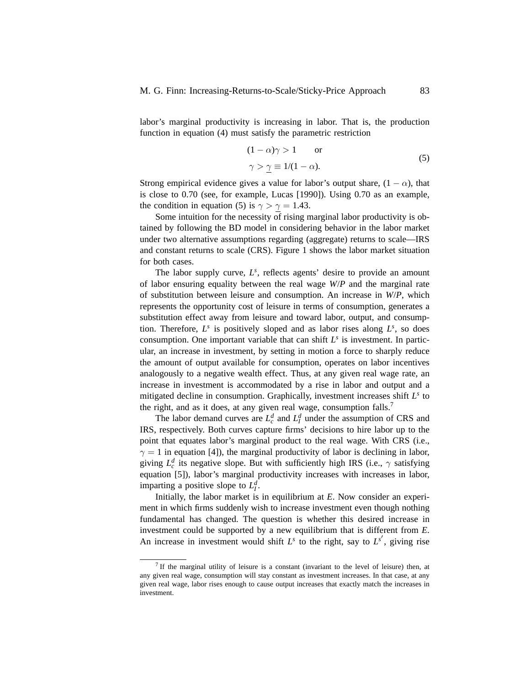labor's marginal productivity is increasing in labor. That is, the production function in equation (4) must satisfy the parametric restriction

$$
(1 - \alpha)\gamma > 1 \qquad \text{or}
$$
  

$$
\gamma > \underline{\gamma} \equiv 1/(1 - \alpha).
$$
 (5)

Strong empirical evidence gives a value for labor's output share,  $(1 - \alpha)$ , that is close to 0.70 (see, for example, Lucas [1990]). Using 0.70 as an example, the condition in equation (5) is  $\gamma > \gamma = 1.43$ .

Some intuition for the necessity of rising marginal labor productivity is obtained by following the BD model in considering behavior in the labor market under two alternative assumptions regarding (aggregate) returns to scale—IRS and constant returns to scale (CRS). Figure 1 shows the labor market situation for both cases.

The labor supply curve,  $L^s$ , reflects agents' desire to provide an amount of labor ensuring equality between the real wage *W*/*P* and the marginal rate of substitution between leisure and consumption. An increase in *W*/*P*, which represents the opportunity cost of leisure in terms of consumption, generates a substitution effect away from leisure and toward labor, output, and consumption. Therefore,  $L^s$  is positively sloped and as labor rises along  $L^s$ , so does consumption. One important variable that can shift  $L<sup>s</sup>$  is investment. In particular, an increase in investment, by setting in motion a force to sharply reduce the amount of output available for consumption, operates on labor incentives analogously to a negative wealth effect. Thus, at any given real wage rate, an increase in investment is accommodated by a rise in labor and output and a mitigated decline in consumption. Graphically, investment increases shift  $L<sup>s</sup>$  to the right, and as it does, at any given real wage, consumption falls.<sup>7</sup>

The labor demand curves are  $L_c^d$  and  $L_l^d$  under the assumption of CRS and IRS, respectively. Both curves capture firms' decisions to hire labor up to the point that equates labor's marginal product to the real wage. With CRS (i.e.,  $\gamma = 1$  in equation [4]), the marginal productivity of labor is declining in labor, giving  $L_c^d$  its negative slope. But with sufficiently high IRS (i.e.,  $\gamma$  satisfying equation [5]), labor's marginal productivity increases with increases in labor, imparting a positive slope to  $L_I^d$ .

Initially, the labor market is in equilibrium at *E*. Now consider an experiment in which firms suddenly wish to increase investment even though nothing fundamental has changed. The question is whether this desired increase in investment could be supported by a new equilibrium that is different from *E*. An increase in investment would shift  $L^s$  to the right, say to  $L^{s'}$ , giving rise

 $<sup>7</sup>$  If the marginal utility of leisure is a constant (invariant to the level of leisure) then, at</sup> any given real wage, consumption will stay constant as investment increases. In that case, at any given real wage, labor rises enough to cause output increases that exactly match the increases in investment.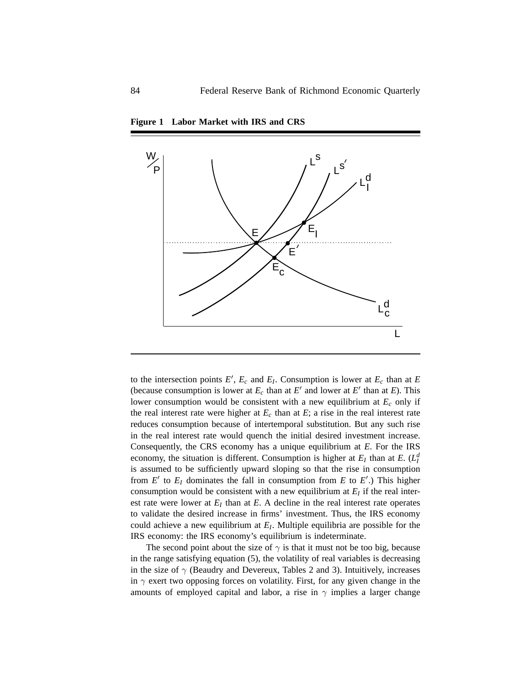

**Figure 1 Labor Market with IRS and CRS**

to the intersection points  $E'$ ,  $E_c$  and  $E_I$ . Consumption is lower at  $E_c$  than at  $E$ (because consumption is lower at  $E_c$  than at  $E'$  and lower at  $E'$  than at  $E$ ). This lower consumption would be consistent with a new equilibrium at *Ec* only if the real interest rate were higher at  $E_c$  than at  $E_i$ ; a rise in the real interest rate reduces consumption because of intertemporal substitution. But any such rise in the real interest rate would quench the initial desired investment increase. Consequently, the CRS economy has a unique equilibrium at *E*. For the IRS economy, the situation is different. Consumption is higher at  $E_I$  than at  $E_I$ . ( $L_I^d$ is assumed to be sufficiently upward sloping so that the rise in consumption from  $E'$  to  $E_I$  dominates the fall in consumption from  $E$  to  $E'$ .) This higher consumption would be consistent with a new equilibrium at  $E_I$  if the real interest rate were lower at  $E_I$  than at  $E$ . A decline in the real interest rate operates to validate the desired increase in firms' investment. Thus, the IRS economy could achieve a new equilibrium at  $E_I$ . Multiple equilibria are possible for the IRS economy: the IRS economy's equilibrium is indeterminate.

The second point about the size of  $\gamma$  is that it must not be too big, because in the range satisfying equation  $(5)$ , the volatility of real variables is decreasing in the size of  $\gamma$  (Beaudry and Devereux, Tables 2 and 3). Intuitively, increases in  $\gamma$  exert two opposing forces on volatility. First, for any given change in the amounts of employed capital and labor, a rise in  $\gamma$  implies a larger change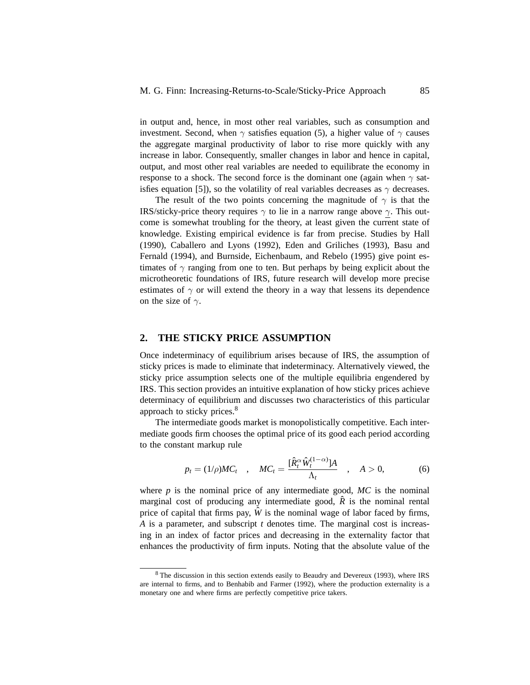in output and, hence, in most other real variables, such as consumption and investment. Second, when  $\gamma$  satisfies equation (5), a higher value of  $\gamma$  causes the aggregate marginal productivity of labor to rise more quickly with any increase in labor. Consequently, smaller changes in labor and hence in capital, output, and most other real variables are needed to equilibrate the economy in response to a shock. The second force is the dominant one (again when *γ* satisfies equation [5]), so the volatility of real variables decreases as  $\gamma$  decreases.

The result of the two points concerning the magnitude of  $\gamma$  is that the IRS/sticky-price theory requires  $\gamma$  to lie in a narrow range above  $\gamma$ . This outcome is somewhat troubling for the theory, at least given the current state of knowledge. Existing empirical evidence is far from precise. Studies by Hall (1990), Caballero and Lyons (1992), Eden and Griliches (1993), Basu and Fernald (1994), and Burnside, Eichenbaum, and Rebelo (1995) give point estimates of  $\gamma$  ranging from one to ten. But perhaps by being explicit about the microtheoretic foundations of IRS, future research will develop more precise estimates of  $\gamma$  or will extend the theory in a way that lessens its dependence on the size of *γ*.

# **2. THE STICKY PRICE ASSUMPTION**

Once indeterminacy of equilibrium arises because of IRS, the assumption of sticky prices is made to eliminate that indeterminacy. Alternatively viewed, the sticky price assumption selects one of the multiple equilibria engendered by IRS. This section provides an intuitive explanation of how sticky prices achieve determinacy of equilibrium and discusses two characteristics of this particular approach to sticky prices.<sup>8</sup>

The intermediate goods market is monopolistically competitive. Each intermediate goods firm chooses the optimal price of its good each period according to the constant markup rule

$$
p_t = (1/\rho)MC_t \quad , \quad MC_t = \frac{[\hat{R}_t^{\alpha}\hat{W}_t^{(1-\alpha)}]A}{\Lambda_t} \quad , \quad A > 0, \tag{6}
$$

where  $p$  is the nominal price of any intermediate good,  $MC$  is the nominal marginal cost of producing any intermediate good,  $\hat{R}$  is the nominal rental price of capital that firms pay,  $\hat{W}$  is the nominal wage of labor faced by firms, *A* is a parameter, and subscript *t* denotes time. The marginal cost is increasing in an index of factor prices and decreasing in the externality factor that enhances the productivity of firm inputs. Noting that the absolute value of the

<sup>8</sup> The discussion in this section extends easily to Beaudry and Devereux (1993), where IRS are internal to firms, and to Benhabib and Farmer (1992), where the production externality is a monetary one and where firms are perfectly competitive price takers.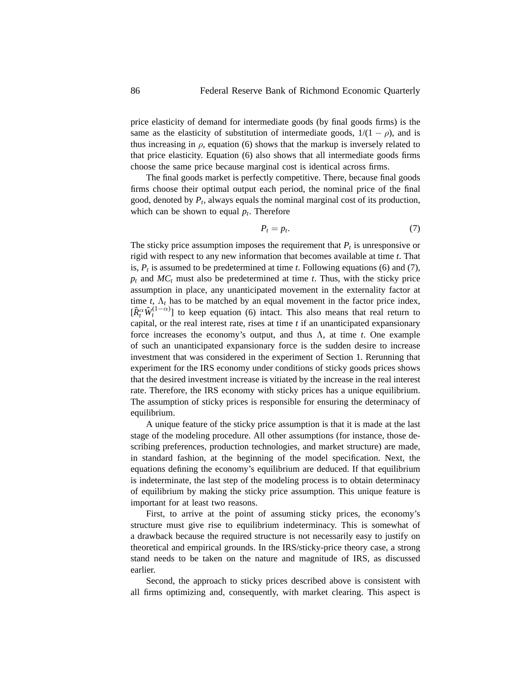price elasticity of demand for intermediate goods (by final goods firms) is the same as the elasticity of substitution of intermediate goods,  $1/(1 - \rho)$ , and is thus increasing in  $\rho$ , equation (6) shows that the markup is inversely related to that price elasticity. Equation (6) also shows that all intermediate goods firms choose the same price because marginal cost is identical across firms.

The final goods market is perfectly competitive. There, because final goods firms choose their optimal output each period, the nominal price of the final good, denoted by  $P_t$ , always equals the nominal marginal cost of its production, which can be shown to equal  $p_t$ . Therefore

$$
P_t = p_t. \tag{7}
$$

The sticky price assumption imposes the requirement that  $P_t$  is unresponsive or rigid with respect to any new information that becomes available at time *t*. That is,  $P_t$  is assumed to be predetermined at time *t*. Following equations (6) and (7),  $p_t$  and  $MC_t$  must also be predetermined at time *t*. Thus, with the sticky price assumption in place, any unanticipated movement in the externality factor at time *t*,  $\Lambda_t$  has to be matched by an equal movement in the factor price index,  $[\hat{R}_{t}^{\alpha} \hat{W}_{t}^{(1-\alpha)}]$  to keep equation (6) intact. This also means that real return to capital, or the real interest rate, rises at time *t* if an unanticipated expansionary force increases the economy's output, and thus  $\Lambda$ , at time *t*. One example of such an unanticipated expansionary force is the sudden desire to increase investment that was considered in the experiment of Section 1. Rerunning that experiment for the IRS economy under conditions of sticky goods prices shows that the desired investment increase is vitiated by the increase in the real interest rate. Therefore, the IRS economy with sticky prices has a unique equilibrium. The assumption of sticky prices is responsible for ensuring the determinacy of equilibrium.

A unique feature of the sticky price assumption is that it is made at the last stage of the modeling procedure. All other assumptions (for instance, those describing preferences, production technologies, and market structure) are made, in standard fashion, at the beginning of the model specification. Next, the equations defining the economy's equilibrium are deduced. If that equilibrium is indeterminate, the last step of the modeling process is to obtain determinacy of equilibrium by making the sticky price assumption. This unique feature is important for at least two reasons.

First, to arrive at the point of assuming sticky prices, the economy's structure must give rise to equilibrium indeterminacy. This is somewhat of a drawback because the required structure is not necessarily easy to justify on theoretical and empirical grounds. In the IRS/sticky-price theory case, a strong stand needs to be taken on the nature and magnitude of IRS, as discussed earlier.

Second, the approach to sticky prices described above is consistent with all firms optimizing and, consequently, with market clearing. This aspect is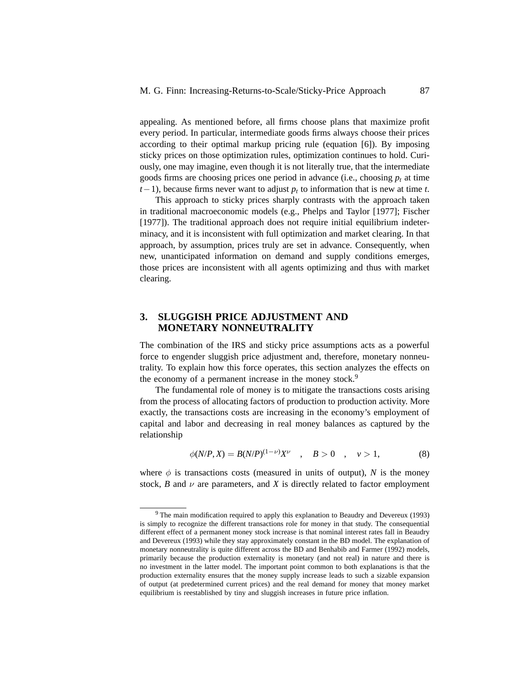appealing. As mentioned before, all firms choose plans that maximize profit every period. In particular, intermediate goods firms always choose their prices according to their optimal markup pricing rule (equation [6]). By imposing sticky prices on those optimization rules, optimization continues to hold. Curiously, one may imagine, even though it is not literally true, that the intermediate goods firms are choosing prices one period in advance (i.e., choosing  $p_t$  at time  $t-1$ ), because firms never want to adjust  $p_t$  to information that is new at time *t*.

This approach to sticky prices sharply contrasts with the approach taken in traditional macroeconomic models (e.g., Phelps and Taylor [1977]; Fischer [1977]). The traditional approach does not require initial equilibrium indeterminacy, and it is inconsistent with full optimization and market clearing. In that approach, by assumption, prices truly are set in advance. Consequently, when new, unanticipated information on demand and supply conditions emerges, those prices are inconsistent with all agents optimizing and thus with market clearing.

## **3. SLUGGISH PRICE ADJUSTMENT AND MONETARY NONNEUTRALITY**

The combination of the IRS and sticky price assumptions acts as a powerful force to engender sluggish price adjustment and, therefore, monetary nonneutrality. To explain how this force operates, this section analyzes the effects on the economy of a permanent increase in the money stock.<sup>9</sup>

The fundamental role of money is to mitigate the transactions costs arising from the process of allocating factors of production to production activity. More exactly, the transactions costs are increasing in the economy's employment of capital and labor and decreasing in real money balances as captured by the relationship

$$
\phi(N/P, X) = B(N/P)^{(1-\nu)}X^{\nu} \quad , \quad B > 0 \quad , \quad \nu > 1,
$$
 (8)

where  $\phi$  is transactions costs (measured in units of output), *N* is the money stock,  $B$  and  $\nu$  are parameters, and  $X$  is directly related to factor employment

<sup>&</sup>lt;sup>9</sup> The main modification required to apply this explanation to Beaudry and Devereux (1993) is simply to recognize the different transactions role for money in that study. The consequential different effect of a permanent money stock increase is that nominal interest rates fall in Beaudry and Devereux (1993) while they stay approximately constant in the BD model. The explanation of monetary nonneutrality is quite different across the BD and Benhabib and Farmer (1992) models, primarily because the production externality is monetary (and not real) in nature and there is no investment in the latter model. The important point common to both explanations is that the production externality ensures that the money supply increase leads to such a sizable expansion of output (at predetermined current prices) and the real demand for money that money market equilibrium is reestablished by tiny and sluggish increases in future price inflation.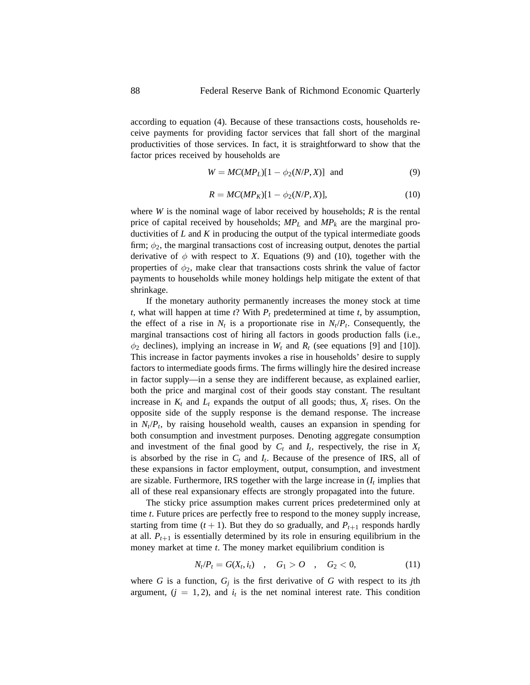according to equation (4). Because of these transactions costs, households receive payments for providing factor services that fall short of the marginal productivities of those services. In fact, it is straightforward to show that the factor prices received by households are

$$
W = MC(MPL)[1 - \phi_2(N/P, X)] \text{ and } (9)
$$

$$
R = MC(MPK)[1 - \phi_2(N/P, X)],
$$
\n(10)

where *W* is the nominal wage of labor received by households; *R* is the rental price of capital received by households; *MPL* and *MPk* are the marginal productivities of *L* and *K* in producing the output of the typical intermediate goods firm;  $\phi_2$ , the marginal transactions cost of increasing output, denotes the partial derivative of  $\phi$  with respect to *X*. Equations (9) and (10), together with the properties of  $\phi_2$ , make clear that transactions costs shrink the value of factor payments to households while money holdings help mitigate the extent of that shrinkage.

If the monetary authority permanently increases the money stock at time  $t$ , what will happen at time  $t$ ? With  $P_t$  predetermined at time  $t$ , by assumption, the effect of a rise in  $N_t$  is a proportionate rise in  $N_t/P_t$ . Consequently, the marginal transactions cost of hiring all factors in goods production falls (i.e.,  $\phi_2$  declines), implying an increase in  $W_t$  and  $R_t$  (see equations [9] and [10]). This increase in factor payments invokes a rise in households' desire to supply factors to intermediate goods firms. The firms willingly hire the desired increase in factor supply—in a sense they are indifferent because, as explained earlier, both the price and marginal cost of their goods stay constant. The resultant increase in  $K_t$  and  $L_t$  expands the output of all goods; thus,  $X_t$  rises. On the opposite side of the supply response is the demand response. The increase in  $N_t/P_t$ , by raising household wealth, causes an expansion in spending for both consumption and investment purposes. Denoting aggregate consumption and investment of the final good by  $C_t$  and  $I_t$ , respectively, the rise in  $X_t$ is absorbed by the rise in  $C_t$  and  $I_t$ . Because of the presence of IRS, all of these expansions in factor employment, output, consumption, and investment are sizable. Furthermore, IRS together with the large increase in  $(I_t$  implies that all of these real expansionary effects are strongly propagated into the future.

The sticky price assumption makes current prices predetermined only at time *t*. Future prices are perfectly free to respond to the money supply increase, starting from time  $(t + 1)$ . But they do so gradually, and  $P_{t+1}$  responds hardly at all.  $P_{t+1}$  is essentially determined by its role in ensuring equilibrium in the money market at time *t*. The money market equilibrium condition is

$$
N_t/P_t = G(X_t, i_t) \quad , \quad G_1 > 0 \quad , \quad G_2 < 0, \tag{11}
$$

where *G* is a function,  $G_i$  is the first derivative of *G* with respect to its *j*th argument,  $(j = 1, 2)$ , and  $i_t$  is the net nominal interest rate. This condition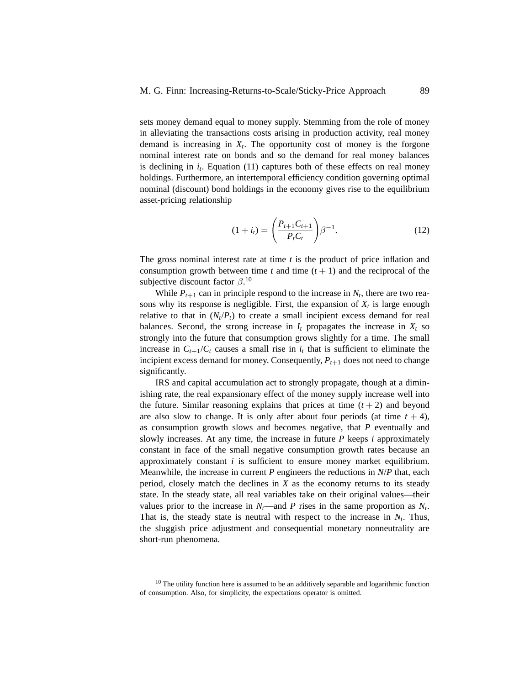sets money demand equal to money supply. Stemming from the role of money in alleviating the transactions costs arising in production activity, real money demand is increasing in  $X_t$ . The opportunity cost of money is the forgone nominal interest rate on bonds and so the demand for real money balances is declining in  $i_t$ . Equation (11) captures both of these effects on real money holdings. Furthermore, an intertemporal efficiency condition governing optimal nominal (discount) bond holdings in the economy gives rise to the equilibrium asset-pricing relationship

$$
(1 + i_t) = \left(\frac{P_{t+1}C_{t+1}}{P_tC_t}\right)\beta^{-1}.\tag{12}
$$

The gross nominal interest rate at time *t* is the product of price inflation and consumption growth between time  $t$  and time  $(t + 1)$  and the reciprocal of the subjective discount factor *β*. 10

While  $P_{t+1}$  can in principle respond to the increase in  $N_t$ , there are two reasons why its response is negligible. First, the expansion of  $X_t$  is large enough relative to that in  $(N_t/P_t)$  to create a small incipient excess demand for real balances. Second, the strong increase in  $I_t$  propagates the increase in  $X_t$  so strongly into the future that consumption grows slightly for a time. The small increase in  $C_{t+1}/C_t$  causes a small rise in  $i_t$  that is sufficient to eliminate the incipient excess demand for money. Consequently,  $P_{t+1}$  does not need to change significantly.

IRS and capital accumulation act to strongly propagate, though at a diminishing rate, the real expansionary effect of the money supply increase well into the future. Similar reasoning explains that prices at time  $(t+2)$  and beyond are also slow to change. It is only after about four periods (at time  $t + 4$ ), as consumption growth slows and becomes negative, that *P* eventually and slowly increases. At any time, the increase in future *P* keeps *i* approximately constant in face of the small negative consumption growth rates because an approximately constant *i* is sufficient to ensure money market equilibrium. Meanwhile, the increase in current *P* engineers the reductions in *N*/*P* that, each period, closely match the declines in *X* as the economy returns to its steady state. In the steady state, all real variables take on their original values—their values prior to the increase in  $N_t$ —and *P* rises in the same proportion as  $N_t$ . That is, the steady state is neutral with respect to the increase in  $N_t$ . Thus, the sluggish price adjustment and consequential monetary nonneutrality are short-run phenomena.

 $10$  The utility function here is assumed to be an additively separable and logarithmic function of consumption. Also, for simplicity, the expectations operator is omitted.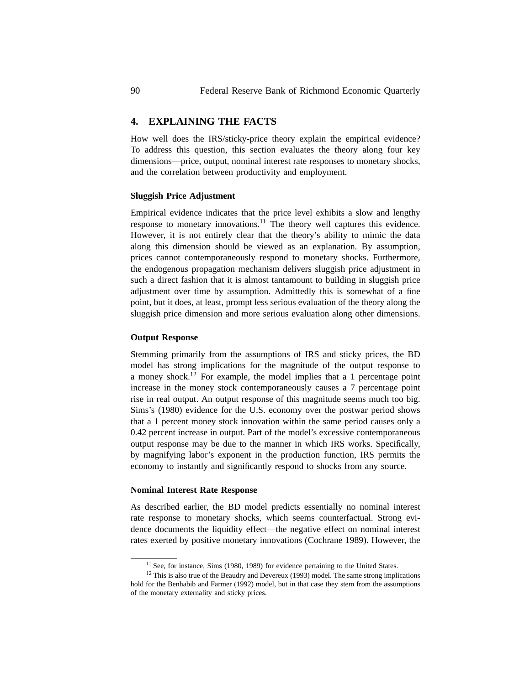## **4. EXPLAINING THE FACTS**

How well does the IRS/sticky-price theory explain the empirical evidence? To address this question, this section evaluates the theory along four key dimensions—price, output, nominal interest rate responses to monetary shocks, and the correlation between productivity and employment.

#### **Sluggish Price Adjustment**

Empirical evidence indicates that the price level exhibits a slow and lengthy response to monetary innovations. $11$  The theory well captures this evidence. However, it is not entirely clear that the theory's ability to mimic the data along this dimension should be viewed as an explanation. By assumption, prices cannot contemporaneously respond to monetary shocks. Furthermore, the endogenous propagation mechanism delivers sluggish price adjustment in such a direct fashion that it is almost tantamount to building in sluggish price adjustment over time by assumption. Admittedly this is somewhat of a fine point, but it does, at least, prompt less serious evaluation of the theory along the sluggish price dimension and more serious evaluation along other dimensions.

#### **Output Response**

Stemming primarily from the assumptions of IRS and sticky prices, the BD model has strong implications for the magnitude of the output response to a money shock.<sup>12</sup> For example, the model implies that a 1 percentage point increase in the money stock contemporaneously causes a 7 percentage point rise in real output. An output response of this magnitude seems much too big. Sims's (1980) evidence for the U.S. economy over the postwar period shows that a 1 percent money stock innovation within the same period causes only a 0.42 percent increase in output. Part of the model's excessive contemporaneous output response may be due to the manner in which IRS works. Specifically, by magnifying labor's exponent in the production function, IRS permits the economy to instantly and significantly respond to shocks from any source.

#### **Nominal Interest Rate Response**

As described earlier, the BD model predicts essentially no nominal interest rate response to monetary shocks, which seems counterfactual. Strong evidence documents the liquidity effect—the negative effect on nominal interest rates exerted by positive monetary innovations (Cochrane 1989). However, the

<sup>&</sup>lt;sup>11</sup> See, for instance, Sims (1980, 1989) for evidence pertaining to the United States.

 $12$  This is also true of the Beaudry and Devereux (1993) model. The same strong implications hold for the Benhabib and Farmer (1992) model, but in that case they stem from the assumptions of the monetary externality and sticky prices.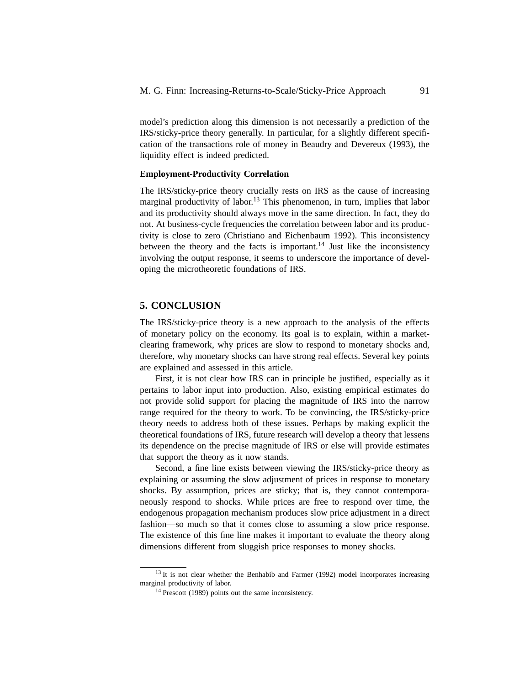model's prediction along this dimension is not necessarily a prediction of the IRS/sticky-price theory generally. In particular, for a slightly different specification of the transactions role of money in Beaudry and Devereux (1993), the liquidity effect is indeed predicted.

#### **Employment-Productivity Correlation**

The IRS/sticky-price theory crucially rests on IRS as the cause of increasing marginal productivity of labor.<sup>13</sup> This phenomenon, in turn, implies that labor and its productivity should always move in the same direction. In fact, they do not. At business-cycle frequencies the correlation between labor and its productivity is close to zero (Christiano and Eichenbaum 1992). This inconsistency between the theory and the facts is important.<sup>14</sup> Just like the inconsistency involving the output response, it seems to underscore the importance of developing the microtheoretic foundations of IRS.

## **5. CONCLUSION**

The IRS/sticky-price theory is a new approach to the analysis of the effects of monetary policy on the economy. Its goal is to explain, within a marketclearing framework, why prices are slow to respond to monetary shocks and, therefore, why monetary shocks can have strong real effects. Several key points are explained and assessed in this article.

First, it is not clear how IRS can in principle be justified, especially as it pertains to labor input into production. Also, existing empirical estimates do not provide solid support for placing the magnitude of IRS into the narrow range required for the theory to work. To be convincing, the IRS/sticky-price theory needs to address both of these issues. Perhaps by making explicit the theoretical foundations of IRS, future research will develop a theory that lessens its dependence on the precise magnitude of IRS or else will provide estimates that support the theory as it now stands.

Second, a fine line exists between viewing the IRS/sticky-price theory as explaining or assuming the slow adjustment of prices in response to monetary shocks. By assumption, prices are sticky; that is, they cannot contemporaneously respond to shocks. While prices are free to respond over time, the endogenous propagation mechanism produces slow price adjustment in a direct fashion—so much so that it comes close to assuming a slow price response. The existence of this fine line makes it important to evaluate the theory along dimensions different from sluggish price responses to money shocks.

<sup>&</sup>lt;sup>13</sup> It is not clear whether the Benhabib and Farmer (1992) model incorporates increasing marginal productivity of labor.

<sup>14</sup> Prescott (1989) points out the same inconsistency.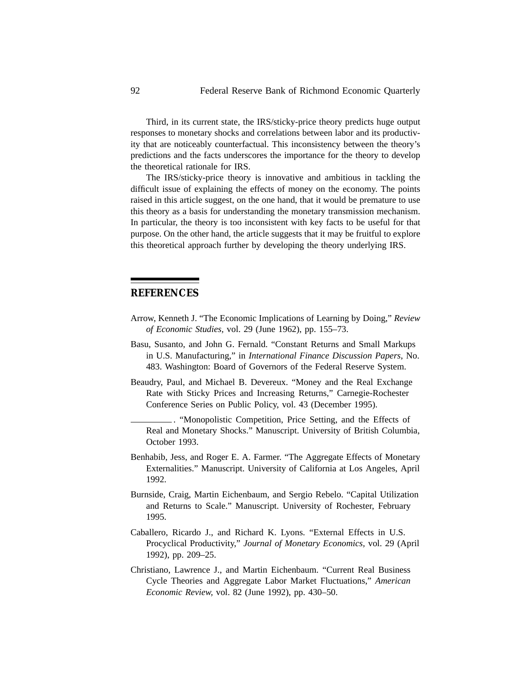Third, in its current state, the IRS/sticky-price theory predicts huge output responses to monetary shocks and correlations between labor and its productivity that are noticeably counterfactual. This inconsistency between the theory's predictions and the facts underscores the importance for the theory to develop the theoretical rationale for IRS.

The IRS/sticky-price theory is innovative and ambitious in tackling the difficult issue of explaining the effects of money on the economy. The points raised in this article suggest, on the one hand, that it would be premature to use this theory as a basis for understanding the monetary transmission mechanism. In particular, the theory is too inconsistent with key facts to be useful for that purpose. On the other hand, the article suggests that it may be fruitful to explore this theoretical approach further by developing the theory underlying IRS.

# **REFERENCES**

- Arrow, Kenneth J. "The Economic Implications of Learning by Doing," *Review of Economic Studies,* vol. 29 (June 1962), pp. 155–73.
- Basu, Susanto, and John G. Fernald. "Constant Returns and Small Markups in U.S. Manufacturing," in *International Finance Discussion Papers*, No. 483. Washington: Board of Governors of the Federal Reserve System.
- Beaudry, Paul, and Michael B. Devereux. "Money and the Real Exchange Rate with Sticky Prices and Increasing Returns," Carnegie-Rochester Conference Series on Public Policy, vol. 43 (December 1995).

. "Monopolistic Competition, Price Setting, and the Effects of Real and Monetary Shocks." Manuscript. University of British Columbia, October 1993.

- Benhabib, Jess, and Roger E. A. Farmer. "The Aggregate Effects of Monetary Externalities." Manuscript. University of California at Los Angeles, April 1992.
- Burnside, Craig, Martin Eichenbaum, and Sergio Rebelo. "Capital Utilization and Returns to Scale." Manuscript. University of Rochester, February 1995.
- Caballero, Ricardo J., and Richard K. Lyons. "External Effects in U.S. Procyclical Productivity," *Journal of Monetary Economics,* vol. 29 (April 1992), pp. 209–25.
- Christiano, Lawrence J., and Martin Eichenbaum. "Current Real Business Cycle Theories and Aggregate Labor Market Fluctuations," *American Economic Review,* vol. 82 (June 1992), pp. 430–50.